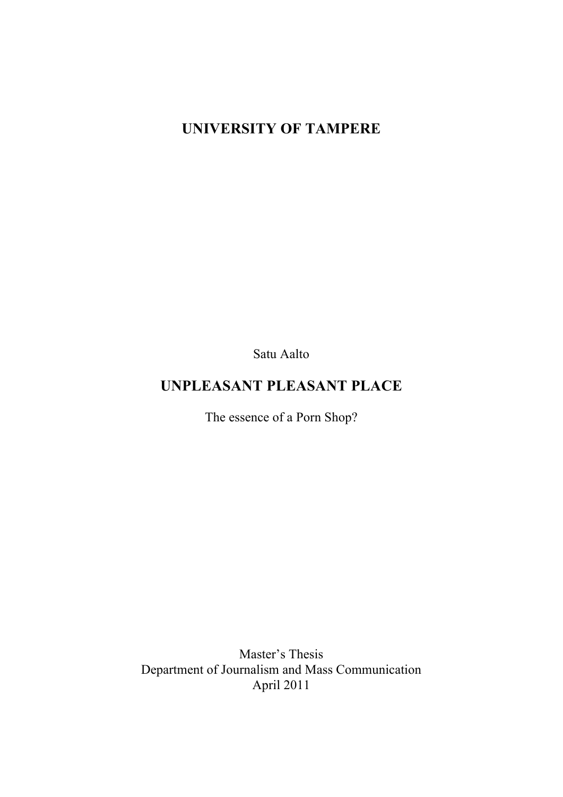# **UNIVERSITY OF TAMPERE**

Satu Aalto

# **UNPLEASANT PLEASANT PLACE**

The essence of a Porn Shop?

Master's Thesis Department of Journalism and Mass Communication April 2011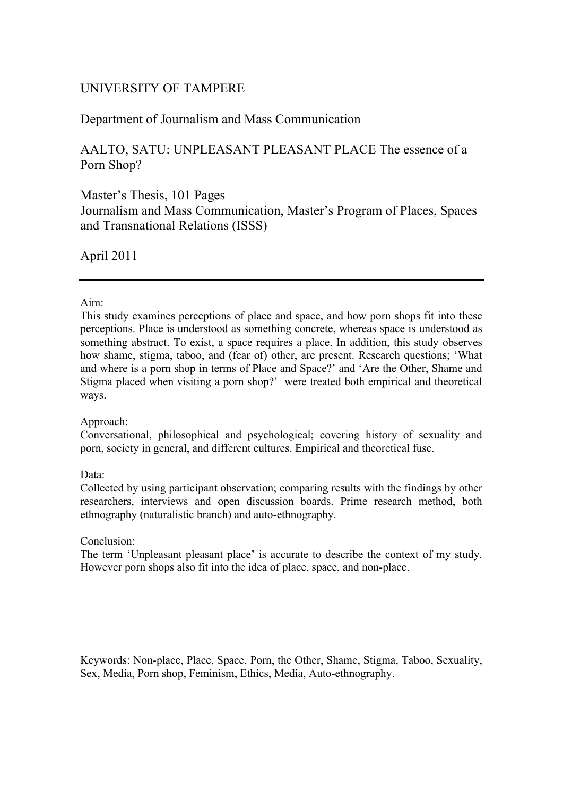## UNIVERSITY OF TAMPERE

## Department of Journalism and Mass Communication

## AALTO, SATU: UNPLEASANT PLEASANT PLACE The essence of a Porn Shop?

## Master's Thesis, 101 Pages Journalism and Mass Communication, Master's Program of Places, Spaces and Transnational Relations (ISSS)

April 2011

### Aim:

This study examines perceptions of place and space, and how porn shops fit into these perceptions. Place is understood as something concrete, whereas space is understood as something abstract. To exist, a space requires a place. In addition, this study observes how shame, stigma, taboo, and (fear of) other, are present. Research questions; 'What and where is a porn shop in terms of Place and Space?' and 'Are the Other, Shame and Stigma placed when visiting a porn shop?' were treated both empirical and theoretical ways.

### Approach:

Conversational, philosophical and psychological; covering history of sexuality and porn, society in general, and different cultures. Empirical and theoretical fuse.

Data:

Collected by using participant observation; comparing results with the findings by other researchers, interviews and open discussion boards. Prime research method, both ethnography (naturalistic branch) and auto-ethnography.

### Conclusion:

The term 'Unpleasant pleasant place' is accurate to describe the context of my study. However porn shops also fit into the idea of place, space, and non-place.

Keywords: Non-place, Place, Space, Porn, the Other, Shame, Stigma, Taboo, Sexuality, Sex, Media, Porn shop, Feminism, Ethics, Media, Auto-ethnography.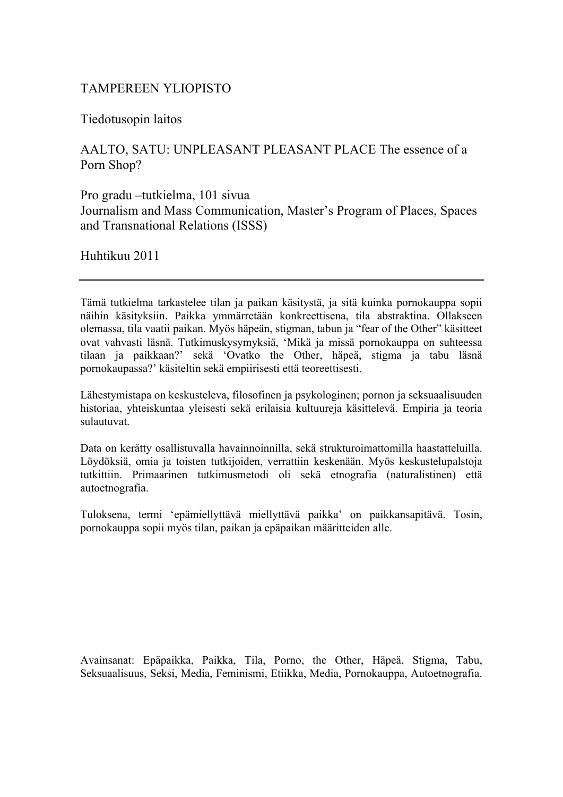## TAMPEREEN YLIOPISTO

Tiedotusopin laitos

AALTO, SATU: UNPLEASANT PLEASANT PLACE The essence of a Porn Shop?

Pro gradu –tutkielma, 101 sivua Journalism and Mass Communication, Master's Program of Places, Spaces and Transnational Relations (ISSS)

Huhtikuu 2011

Tämä tutkielma tarkastelee tilan ja paikan käsitystä, ja sitä kuinka pornokauppa sopii näihin käsityksiin. Paikka ymmärretään konkreettisena, tila abstraktina. Ollakseen olemassa, tila vaatii paikan. Myös häpeän, stigman, tabun ja "fear of the Other" käsitteet ovat vahvasti läsnä. Tutkimuskysymyksiä, 'Mikä ja missä pornokauppa on suhteessa tilaan ja paikkaan?' sekä 'Ovatko the Other, häpeä, stigma ja tabu läsnä pornokaupassa?' käsiteltin sekä empiirisesti että teoreettisesti.

Lähestymistapa on keskusteleva, filosofinen ja psykologinen; pornon ja seksuaalisuuden historiaa, yhteiskuntaa yleisesti sekä erilaisia kultuureja käsittelevä. Empiria ja teoria sulautuvat.

Data on kerätty osallistuvalla havainnoinnilla, sekä strukturoimattomilla haastatteluilla. Löydöksiä, omia ja toisten tutkijoiden, verrattiin keskenään. Myös keskustelupalstoja tutkittiin. Primaarinen tutkimusmetodi oli sekä etnografia (naturalistinen) että autoetnografia.

Tuloksena, termi 'epämiellyttävä miellyttävä paikka' on paikkansapitävä. Tosin, pornokauppa sopii myös tilan, paikan ja epäpaikan määritteiden alle.

Avainsanat: Epäpaikka, Paikka, Tila, Porno, the Other, Häpeä, Stigma, Tabu, Seksuaalisuus, Seksi, Media, Feminismi, Etiikka, Media, Pornokauppa, Autoetnografia.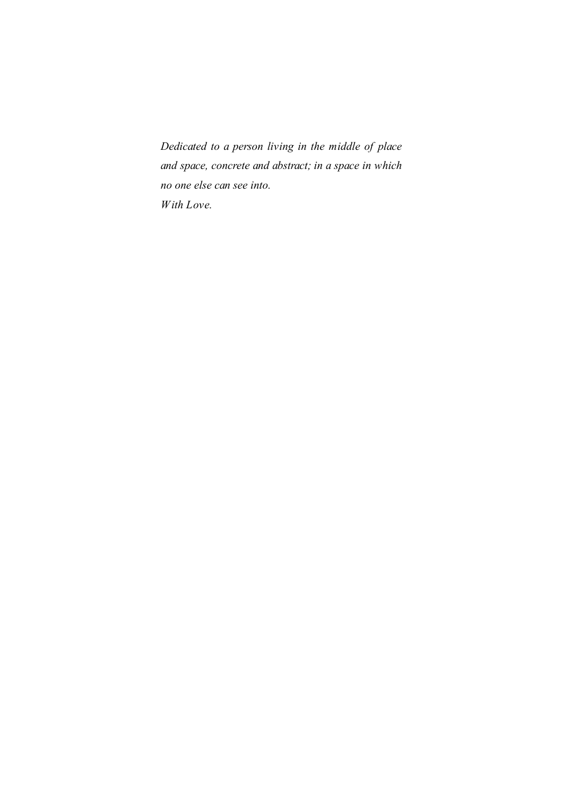*Dedicated to a person living in the middle of place and space, concrete and abstract; in a space in which no one else can see into. With Love.*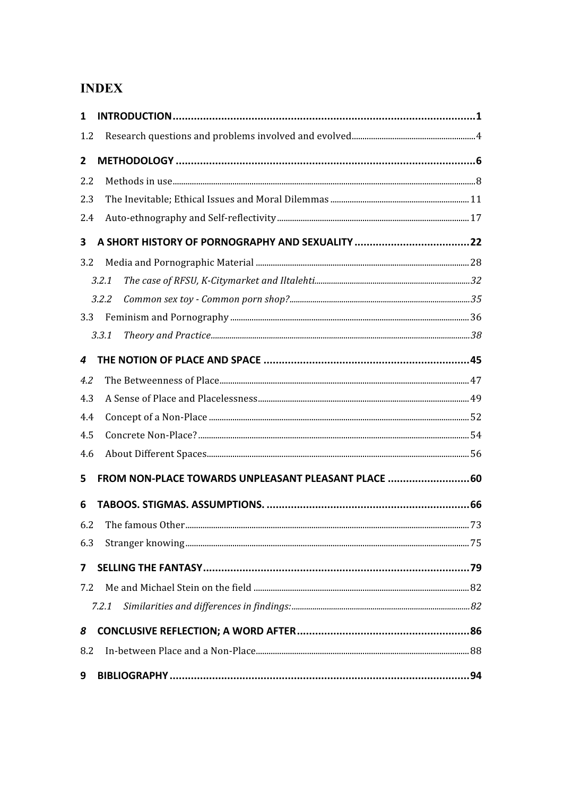## **INDEX**

| 1   |                                                     |  |
|-----|-----------------------------------------------------|--|
| 1.2 |                                                     |  |
| 2   |                                                     |  |
| 2.2 |                                                     |  |
| 2.3 |                                                     |  |
| 2.4 |                                                     |  |
| 3   |                                                     |  |
| 3.2 |                                                     |  |
|     | 3.2.1                                               |  |
|     | 3.2.2                                               |  |
| 3.3 |                                                     |  |
|     | 3.3.1                                               |  |
| 4   |                                                     |  |
| 4.2 |                                                     |  |
| 4.3 |                                                     |  |
| 4.4 |                                                     |  |
| 4.5 |                                                     |  |
| 4.6 |                                                     |  |
| 5   | FROM NON-PLACE TOWARDS UNPLEASANT PLEASANT PLACE 60 |  |
| 6   |                                                     |  |
| 6.2 |                                                     |  |
| 6.3 |                                                     |  |
| 7   |                                                     |  |
| 7.2 |                                                     |  |
|     | 7.2.1                                               |  |
| 8   |                                                     |  |
| 8.2 |                                                     |  |
| 9   |                                                     |  |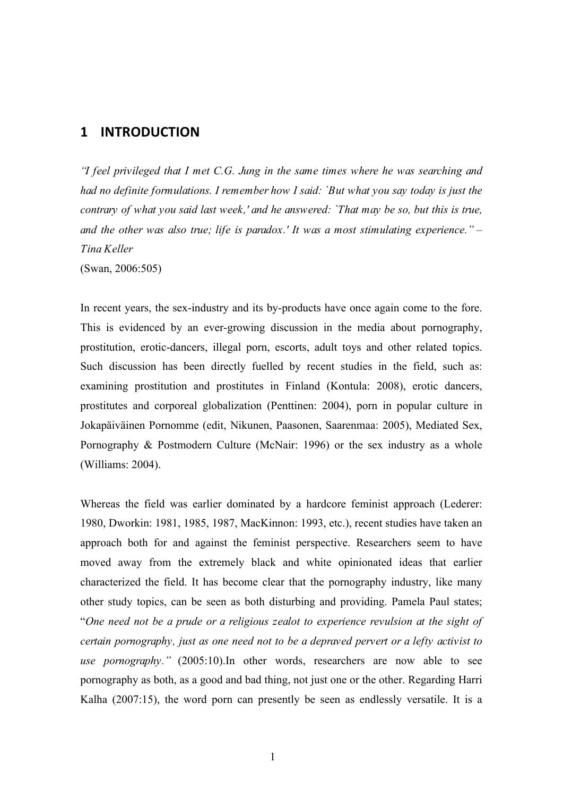## **1 INTRODUCTION**

*"I feel privileged that I met C.G. Jung in the same times where he was searching and had no definite formulations. I remember how I said: `But what you say today is just the contrary of what you said last week,' and he answered: `That may be so, but this is true, and the other was also true; life is paradox.' It was a most stimulating experience." – Tina Keller* (Swan, 2006:505)

In recent years, the sex-industry and its by-products have once again come to the fore. This is evidenced by an ever-growing discussion in the media about pornography, prostitution, erotic-dancers, illegal porn, escorts, adult toys and other related topics. Such discussion has been directly fuelled by recent studies in the field, such as: examining prostitution and prostitutes in Finland (Kontula: 2008), erotic dancers, prostitutes and corporeal globalization (Penttinen: 2004), porn in popular culture in Jokapäiväinen Pornomme (edit, Nikunen, Paasonen, Saarenmaa: 2005), Mediated Sex, Pornography & Postmodern Culture (McNair: 1996) or the sex industry as a whole (Williams: 2004).

Whereas the field was earlier dominated by a hardcore feminist approach (Lederer: 1980, Dworkin: 1981, 1985, 1987, MacKinnon: 1993, etc.), recent studies have taken an approach both for and against the feminist perspective. Researchers seem to have moved away from the extremely black and white opinionated ideas that earlier characterized the field. It has become clear that the pornography industry, like many other study topics, can be seen as both disturbing and providing. Pamela Paul states; "*One need not be a prude or a religious zealot to experience revulsion at the sight of certain pornography, just as one need not to be a depraved pervert or a lefty activist to use pornography."* (2005:10).In other words, researchers are now able to see pornography as both, as a good and bad thing, not just one or the other. Regarding Harri Kalha (2007:15), the word porn can presently be seen as endlessly versatile. It is a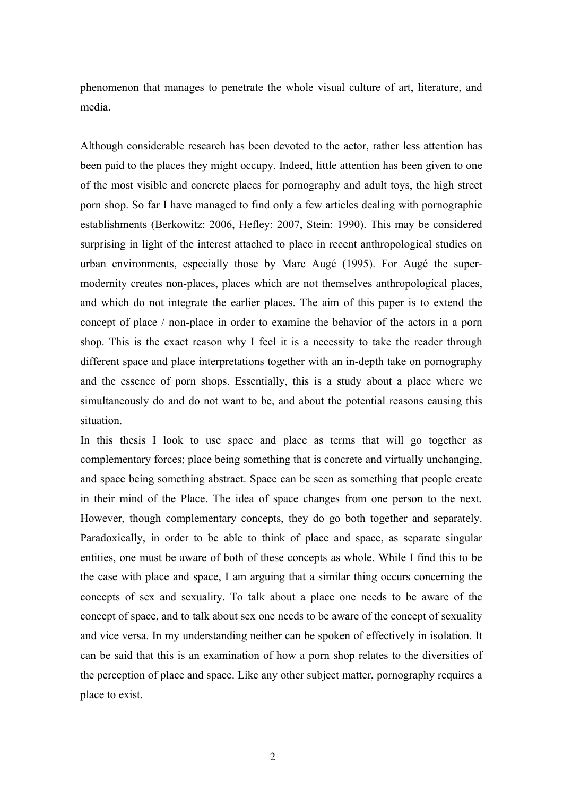phenomenon that manages to penetrate the whole visual culture of art, literature, and media.

Although considerable research has been devoted to the actor, rather less attention has been paid to the places they might occupy. Indeed, little attention has been given to one of the most visible and concrete places for pornography and adult toys, the high street porn shop. So far I have managed to find only a few articles dealing with pornographic establishments (Berkowitz: 2006, Hefley: 2007, Stein: 1990). This may be considered surprising in light of the interest attached to place in recent anthropological studies on urban environments, especially those by Marc Augé (1995). For Augé the supermodernity creates non-places, places which are not themselves anthropological places, and which do not integrate the earlier places. The aim of this paper is to extend the concept of place / non-place in order to examine the behavior of the actors in a porn shop. This is the exact reason why I feel it is a necessity to take the reader through different space and place interpretations together with an in-depth take on pornography and the essence of porn shops. Essentially, this is a study about a place where we simultaneously do and do not want to be, and about the potential reasons causing this situation.

In this thesis I look to use space and place as terms that will go together as complementary forces; place being something that is concrete and virtually unchanging, and space being something abstract. Space can be seen as something that people create in their mind of the Place. The idea of space changes from one person to the next. However, though complementary concepts, they do go both together and separately. Paradoxically, in order to be able to think of place and space, as separate singular entities, one must be aware of both of these concepts as whole. While I find this to be the case with place and space, I am arguing that a similar thing occurs concerning the concepts of sex and sexuality. To talk about a place one needs to be aware of the concept of space, and to talk about sex one needs to be aware of the concept of sexuality and vice versa. In my understanding neither can be spoken of effectively in isolation. It can be said that this is an examination of how a porn shop relates to the diversities of the perception of place and space. Like any other subject matter, pornography requires a place to exist.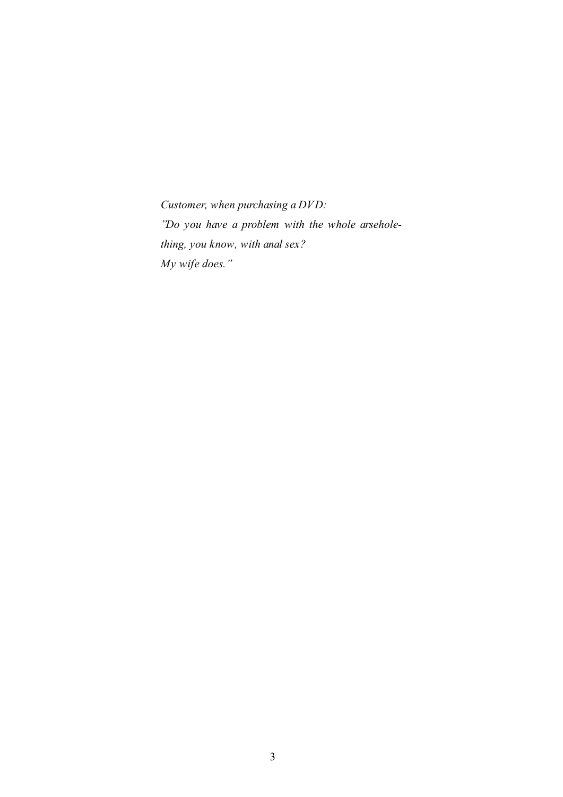*Customer, when purchasing a DVD: "Do you have a problem with the whole arseholething, you know, with anal sex? My wife does."*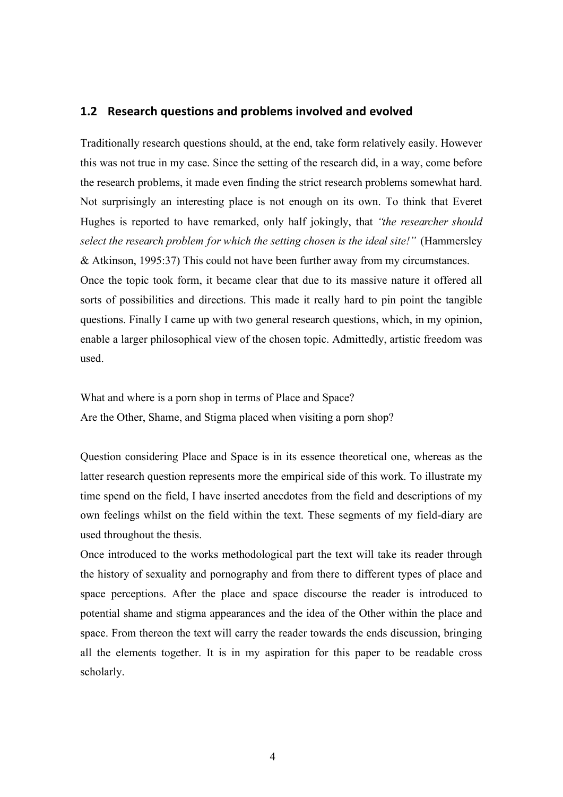### **1.2 Research
questions
and
problems
involved
and
evolved**

Traditionally research questions should, at the end, take form relatively easily. However this was not true in my case. Since the setting of the research did, in a way, come before the research problems, it made even finding the strict research problems somewhat hard. Not surprisingly an interesting place is not enough on its own. To think that Everet Hughes is reported to have remarked, only half jokingly, that *"the researcher should select the research problem for which the setting chosen is the ideal site!"* (Hammersley & Atkinson, 1995:37) This could not have been further away from my circumstances.

Once the topic took form, it became clear that due to its massive nature it offered all sorts of possibilities and directions. This made it really hard to pin point the tangible questions. Finally I came up with two general research questions, which, in my opinion, enable a larger philosophical view of the chosen topic. Admittedly, artistic freedom was used.

What and where is a porn shop in terms of Place and Space? Are the Other, Shame, and Stigma placed when visiting a porn shop?

Question considering Place and Space is in its essence theoretical one, whereas as the latter research question represents more the empirical side of this work. To illustrate my time spend on the field, I have inserted anecdotes from the field and descriptions of my own feelings whilst on the field within the text. These segments of my field-diary are used throughout the thesis.

Once introduced to the works methodological part the text will take its reader through the history of sexuality and pornography and from there to different types of place and space perceptions. After the place and space discourse the reader is introduced to potential shame and stigma appearances and the idea of the Other within the place and space. From thereon the text will carry the reader towards the ends discussion, bringing all the elements together. It is in my aspiration for this paper to be readable cross scholarly.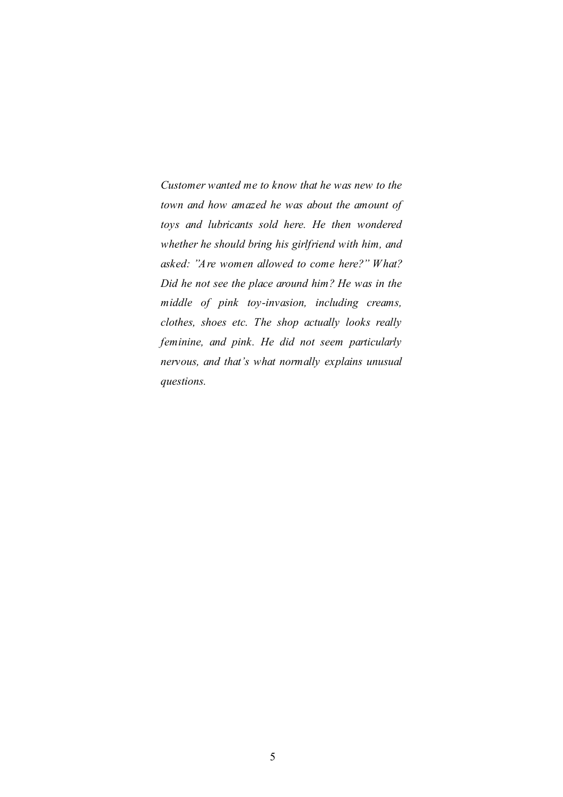*Customer wanted me to know that he was new to the town and how amazed he was about the amount of toys and lubricants sold here. He then wondered whether he should bring his girlfriend with him, and asked: "Are women allowed to come here?" What? Did he not see the place around him? He was in the middle of pink toy-invasion, including creams, clothes, shoes etc. The shop actually looks really feminine, and pink. He did not seem particularly nervous, and that's what normally explains unusual questions.*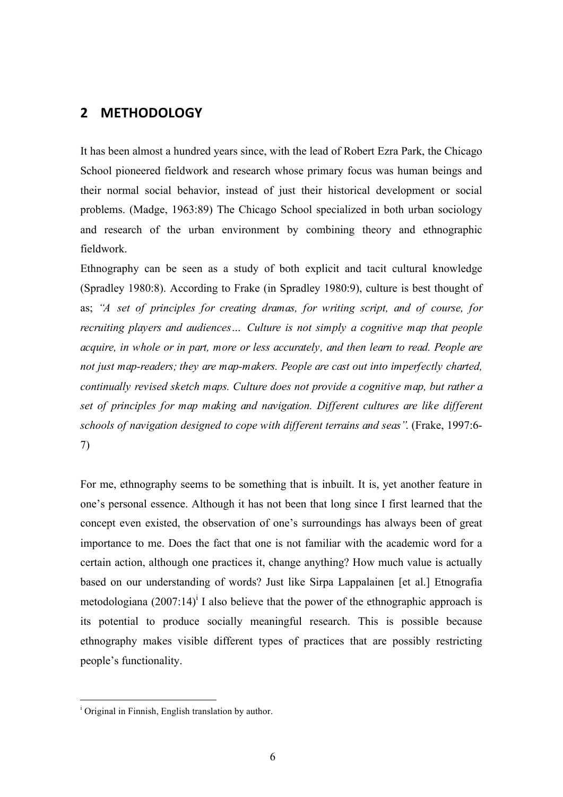## **2 METHODOLOGY**

It has been almost a hundred years since, with the lead of Robert Ezra Park, the Chicago School pioneered fieldwork and research whose primary focus was human beings and their normal social behavior, instead of just their historical development or social problems. (Madge, 1963:89) The Chicago School specialized in both urban sociology and research of the urban environment by combining theory and ethnographic fieldwork.

Ethnography can be seen as a study of both explicit and tacit cultural knowledge (Spradley 1980:8). According to Frake (in Spradley 1980:9), culture is best thought of as; *"A set of principles for creating dramas, for writing script, and of course, for recruiting players and audiences… Culture is not simply a cognitive map that people acquire, in whole or in part, more or less accurately, and then learn to read. People are not just map-readers; they are map-makers. People are cast out into imperfectly charted, continually revised sketch maps. Culture does not provide a cognitive map, but rather a set of principles for map making and navigation. Different cultures are like different schools of navigation designed to cope with different terrains and seas"*. (Frake, 1997:6- 7)

For me, ethnography seems to be something that is inbuilt. It is, yet another feature in one's personal essence. Although it has not been that long since I first learned that the concept even existed, the observation of one's surroundings has always been of great importance to me. Does the fact that one is not familiar with the academic word for a certain action, although one practices it, change anything? How much value is actually based on our understanding of words? Just like Sirpa Lappalainen [et al.] Etnografia metodologiana  $(2007:14)^{i}$  I also believe that the power of the ethnographic approach is its potential to produce socially meaningful research. This is possible because ethnography makes visible different types of practices that are possibly restricting people's functionality.

<sup>|&</sup>lt;br>i <sup>i</sup> Original in Finnish, English translation by author.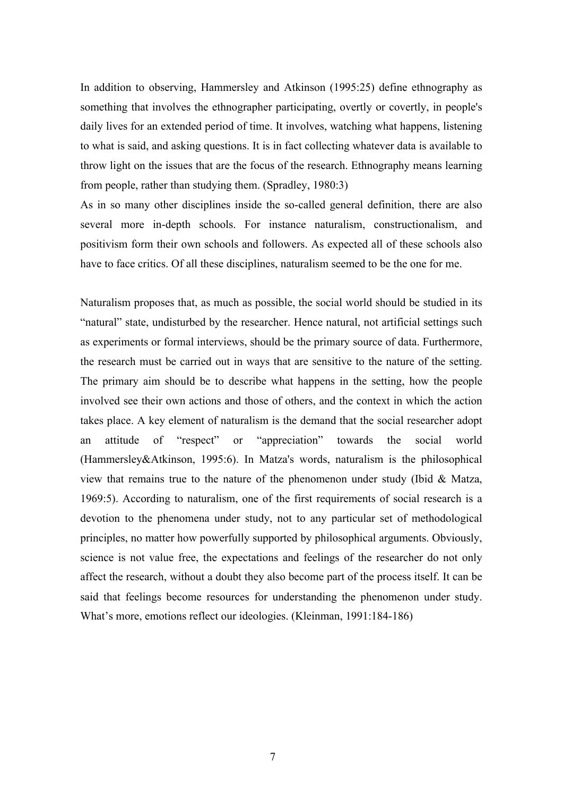In addition to observing, Hammersley and Atkinson (1995:25) define ethnography as something that involves the ethnographer participating, overtly or covertly, in people's daily lives for an extended period of time. It involves, watching what happens, listening to what is said, and asking questions. It is in fact collecting whatever data is available to throw light on the issues that are the focus of the research. Ethnography means learning from people, rather than studying them. (Spradley, 1980:3)

As in so many other disciplines inside the so-called general definition, there are also several more in-depth schools. For instance naturalism, constructionalism, and positivism form their own schools and followers. As expected all of these schools also have to face critics. Of all these disciplines, naturalism seemed to be the one for me.

Naturalism proposes that, as much as possible, the social world should be studied in its "natural" state, undisturbed by the researcher. Hence natural, not artificial settings such as experiments or formal interviews, should be the primary source of data. Furthermore, the research must be carried out in ways that are sensitive to the nature of the setting. The primary aim should be to describe what happens in the setting, how the people involved see their own actions and those of others, and the context in which the action takes place. A key element of naturalism is the demand that the social researcher adopt an attitude of "respect" or "appreciation" towards the social world (Hammersley&Atkinson, 1995:6). In Matza's words, naturalism is the philosophical view that remains true to the nature of the phenomenon under study (Ibid  $& Matza$ , 1969:5). According to naturalism, one of the first requirements of social research is a devotion to the phenomena under study, not to any particular set of methodological principles, no matter how powerfully supported by philosophical arguments. Obviously, science is not value free, the expectations and feelings of the researcher do not only affect the research, without a doubt they also become part of the process itself. It can be said that feelings become resources for understanding the phenomenon under study. What's more, emotions reflect our ideologies. (Kleinman, 1991:184-186)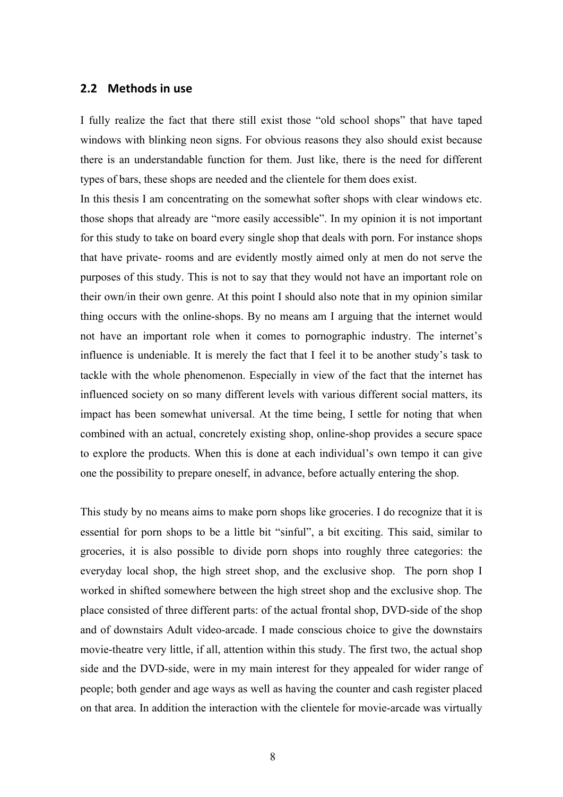### **2.2 Methods
in
use**

I fully realize the fact that there still exist those "old school shops" that have taped windows with blinking neon signs. For obvious reasons they also should exist because there is an understandable function for them. Just like, there is the need for different types of bars, these shops are needed and the clientele for them does exist.

In this thesis I am concentrating on the somewhat softer shops with clear windows etc. those shops that already are "more easily accessible". In my opinion it is not important for this study to take on board every single shop that deals with porn. For instance shops that have private- rooms and are evidently mostly aimed only at men do not serve the purposes of this study. This is not to say that they would not have an important role on their own/in their own genre. At this point I should also note that in my opinion similar thing occurs with the online-shops. By no means am I arguing that the internet would not have an important role when it comes to pornographic industry. The internet's influence is undeniable. It is merely the fact that I feel it to be another study's task to tackle with the whole phenomenon. Especially in view of the fact that the internet has influenced society on so many different levels with various different social matters, its impact has been somewhat universal. At the time being, I settle for noting that when combined with an actual, concretely existing shop, online-shop provides a secure space to explore the products. When this is done at each individual's own tempo it can give one the possibility to prepare oneself, in advance, before actually entering the shop.

This study by no means aims to make porn shops like groceries. I do recognize that it is essential for porn shops to be a little bit "sinful", a bit exciting. This said, similar to groceries, it is also possible to divide porn shops into roughly three categories: the everyday local shop, the high street shop, and the exclusive shop. The porn shop I worked in shifted somewhere between the high street shop and the exclusive shop. The place consisted of three different parts: of the actual frontal shop, DVD-side of the shop and of downstairs Adult video-arcade. I made conscious choice to give the downstairs movie-theatre very little, if all, attention within this study. The first two, the actual shop side and the DVD-side, were in my main interest for they appealed for wider range of people; both gender and age ways as well as having the counter and cash register placed on that area. In addition the interaction with the clientele for movie-arcade was virtually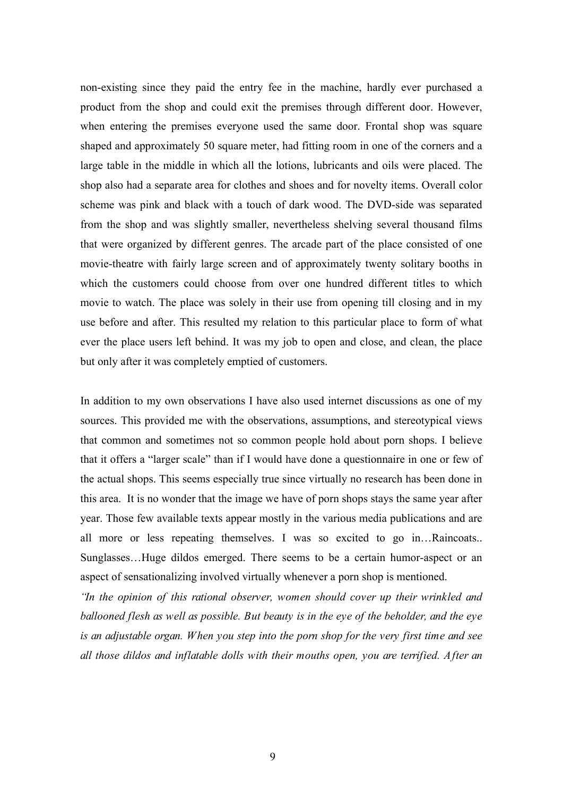non-existing since they paid the entry fee in the machine, hardly ever purchased a product from the shop and could exit the premises through different door. However, when entering the premises everyone used the same door. Frontal shop was square shaped and approximately 50 square meter, had fitting room in one of the corners and a large table in the middle in which all the lotions, lubricants and oils were placed. The shop also had a separate area for clothes and shoes and for novelty items. Overall color scheme was pink and black with a touch of dark wood. The DVD-side was separated from the shop and was slightly smaller, nevertheless shelving several thousand films that were organized by different genres. The arcade part of the place consisted of one movie-theatre with fairly large screen and of approximately twenty solitary booths in which the customers could choose from over one hundred different titles to which movie to watch. The place was solely in their use from opening till closing and in my use before and after. This resulted my relation to this particular place to form of what ever the place users left behind. It was my job to open and close, and clean, the place but only after it was completely emptied of customers.

In addition to my own observations I have also used internet discussions as one of my sources. This provided me with the observations, assumptions, and stereotypical views that common and sometimes not so common people hold about porn shops. I believe that it offers a "larger scale" than if I would have done a questionnaire in one or few of the actual shops. This seems especially true since virtually no research has been done in this area. It is no wonder that the image we have of porn shops stays the same year after year. Those few available texts appear mostly in the various media publications and are all more or less repeating themselves. I was so excited to go in…Raincoats.. Sunglasses…Huge dildos emerged. There seems to be a certain humor-aspect or an aspect of sensationalizing involved virtually whenever a porn shop is mentioned.

*"In the opinion of this rational observer, women should cover up their wrinkled and ballooned flesh as well as possible. But beauty is in the eye of the beholder, and the eye is an adjustable organ. When you step into the porn shop for the very first time and see all those dildos and inflatable dolls with their mouths open, you are terrified. After an*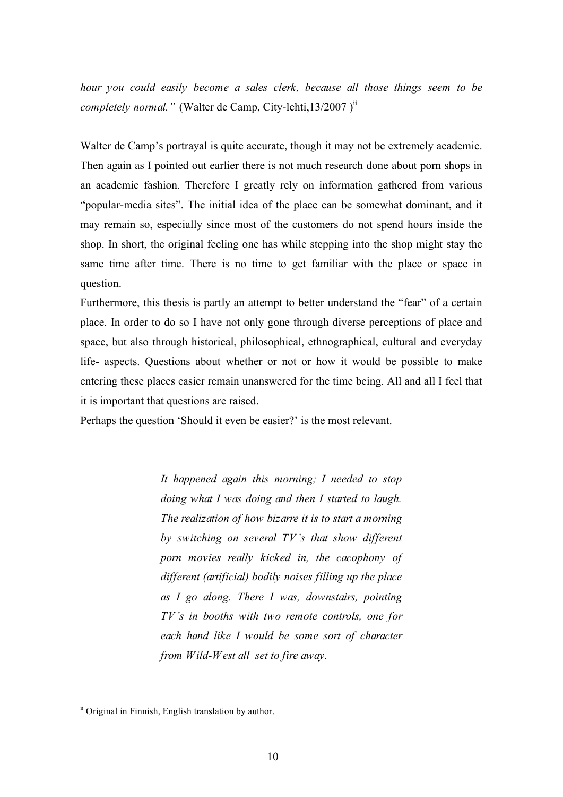*hour you could easily become a sales clerk, because all those things seem to be completely normal."* (Walter de Camp, City-lehti,13/2007)<sup>11</sup>

Walter de Camp's portrayal is quite accurate, though it may not be extremely academic. Then again as I pointed out earlier there is not much research done about porn shops in an academic fashion. Therefore I greatly rely on information gathered from various "popular-media sites". The initial idea of the place can be somewhat dominant, and it may remain so, especially since most of the customers do not spend hours inside the shop. In short, the original feeling one has while stepping into the shop might stay the same time after time. There is no time to get familiar with the place or space in question.

Furthermore, this thesis is partly an attempt to better understand the "fear" of a certain place. In order to do so I have not only gone through diverse perceptions of place and space, but also through historical, philosophical, ethnographical, cultural and everyday life- aspects. Questions about whether or not or how it would be possible to make entering these places easier remain unanswered for the time being. All and all I feel that it is important that questions are raised.

Perhaps the question 'Should it even be easier?' is the most relevant.

*It happened again this morning; I needed to stop doing what I was doing and then I started to laugh. The realization of how bizarre it is to start a morning by switching on several TV's that show different porn movies really kicked in, the cacophony of different (artificial) bodily noises filling up the place as I go along. There I was, downstairs, pointing TV's in booths with two remote controls, one for each hand like I would be some sort of character from Wild-West all set to fire away.*

ii Original in Finnish, English translation by author.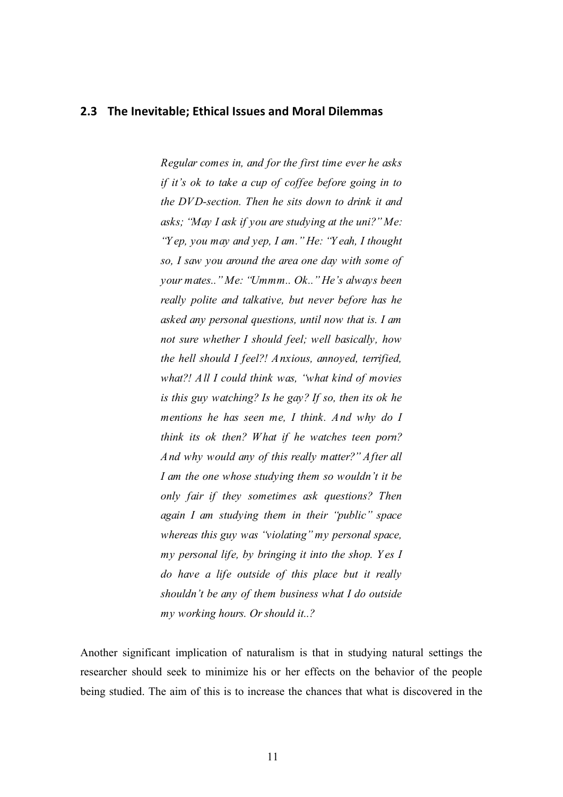### **2.3 The
Inevitable;
Ethical
Issues
and
Moral
Dilemmas**

*Regular comes in, and for the first time ever he asks if it's ok to take a cup of coffee before going in to the DVD-section. Then he sits down to drink it and asks; "May I ask if you are studying at the uni?" Me: "Y ep, you may and yep, I am." He: "Y eah, I thought so, I saw you around the area one day with some of your mates.." Me: "Ummm.. Ok.." He's always been really polite and talkative, but never before has he asked any personal questions, until now that is. I am not sure whether I should feel; well basically, how the hell should I feel?! Anxious, annoyed, terrified, what?! All I could think was, "what kind of movies is this guy watching? Is he gay? If so, then its ok he mentions he has seen me, I think. And why do I think its ok then? What if he watches teen porn? And why would any of this really matter?" After all I am the one whose studying them so wouldn't it be only fair if they sometimes ask questions? Then again I am studying them in their "public" space whereas this guy was "violating" my personal space, my personal life, by bringing it into the shop. Y es I do have a life outside of this place but it really shouldn't be any of them business what I do outside my working hours. Or should it..?*

Another significant implication of naturalism is that in studying natural settings the researcher should seek to minimize his or her effects on the behavior of the people being studied. The aim of this is to increase the chances that what is discovered in the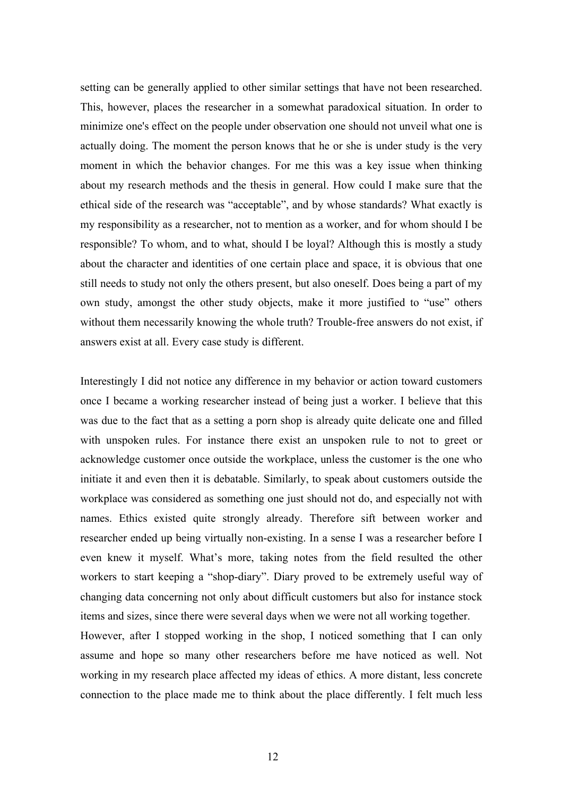setting can be generally applied to other similar settings that have not been researched. This, however, places the researcher in a somewhat paradoxical situation. In order to minimize one's effect on the people under observation one should not unveil what one is actually doing. The moment the person knows that he or she is under study is the very moment in which the behavior changes. For me this was a key issue when thinking about my research methods and the thesis in general. How could I make sure that the ethical side of the research was "acceptable", and by whose standards? What exactly is my responsibility as a researcher, not to mention as a worker, and for whom should I be responsible? To whom, and to what, should I be loyal? Although this is mostly a study about the character and identities of one certain place and space, it is obvious that one still needs to study not only the others present, but also oneself. Does being a part of my own study, amongst the other study objects, make it more justified to "use" others without them necessarily knowing the whole truth? Trouble-free answers do not exist, if answers exist at all. Every case study is different.

Interestingly I did not notice any difference in my behavior or action toward customers once I became a working researcher instead of being just a worker. I believe that this was due to the fact that as a setting a porn shop is already quite delicate one and filled with unspoken rules. For instance there exist an unspoken rule to not to greet or acknowledge customer once outside the workplace, unless the customer is the one who initiate it and even then it is debatable. Similarly, to speak about customers outside the workplace was considered as something one just should not do, and especially not with names. Ethics existed quite strongly already. Therefore sift between worker and researcher ended up being virtually non-existing. In a sense I was a researcher before I even knew it myself. What's more, taking notes from the field resulted the other workers to start keeping a "shop-diary". Diary proved to be extremely useful way of changing data concerning not only about difficult customers but also for instance stock items and sizes, since there were several days when we were not all working together. However, after I stopped working in the shop, I noticed something that I can only

assume and hope so many other researchers before me have noticed as well. Not working in my research place affected my ideas of ethics. A more distant, less concrete connection to the place made me to think about the place differently. I felt much less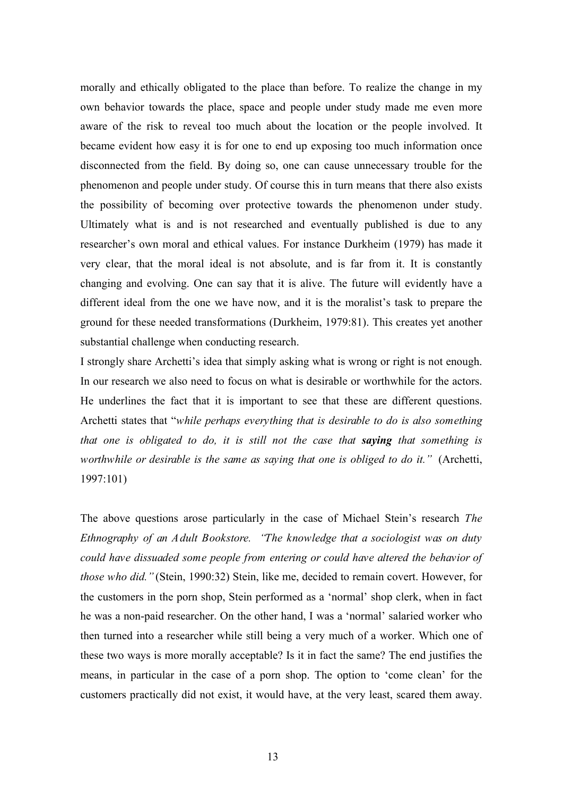morally and ethically obligated to the place than before. To realize the change in my own behavior towards the place, space and people under study made me even more aware of the risk to reveal too much about the location or the people involved. It became evident how easy it is for one to end up exposing too much information once disconnected from the field. By doing so, one can cause unnecessary trouble for the phenomenon and people under study. Of course this in turn means that there also exists the possibility of becoming over protective towards the phenomenon under study. Ultimately what is and is not researched and eventually published is due to any researcher's own moral and ethical values. For instance Durkheim (1979) has made it very clear, that the moral ideal is not absolute, and is far from it. It is constantly changing and evolving. One can say that it is alive. The future will evidently have a different ideal from the one we have now, and it is the moralist's task to prepare the ground for these needed transformations (Durkheim, 1979:81). This creates yet another substantial challenge when conducting research.

I strongly share Archetti's idea that simply asking what is wrong or right is not enough. In our research we also need to focus on what is desirable or worthwhile for the actors. He underlines the fact that it is important to see that these are different questions. Archetti states that "*while perhaps everything that is desirable to do is also something that one is obligated to do, it is still not the case that saying that something is worthwhile or desirable is the same as saying that one is obliged to do it."* (Archetti, 1997:101)

The above questions arose particularly in the case of Michael Stein's research *The Ethnography of an Adult Bookstore. "The knowledge that a sociologist was on duty could have dissuaded some people from entering or could have altered the behavior of those who did."* (Stein, 1990:32) Stein, like me, decided to remain covert. However, for the customers in the porn shop, Stein performed as a 'normal' shop clerk, when in fact he was a non-paid researcher. On the other hand, I was a 'normal' salaried worker who then turned into a researcher while still being a very much of a worker. Which one of these two ways is more morally acceptable? Is it in fact the same? The end justifies the means, in particular in the case of a porn shop. The option to 'come clean' for the customers practically did not exist, it would have, at the very least, scared them away.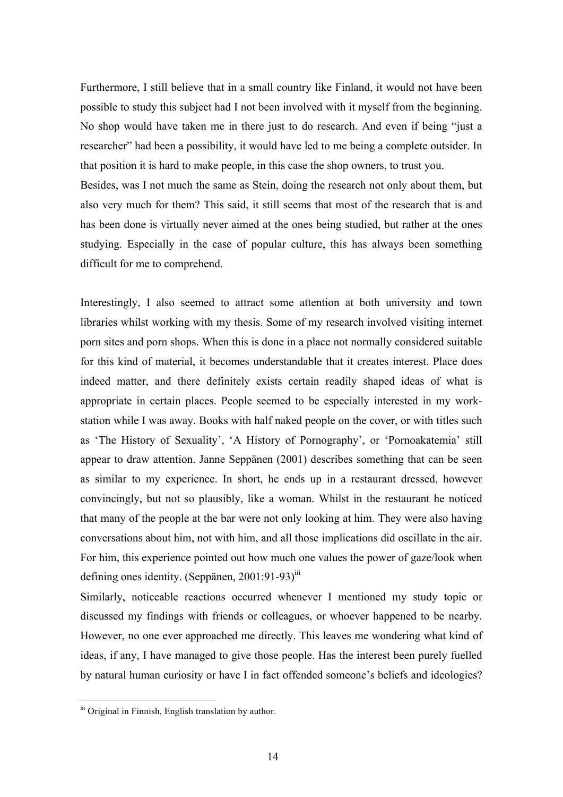Furthermore, I still believe that in a small country like Finland, it would not have been possible to study this subject had I not been involved with it myself from the beginning. No shop would have taken me in there just to do research. And even if being "just a researcher" had been a possibility, it would have led to me being a complete outsider. In that position it is hard to make people, in this case the shop owners, to trust you. Besides, was I not much the same as Stein, doing the research not only about them, but

also very much for them? This said, it still seems that most of the research that is and has been done is virtually never aimed at the ones being studied, but rather at the ones studying. Especially in the case of popular culture, this has always been something difficult for me to comprehend.

Interestingly, I also seemed to attract some attention at both university and town libraries whilst working with my thesis. Some of my research involved visiting internet porn sites and porn shops. When this is done in a place not normally considered suitable for this kind of material, it becomes understandable that it creates interest. Place does indeed matter, and there definitely exists certain readily shaped ideas of what is appropriate in certain places. People seemed to be especially interested in my workstation while I was away. Books with half naked people on the cover, or with titles such as 'The History of Sexuality', 'A History of Pornography', or 'Pornoakatemia' still appear to draw attention. Janne Seppänen (2001) describes something that can be seen as similar to my experience. In short, he ends up in a restaurant dressed, however convincingly, but not so plausibly, like a woman. Whilst in the restaurant he noticed that many of the people at the bar were not only looking at him. They were also having conversations about him, not with him, and all those implications did oscillate in the air. For him, this experience pointed out how much one values the power of gaze/look when defining ones identity. (Seppänen,  $2001:91-93$ <sup>iii</sup>

Similarly, noticeable reactions occurred whenever I mentioned my study topic or discussed my findings with friends or colleagues, or whoever happened to be nearby. However, no one ever approached me directly. This leaves me wondering what kind of ideas, if any, I have managed to give those people. Has the interest been purely fuelled by natural human curiosity or have I in fact offended someone's beliefs and ideologies?

<sup>&</sup>lt;sup>iii</sup> Original in Finnish, English translation by author.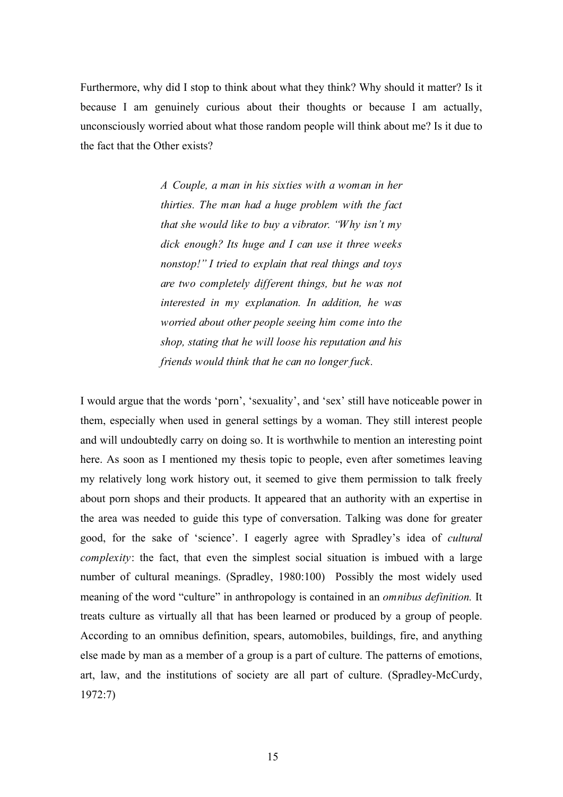Furthermore, why did I stop to think about what they think? Why should it matter? Is it because I am genuinely curious about their thoughts or because I am actually, unconsciously worried about what those random people will think about me? Is it due to the fact that the Other exists?

> *A Couple, a man in his sixties with a woman in her thirties. The man had a huge problem with the fact that she would like to buy a vibrator. "Why isn't my dick enough? Its huge and I can use it three weeks nonstop!" I tried to explain that real things and toys are two completely different things, but he was not interested in my explanation. In addition, he was worried about other people seeing him come into the shop, stating that he will loose his reputation and his friends would think that he can no longer fuck.*

I would argue that the words 'porn', 'sexuality', and 'sex' still have noticeable power in them, especially when used in general settings by a woman. They still interest people and will undoubtedly carry on doing so. It is worthwhile to mention an interesting point here. As soon as I mentioned my thesis topic to people, even after sometimes leaving my relatively long work history out, it seemed to give them permission to talk freely about porn shops and their products. It appeared that an authority with an expertise in the area was needed to guide this type of conversation. Talking was done for greater good, for the sake of 'science'. I eagerly agree with Spradley's idea of *cultural complexity*: the fact, that even the simplest social situation is imbued with a large number of cultural meanings. (Spradley, 1980:100) Possibly the most widely used meaning of the word "culture" in anthropology is contained in an *omnibus definition.* It treats culture as virtually all that has been learned or produced by a group of people. According to an omnibus definition, spears, automobiles, buildings, fire, and anything else made by man as a member of a group is a part of culture. The patterns of emotions, art, law, and the institutions of society are all part of culture. (Spradley-McCurdy, 1972:7)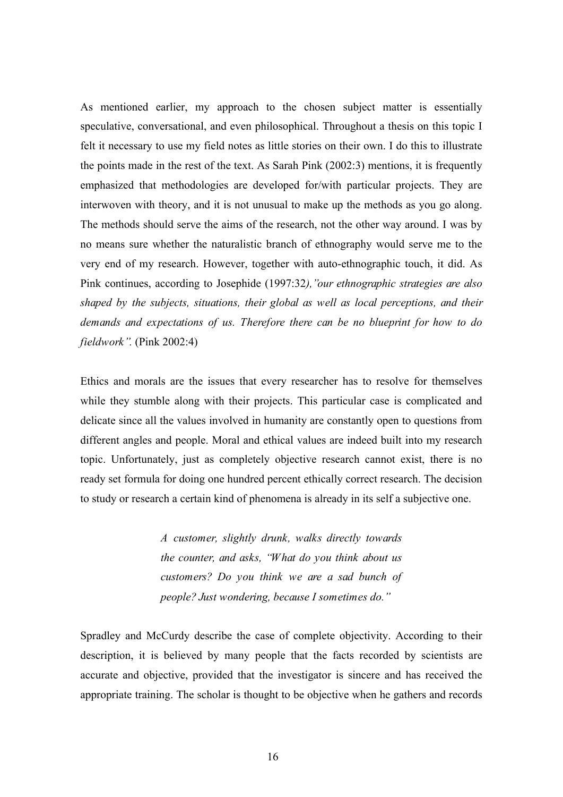As mentioned earlier, my approach to the chosen subject matter is essentially speculative, conversational, and even philosophical. Throughout a thesis on this topic I felt it necessary to use my field notes as little stories on their own. I do this to illustrate the points made in the rest of the text. As Sarah Pink (2002:3) mentions, it is frequently emphasized that methodologies are developed for/with particular projects. They are interwoven with theory, and it is not unusual to make up the methods as you go along. The methods should serve the aims of the research, not the other way around. I was by no means sure whether the naturalistic branch of ethnography would serve me to the very end of my research. However, together with auto-ethnographic touch, it did. As Pink continues, according to Josephide (1997:32*),"our ethnographic strategies are also shaped by the subjects, situations, their global as well as local perceptions, and their demands and expectations of us. Therefore there can be no blueprint for how to do fieldwork".* (Pink 2002:4)

Ethics and morals are the issues that every researcher has to resolve for themselves while they stumble along with their projects. This particular case is complicated and delicate since all the values involved in humanity are constantly open to questions from different angles and people. Moral and ethical values are indeed built into my research topic. Unfortunately, just as completely objective research cannot exist, there is no ready set formula for doing one hundred percent ethically correct research. The decision to study or research a certain kind of phenomena is already in its self a subjective one.

> *A customer, slightly drunk, walks directly towards the counter, and asks, "What do you think about us customers? Do you think we are a sad bunch of people? Just wondering, because I sometimes do."*

Spradley and McCurdy describe the case of complete objectivity. According to their description, it is believed by many people that the facts recorded by scientists are accurate and objective, provided that the investigator is sincere and has received the appropriate training. The scholar is thought to be objective when he gathers and records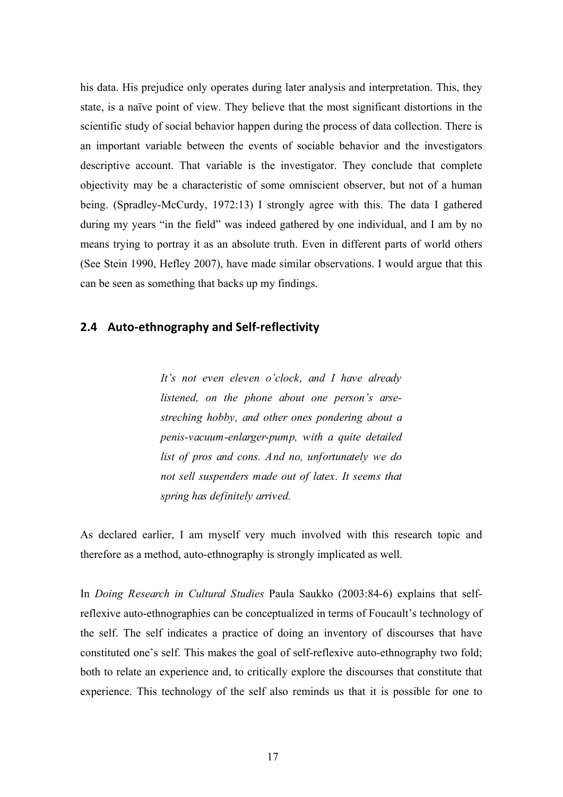his data. His prejudice only operates during later analysis and interpretation. This, they state, is a naïve point of view. They believe that the most significant distortions in the scientific study of social behavior happen during the process of data collection. There is an important variable between the events of sociable behavior and the investigators descriptive account. That variable is the investigator. They conclude that complete objectivity may be a characteristic of some omniscient observer, but not of a human being. (Spradley-McCurdy, 1972:13) I strongly agree with this. The data I gathered during my years "in the field" was indeed gathered by one individual, and I am by no means trying to portray it as an absolute truth. Even in different parts of world others (See Stein 1990, Hefley 2007), have made similar observations. I would argue that this can be seen as something that backs up my findings.

### **2.4 Auto‐ethnography
and
Self‐reflectivity**

*It's not even eleven o'clock, and I have already listened, on the phone about one person's arsestreching hobby, and other ones pondering about a penis-vacuum-enlarger-pump, with a quite detailed list of pros and cons. And no, unfortunately we do not sell suspenders made out of latex. It seems that spring has definitely arrived.*

As declared earlier, I am myself very much involved with this research topic and therefore as a method, auto-ethnography is strongly implicated as well.

In *Doing Research in Cultural Studies* Paula Saukko (2003:84-6) explains that selfreflexive auto-ethnographies can be conceptualized in terms of Foucault's technology of the self. The self indicates a practice of doing an inventory of discourses that have constituted one's self. This makes the goal of self-reflexive auto-ethnography two fold; both to relate an experience and, to critically explore the discourses that constitute that experience. This technology of the self also reminds us that it is possible for one to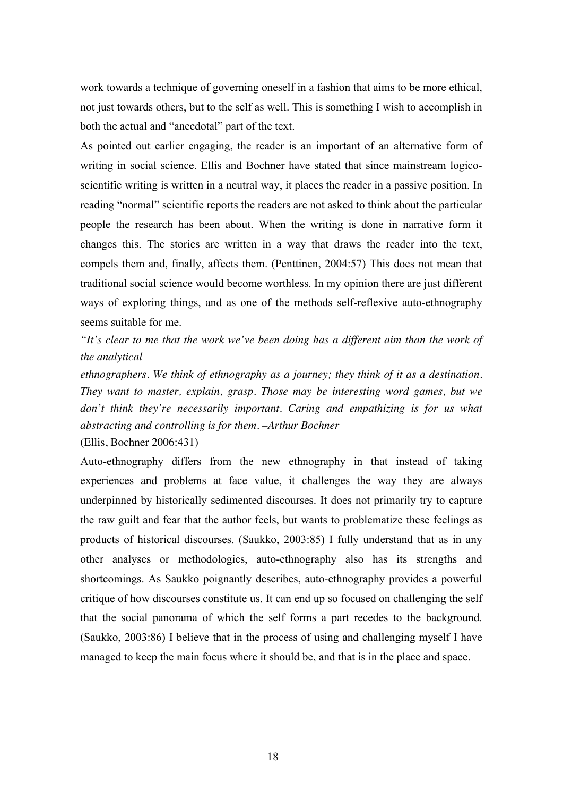work towards a technique of governing oneself in a fashion that aims to be more ethical, not just towards others, but to the self as well. This is something I wish to accomplish in both the actual and "anecdotal" part of the text.

As pointed out earlier engaging, the reader is an important of an alternative form of writing in social science. Ellis and Bochner have stated that since mainstream logicoscientific writing is written in a neutral way, it places the reader in a passive position. In reading "normal" scientific reports the readers are not asked to think about the particular people the research has been about. When the writing is done in narrative form it changes this. The stories are written in a way that draws the reader into the text, compels them and, finally, affects them. (Penttinen, 2004:57) This does not mean that traditional social science would become worthless. In my opinion there are just different ways of exploring things, and as one of the methods self-reflexive auto-ethnography seems suitable for me.

*"It's clear to me that the work we've been doing has a different aim than the work of the analytical*

*ethnographers. We think of ethnography as a journey; they think of it as a destination. They want to master, explain, grasp. Those may be interesting word games, but we don't think they're necessarily important. Caring and empathizing is for us what abstracting and controlling is for them. –Arthur Bochner*

(Ellis, Bochner 2006:431)

Auto-ethnography differs from the new ethnography in that instead of taking experiences and problems at face value, it challenges the way they are always underpinned by historically sedimented discourses. It does not primarily try to capture the raw guilt and fear that the author feels, but wants to problematize these feelings as products of historical discourses. (Saukko, 2003:85) I fully understand that as in any other analyses or methodologies, auto-ethnography also has its strengths and shortcomings. As Saukko poignantly describes, auto-ethnography provides a powerful critique of how discourses constitute us. It can end up so focused on challenging the self that the social panorama of which the self forms a part recedes to the background. (Saukko, 2003:86) I believe that in the process of using and challenging myself I have managed to keep the main focus where it should be, and that is in the place and space.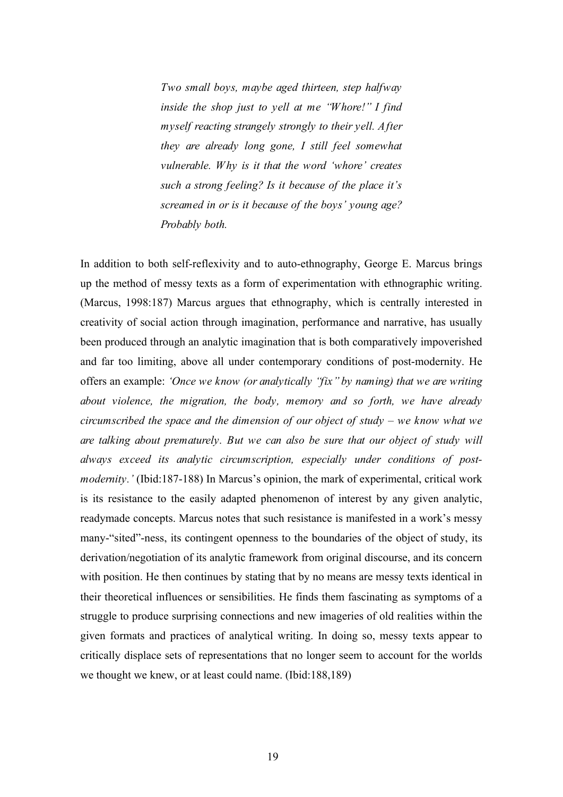*Two small boys, maybe aged thirteen, step halfway inside the shop just to yell at me "Whore!" I find myself reacting strangely strongly to their yell. After they are already long gone, I still feel somewhat vulnerable. Why is it that the word 'whore' creates such a strong feeling? Is it because of the place it's screamed in or is it because of the boys' young age? Probably both.* 

In addition to both self-reflexivity and to auto-ethnography, George E. Marcus brings up the method of messy texts as a form of experimentation with ethnographic writing. (Marcus, 1998:187) Marcus argues that ethnography, which is centrally interested in creativity of social action through imagination, performance and narrative, has usually been produced through an analytic imagination that is both comparatively impoverished and far too limiting, above all under contemporary conditions of post-modernity. He offers an example: *'Once we know (or analytically "fix" by naming) that we are writing about violence, the migration, the body, memory and so forth, we have already circumscribed the space and the dimension of our object of study – we know what we are talking about prematurely. But we can also be sure that our object of study will always exceed its analytic circumscription, especially under conditions of postmodernity.'* (Ibid:187-188) In Marcus's opinion, the mark of experimental, critical work is its resistance to the easily adapted phenomenon of interest by any given analytic, readymade concepts. Marcus notes that such resistance is manifested in a work's messy many-"sited"-ness, its contingent openness to the boundaries of the object of study, its derivation/negotiation of its analytic framework from original discourse, and its concern with position. He then continues by stating that by no means are messy texts identical in their theoretical influences or sensibilities. He finds them fascinating as symptoms of a struggle to produce surprising connections and new imageries of old realities within the given formats and practices of analytical writing. In doing so, messy texts appear to critically displace sets of representations that no longer seem to account for the worlds we thought we knew, or at least could name. (Ibid:188,189)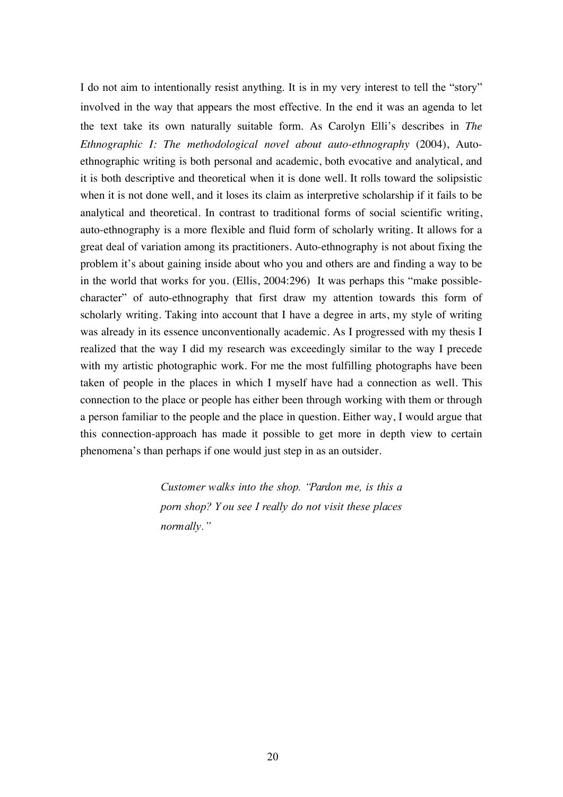I do not aim to intentionally resist anything. It is in my very interest to tell the "story" involved in the way that appears the most effective. In the end it was an agenda to let the text take its own naturally suitable form. As Carolyn Elli's describes in *The Ethnographic I: The methodological novel about auto-ethnography* (2004), Autoethnographic writing is both personal and academic, both evocative and analytical, and it is both descriptive and theoretical when it is done well. It rolls toward the solipsistic when it is not done well, and it loses its claim as interpretive scholarship if it fails to be analytical and theoretical. In contrast to traditional forms of social scientific writing, auto-ethnography is a more flexible and fluid form of scholarly writing. It allows for a great deal of variation among its practitioners. Auto-ethnography is not about fixing the problem it's about gaining inside about who you and others are and finding a way to be in the world that works for you. (Ellis, 2004:296) It was perhaps this "make possiblecharacter" of auto-ethnography that first draw my attention towards this form of scholarly writing. Taking into account that I have a degree in arts, my style of writing was already in its essence unconventionally academic. As I progressed with my thesis I realized that the way I did my research was exceedingly similar to the way I precede with my artistic photographic work. For me the most fulfilling photographs have been taken of people in the places in which I myself have had a connection as well. This connection to the place or people has either been through working with them or through a person familiar to the people and the place in question. Either way, I would argue that this connection-approach has made it possible to get more in depth view to certain phenomena's than perhaps if one would just step in as an outsider.

> *Customer walks into the shop. "Pardon me, is this a porn shop? Y ou see I really do not visit these places normally."*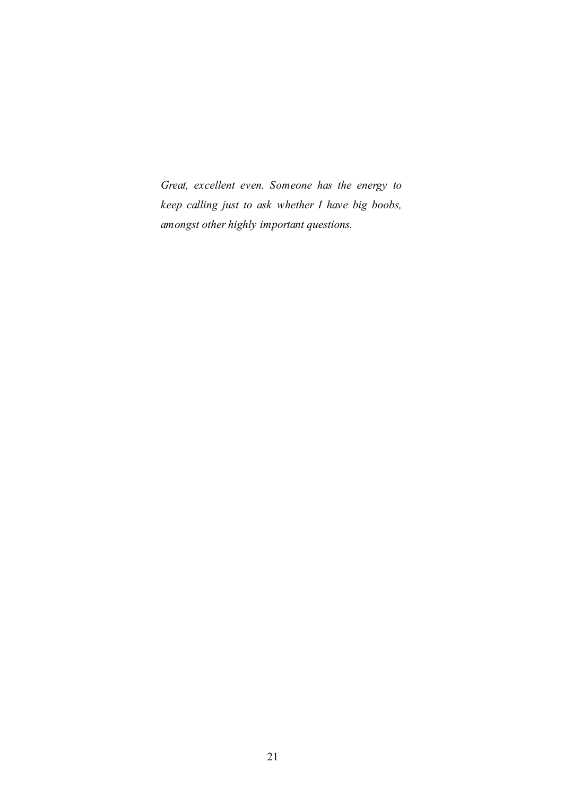*Great, excellent even. Someone has the energy to keep calling just to ask whether I have big boobs, amongst other highly important questions.*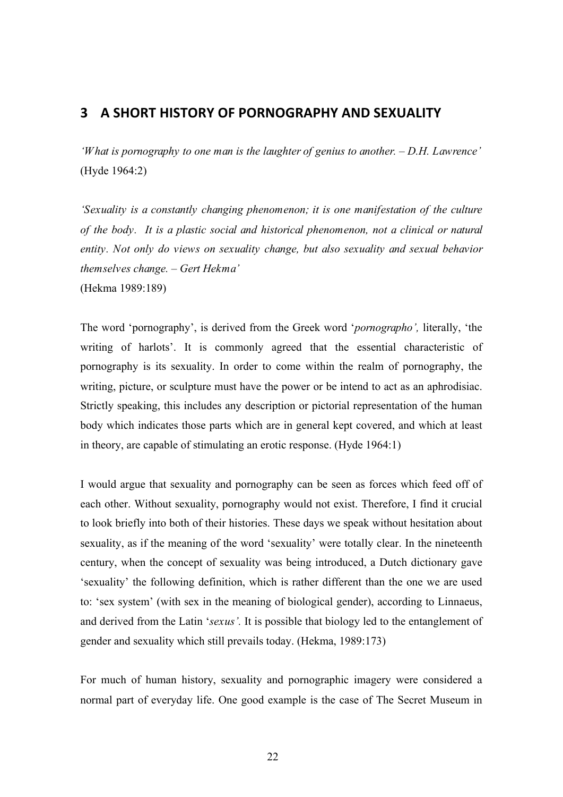## **3 A
SHORT HISTORY
OF PORNOGRAPHY
AND
SEXUALITY**

*'What is pornography to one man is the laughter of genius to another. – D.H. Lawrence'* (Hyde 1964:2)

*'Sexuality is a constantly changing phenomenon; it is one manifestation of the culture of the body. It is a plastic social and historical phenomenon, not a clinical or natural entity. Not only do views on sexuality change, but also sexuality and sexual behavior themselves change. – Gert Hekma'*  (Hekma 1989:189)

The word 'pornography', is derived from the Greek word '*pornographo',* literally, 'the writing of harlots'. It is commonly agreed that the essential characteristic of pornography is its sexuality. In order to come within the realm of pornography, the writing, picture, or sculpture must have the power or be intend to act as an aphrodisiac. Strictly speaking, this includes any description or pictorial representation of the human body which indicates those parts which are in general kept covered, and which at least in theory, are capable of stimulating an erotic response. (Hyde 1964:1)

I would argue that sexuality and pornography can be seen as forces which feed off of each other. Without sexuality, pornography would not exist. Therefore, I find it crucial to look briefly into both of their histories. These days we speak without hesitation about sexuality, as if the meaning of the word 'sexuality' were totally clear. In the nineteenth century, when the concept of sexuality was being introduced, a Dutch dictionary gave 'sexuality' the following definition, which is rather different than the one we are used to: 'sex system' (with sex in the meaning of biological gender), according to Linnaeus, and derived from the Latin '*sexus'.* It is possible that biology led to the entanglement of gender and sexuality which still prevails today. (Hekma, 1989:173)

For much of human history, sexuality and pornographic imagery were considered a normal part of everyday life. One good example is the case of The Secret Museum in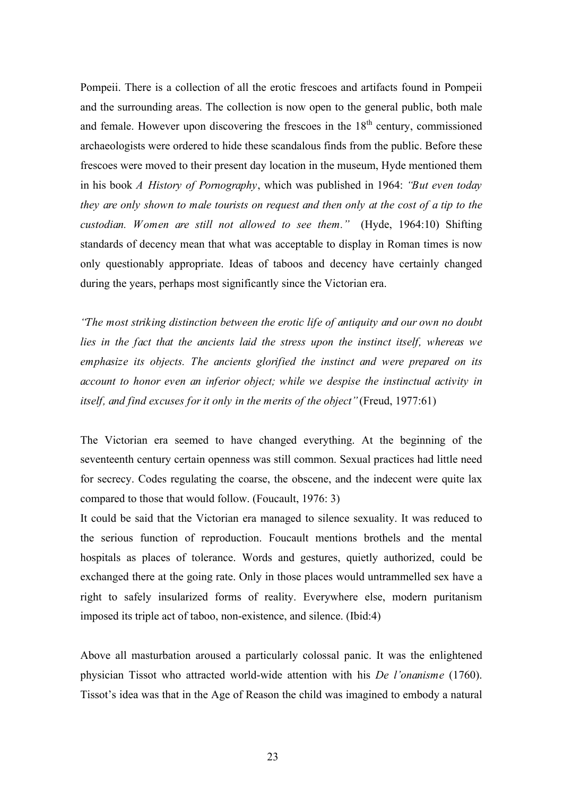Pompeii. There is a collection of all the erotic frescoes and artifacts found in Pompeii and the surrounding areas. The collection is now open to the general public, both male and female. However upon discovering the frescoes in the  $18<sup>th</sup>$  century, commissioned archaeologists were ordered to hide these scandalous finds from the public. Before these frescoes were moved to their present day location in the museum, Hyde mentioned them in his book *A History of Pornography*, which was published in 1964: *"But even today they are only shown to male tourists on request and then only at the cost of a tip to the custodian. Women are still not allowed to see them."* (Hyde, 1964:10) Shifting standards of decency mean that what was acceptable to display in Roman times is now only questionably appropriate. Ideas of taboos and decency have certainly changed during the years, perhaps most significantly since the Victorian era.

*"The most striking distinction between the erotic life of antiquity and our own no doubt lies in the fact that the ancients laid the stress upon the instinct itself, whereas we emphasize its objects. The ancients glorified the instinct and were prepared on its account to honor even an inferior object; while we despise the instinctual activity in itself, and find excuses for it only in the merits of the object"* (Freud, 1977:61)

The Victorian era seemed to have changed everything. At the beginning of the seventeenth century certain openness was still common. Sexual practices had little need for secrecy. Codes regulating the coarse, the obscene, and the indecent were quite lax compared to those that would follow. (Foucault, 1976: 3)

It could be said that the Victorian era managed to silence sexuality. It was reduced to the serious function of reproduction. Foucault mentions brothels and the mental hospitals as places of tolerance. Words and gestures, quietly authorized, could be exchanged there at the going rate. Only in those places would untrammelled sex have a right to safely insularized forms of reality. Everywhere else, modern puritanism imposed its triple act of taboo, non-existence, and silence. (Ibid:4)

Above all masturbation aroused a particularly colossal panic. It was the enlightened physician Tissot who attracted world-wide attention with his *De l'onanisme* (1760). Tissot's idea was that in the Age of Reason the child was imagined to embody a natural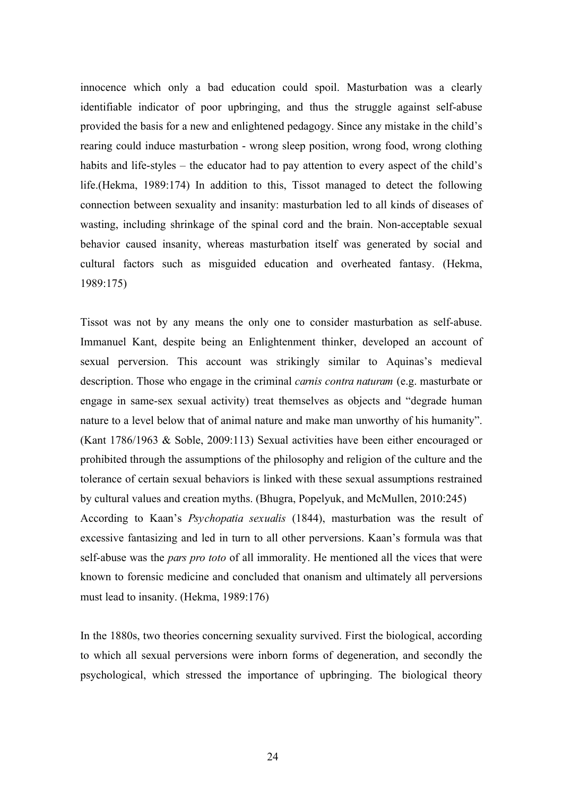innocence which only a bad education could spoil. Masturbation was a clearly identifiable indicator of poor upbringing, and thus the struggle against self-abuse provided the basis for a new and enlightened pedagogy. Since any mistake in the child's rearing could induce masturbation - wrong sleep position, wrong food, wrong clothing habits and life-styles – the educator had to pay attention to every aspect of the child's life.(Hekma, 1989:174) In addition to this, Tissot managed to detect the following connection between sexuality and insanity: masturbation led to all kinds of diseases of wasting, including shrinkage of the spinal cord and the brain. Non-acceptable sexual behavior caused insanity, whereas masturbation itself was generated by social and cultural factors such as misguided education and overheated fantasy. (Hekma, 1989:175)

Tissot was not by any means the only one to consider masturbation as self-abuse. Immanuel Kant, despite being an Enlightenment thinker, developed an account of sexual perversion. This account was strikingly similar to Aquinas's medieval description. Those who engage in the criminal *carnis contra naturam* (e.g. masturbate or engage in same-sex sexual activity) treat themselves as objects and "degrade human nature to a level below that of animal nature and make man unworthy of his humanity". (Kant 1786/1963 & Soble, 2009:113) Sexual activities have been either encouraged or prohibited through the assumptions of the philosophy and religion of the culture and the tolerance of certain sexual behaviors is linked with these sexual assumptions restrained by cultural values and creation myths. (Bhugra, Popelyuk, and McMullen, 2010:245) According to Kaan's *Psychopatia sexualis* (1844), masturbation was the result of excessive fantasizing and led in turn to all other perversions. Kaan's formula was that self-abuse was the *pars pro toto* of all immorality. He mentioned all the vices that were known to forensic medicine and concluded that onanism and ultimately all perversions must lead to insanity. (Hekma, 1989:176)

In the 1880s, two theories concerning sexuality survived. First the biological, according to which all sexual perversions were inborn forms of degeneration, and secondly the psychological, which stressed the importance of upbringing. The biological theory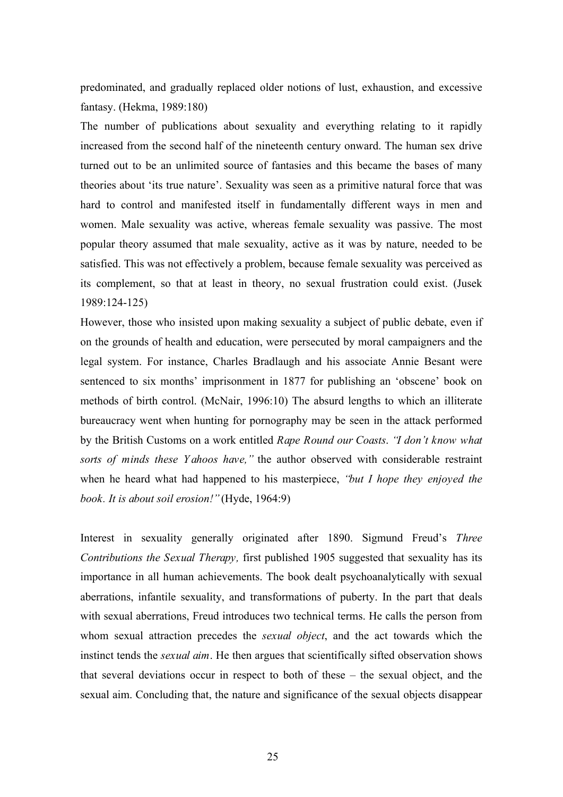predominated, and gradually replaced older notions of lust, exhaustion, and excessive fantasy. (Hekma, 1989:180)

The number of publications about sexuality and everything relating to it rapidly increased from the second half of the nineteenth century onward. The human sex drive turned out to be an unlimited source of fantasies and this became the bases of many theories about 'its true nature'. Sexuality was seen as a primitive natural force that was hard to control and manifested itself in fundamentally different ways in men and women. Male sexuality was active, whereas female sexuality was passive. The most popular theory assumed that male sexuality, active as it was by nature, needed to be satisfied. This was not effectively a problem, because female sexuality was perceived as its complement, so that at least in theory, no sexual frustration could exist. (Jusek 1989:124-125)

However, those who insisted upon making sexuality a subject of public debate, even if on the grounds of health and education, were persecuted by moral campaigners and the legal system. For instance, Charles Bradlaugh and his associate Annie Besant were sentenced to six months' imprisonment in 1877 for publishing an 'obscene' book on methods of birth control. (McNair, 1996:10) The absurd lengths to which an illiterate bureaucracy went when hunting for pornography may be seen in the attack performed by the British Customs on a work entitled *Rape Round our Coasts*. *"I don't know what sorts of minds these Y ahoos have,"* the author observed with considerable restraint when he heard what had happened to his masterpiece, *"but I hope they enjoyed the book. It is about soil erosion!"*(Hyde, 1964:9)

Interest in sexuality generally originated after 1890. Sigmund Freud's *Three Contributions the Sexual Therapy,* first published 1905 suggested that sexuality has its importance in all human achievements. The book dealt psychoanalytically with sexual aberrations, infantile sexuality, and transformations of puberty. In the part that deals with sexual aberrations, Freud introduces two technical terms. He calls the person from whom sexual attraction precedes the *sexual object*, and the act towards which the instinct tends the *sexual aim*. He then argues that scientifically sifted observation shows that several deviations occur in respect to both of these – the sexual object, and the sexual aim. Concluding that, the nature and significance of the sexual objects disappear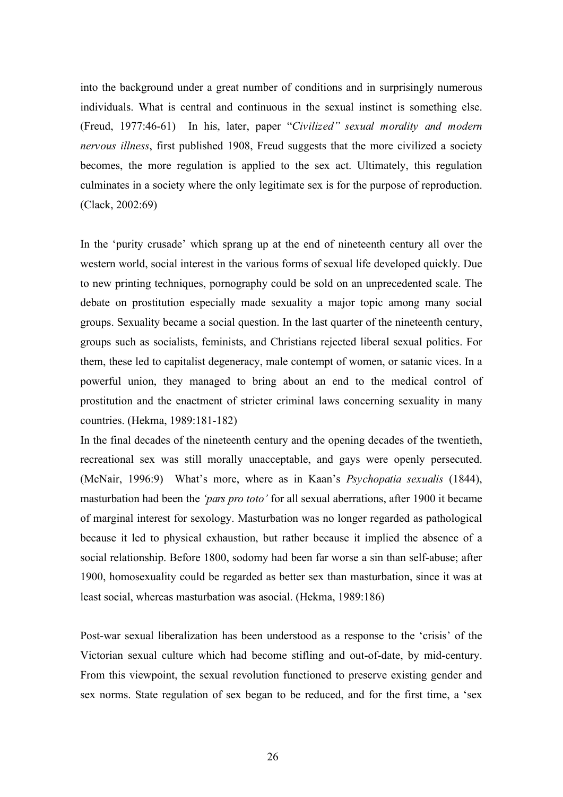into the background under a great number of conditions and in surprisingly numerous individuals. What is central and continuous in the sexual instinct is something else. (Freud, 1977:46-61) In his, later, paper "*Civilized" sexual morality and modern nervous illness*, first published 1908, Freud suggests that the more civilized a society becomes, the more regulation is applied to the sex act. Ultimately, this regulation culminates in a society where the only legitimate sex is for the purpose of reproduction. (Clack, 2002:69)

In the 'purity crusade' which sprang up at the end of nineteenth century all over the western world, social interest in the various forms of sexual life developed quickly. Due to new printing techniques, pornography could be sold on an unprecedented scale. The debate on prostitution especially made sexuality a major topic among many social groups. Sexuality became a social question. In the last quarter of the nineteenth century, groups such as socialists, feminists, and Christians rejected liberal sexual politics. For them, these led to capitalist degeneracy, male contempt of women, or satanic vices. In a powerful union, they managed to bring about an end to the medical control of prostitution and the enactment of stricter criminal laws concerning sexuality in many countries. (Hekma, 1989:181-182)

In the final decades of the nineteenth century and the opening decades of the twentieth, recreational sex was still morally unacceptable, and gays were openly persecuted. (McNair, 1996:9) What's more, where as in Kaan's *Psychopatia sexualis* (1844), masturbation had been the *'pars pro toto'* for all sexual aberrations, after 1900 it became of marginal interest for sexology. Masturbation was no longer regarded as pathological because it led to physical exhaustion, but rather because it implied the absence of a social relationship. Before 1800, sodomy had been far worse a sin than self-abuse; after 1900, homosexuality could be regarded as better sex than masturbation, since it was at least social, whereas masturbation was asocial. (Hekma, 1989:186)

Post-war sexual liberalization has been understood as a response to the 'crisis' of the Victorian sexual culture which had become stifling and out-of-date, by mid-century. From this viewpoint, the sexual revolution functioned to preserve existing gender and sex norms. State regulation of sex began to be reduced, and for the first time, a 'sex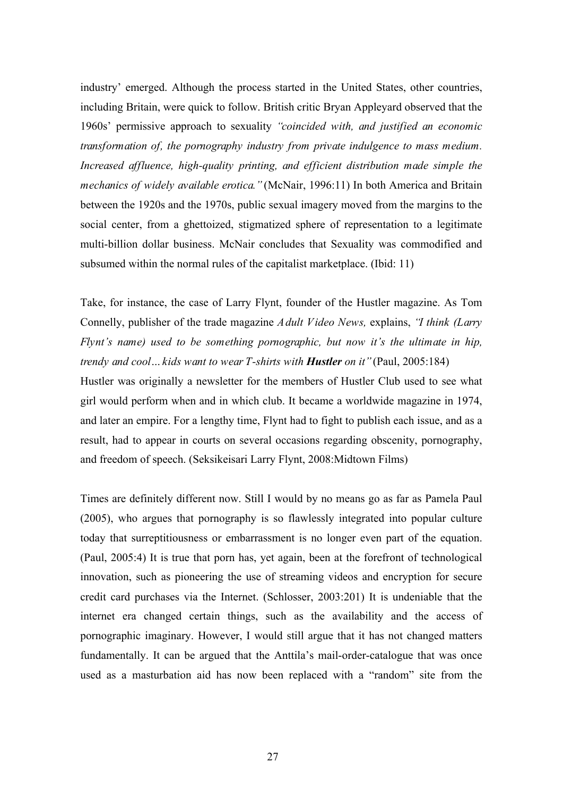industry' emerged. Although the process started in the United States, other countries, including Britain, were quick to follow. British critic Bryan Appleyard observed that the 1960s' permissive approach to sexuality *"coincided with, and justified an economic transformation of, the pornography industry from private indulgence to mass medium. Increased affluence, high-quality printing, and efficient distribution made simple the mechanics of widely available erotica.*" (McNair, 1996:11) In both America and Britain between the 1920s and the 1970s, public sexual imagery moved from the margins to the social center, from a ghettoized, stigmatized sphere of representation to a legitimate multi-billion dollar business. McNair concludes that Sexuality was commodified and subsumed within the normal rules of the capitalist marketplace. (Ibid: 11)

Take, for instance, the case of Larry Flynt, founder of the Hustler magazine. As Tom Connelly, publisher of the trade magazine *Adult Video News,* explains, *"I think (Larry Flynt's name) used to be something pornographic, but now it's the ultimate in hip, trendy and cool... kids want to wear T-shirts with <i>Hustler on it* "(Paul, 2005:184)

Hustler was originally a newsletter for the members of Hustler Club used to see what girl would perform when and in which club. It became a worldwide magazine in 1974, and later an empire. For a lengthy time, Flynt had to fight to publish each issue, and as a result, had to appear in courts on several occasions regarding obscenity, pornography, and freedom of speech. (Seksikeisari Larry Flynt, 2008:Midtown Films)

Times are definitely different now. Still I would by no means go as far as Pamela Paul (2005), who argues that pornography is so flawlessly integrated into popular culture today that surreptitiousness or embarrassment is no longer even part of the equation. (Paul, 2005:4) It is true that porn has, yet again, been at the forefront of technological innovation, such as pioneering the use of streaming videos and encryption for secure credit card purchases via the Internet. (Schlosser, 2003:201) It is undeniable that the internet era changed certain things, such as the availability and the access of pornographic imaginary. However, I would still argue that it has not changed matters fundamentally. It can be argued that the Anttila's mail-order-catalogue that was once used as a masturbation aid has now been replaced with a "random" site from the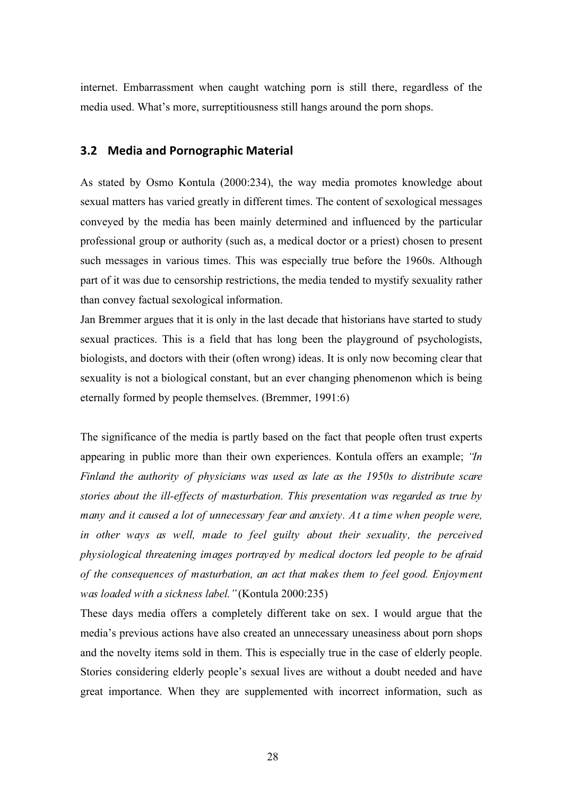internet. Embarrassment when caught watching porn is still there, regardless of the media used. What's more, surreptitiousness still hangs around the porn shops.

### **3.2 Media
and
Pornographic
Material**

As stated by Osmo Kontula (2000:234), the way media promotes knowledge about sexual matters has varied greatly in different times. The content of sexological messages conveyed by the media has been mainly determined and influenced by the particular professional group or authority (such as, a medical doctor or a priest) chosen to present such messages in various times. This was especially true before the 1960s. Although part of it was due to censorship restrictions, the media tended to mystify sexuality rather than convey factual sexological information.

Jan Bremmer argues that it is only in the last decade that historians have started to study sexual practices. This is a field that has long been the playground of psychologists, biologists, and doctors with their (often wrong) ideas. It is only now becoming clear that sexuality is not a biological constant, but an ever changing phenomenon which is being eternally formed by people themselves. (Bremmer, 1991:6)

The significance of the media is partly based on the fact that people often trust experts appearing in public more than their own experiences. Kontula offers an example; *"In Finland the authority of physicians was used as late as the 1950s to distribute scare stories about the ill-effects of masturbation. This presentation was regarded as true by many and it caused a lot of unnecessary fear and anxiety. At a time when people were, in other ways as well, made to feel guilty about their sexuality, the perceived physiological threatening images portrayed by medical doctors led people to be afraid of the consequences of masturbation, an act that makes them to feel good. Enjoyment was loaded with a sickness label."* (Kontula 2000:235)

These days media offers a completely different take on sex. I would argue that the media's previous actions have also created an unnecessary uneasiness about porn shops and the novelty items sold in them. This is especially true in the case of elderly people. Stories considering elderly people's sexual lives are without a doubt needed and have great importance. When they are supplemented with incorrect information, such as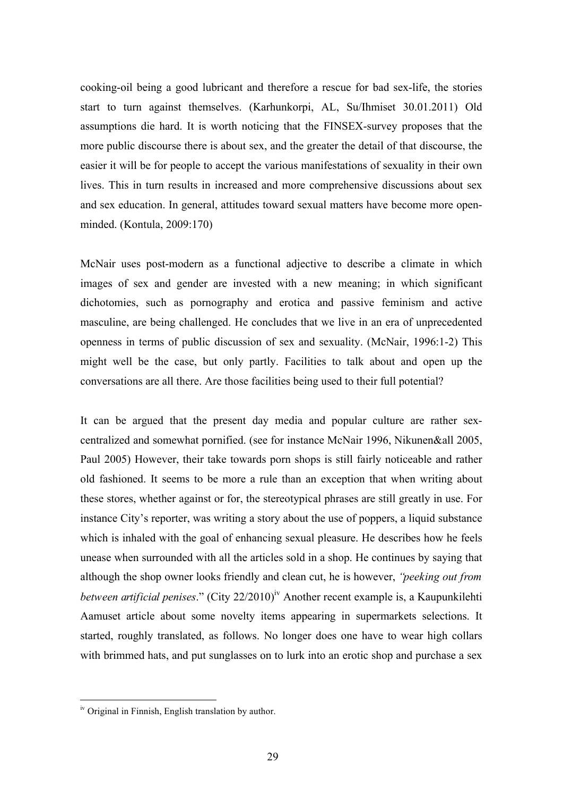cooking-oil being a good lubricant and therefore a rescue for bad sex-life, the stories start to turn against themselves. (Karhunkorpi, AL, Su/Ihmiset 30.01.2011) Old assumptions die hard. It is worth noticing that the FINSEX-survey proposes that the more public discourse there is about sex, and the greater the detail of that discourse, the easier it will be for people to accept the various manifestations of sexuality in their own lives. This in turn results in increased and more comprehensive discussions about sex and sex education. In general, attitudes toward sexual matters have become more openminded. (Kontula, 2009:170)

McNair uses post-modern as a functional adjective to describe a climate in which images of sex and gender are invested with a new meaning; in which significant dichotomies, such as pornography and erotica and passive feminism and active masculine, are being challenged. He concludes that we live in an era of unprecedented openness in terms of public discussion of sex and sexuality. (McNair, 1996:1-2) This might well be the case, but only partly. Facilities to talk about and open up the conversations are all there. Are those facilities being used to their full potential?

It can be argued that the present day media and popular culture are rather sexcentralized and somewhat pornified. (see for instance McNair 1996, Nikunen&all 2005, Paul 2005) However, their take towards porn shops is still fairly noticeable and rather old fashioned. It seems to be more a rule than an exception that when writing about these stores, whether against or for, the stereotypical phrases are still greatly in use. For instance City's reporter, was writing a story about the use of poppers, a liquid substance which is inhaled with the goal of enhancing sexual pleasure. He describes how he feels unease when surrounded with all the articles sold in a shop. He continues by saying that although the shop owner looks friendly and clean cut, he is however, *"peeking out from between artificial penises.*" (City 22/2010)<sup>iv</sup> Another recent example is, a Kaupunkilehti Aamuset article about some novelty items appearing in supermarkets selections. It started, roughly translated, as follows. No longer does one have to wear high collars with brimmed hats, and put sunglasses on to lurk into an erotic shop and purchase a sex

iv Original in Finnish, English translation by author.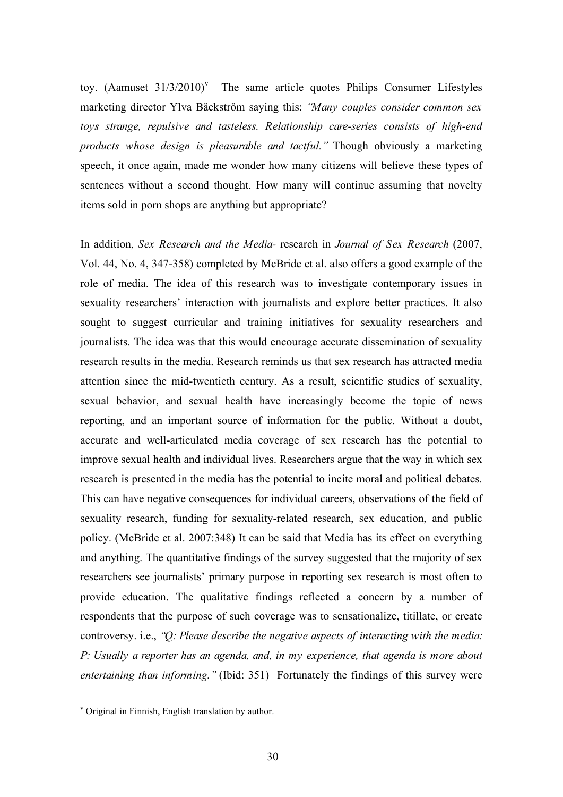toy. (Aamuset  $31/3/2010$ <sup>y</sup> The same article quotes Philips Consumer Lifestyles marketing director Ylva Bäckström saying this: *"Many couples consider common sex toys strange, repulsive and tasteless. Relationship care-series consists of high-end products whose design is pleasurable and tactful."* Though obviously a marketing speech, it once again, made me wonder how many citizens will believe these types of sentences without a second thought. How many will continue assuming that novelty items sold in porn shops are anything but appropriate?

In addition, *Sex Research and the Media-* research in *Journal of Sex Research* (2007, Vol. 44, No. 4, 347-358) completed by McBride et al. also offers a good example of the role of media. The idea of this research was to investigate contemporary issues in sexuality researchers' interaction with journalists and explore better practices. It also sought to suggest curricular and training initiatives for sexuality researchers and journalists. The idea was that this would encourage accurate dissemination of sexuality research results in the media. Research reminds us that sex research has attracted media attention since the mid-twentieth century. As a result, scientific studies of sexuality, sexual behavior, and sexual health have increasingly become the topic of news reporting, and an important source of information for the public. Without a doubt, accurate and well-articulated media coverage of sex research has the potential to improve sexual health and individual lives. Researchers argue that the way in which sex research is presented in the media has the potential to incite moral and political debates. This can have negative consequences for individual careers, observations of the field of sexuality research, funding for sexuality-related research, sex education, and public policy. (McBride et al. 2007:348) It can be said that Media has its effect on everything and anything. The quantitative findings of the survey suggested that the majority of sex researchers see journalists' primary purpose in reporting sex research is most often to provide education. The qualitative findings reflected a concern by a number of respondents that the purpose of such coverage was to sensationalize, titillate, or create controversy. i.e., *"Q: Please describe the negative aspects of interacting with the media: P: Usually a reporter has an agenda, and, in my experience, that agenda is more about entertaining than informing."* (Ibid: 351) Fortunately the findings of this survey were

v Original in Finnish, English translation by author.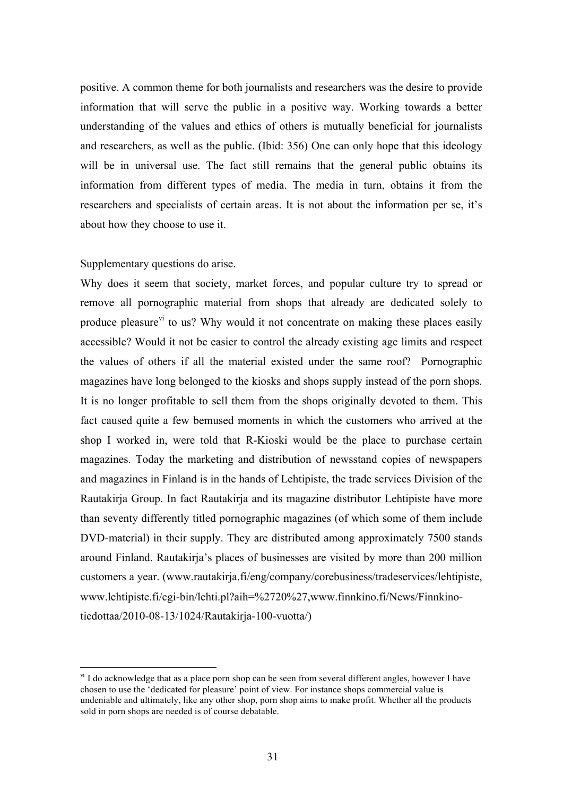positive. A common theme for both journalists and researchers was the desire to provide information that will serve the public in a positive way. Working towards a better understanding of the values and ethics of others is mutually beneficial for journalists and researchers, as well as the public. (Ibid: 356) One can only hope that this ideology will be in universal use. The fact still remains that the general public obtains its information from different types of media. The media in turn, obtains it from the researchers and specialists of certain areas. It is not about the information per se, it's about how they choose to use it.

### Supplementary questions do arise.

Why does it seem that society, market forces, and popular culture try to spread or remove all pornographic material from shops that already are dedicated solely to produce pleasure<sup>vi</sup> to us? Why would it not concentrate on making these places easily accessible? Would it not be easier to control the already existing age limits and respect the values of others if all the material existed under the same roof? Pornographic magazines have long belonged to the kiosks and shops supply instead of the porn shops. It is no longer profitable to sell them from the shops originally devoted to them. This fact caused quite a few bemused moments in which the customers who arrived at the shop I worked in, were told that R-Kioski would be the place to purchase certain magazines. Today the marketing and distribution of newsstand copies of newspapers and magazines in Finland is in the hands of Lehtipiste, the trade services Division of the Rautakirja Group. In fact Rautakirja and its magazine distributor Lehtipiste have more than seventy differently titled pornographic magazines (of which some of them include DVD-material) in their supply. They are distributed among approximately 7500 stands around Finland. Rautakirja's places of businesses are visited by more than 200 million customers a year. (www.rautakirja.fi/eng/company/corebusiness/tradeservices/lehtipiste, www.lehtipiste.fi/cgi-bin/lehti.pl?aih=%2720%27,www.finnkino.fi/News/Finnkinotiedottaa/2010-08-13/1024/Rautakirja-100-vuotta/)

<sup>&</sup>lt;sup>vi</sup> I do acknowledge that as a place porn shop can be seen from several different angles, however I have chosen to use the 'dedicated for pleasure' point of view. For instance shops commercial value is undeniable and ultimately, like any other shop, porn shop aims to make profit. Whether all the products sold in porn shops are needed is of course debatable.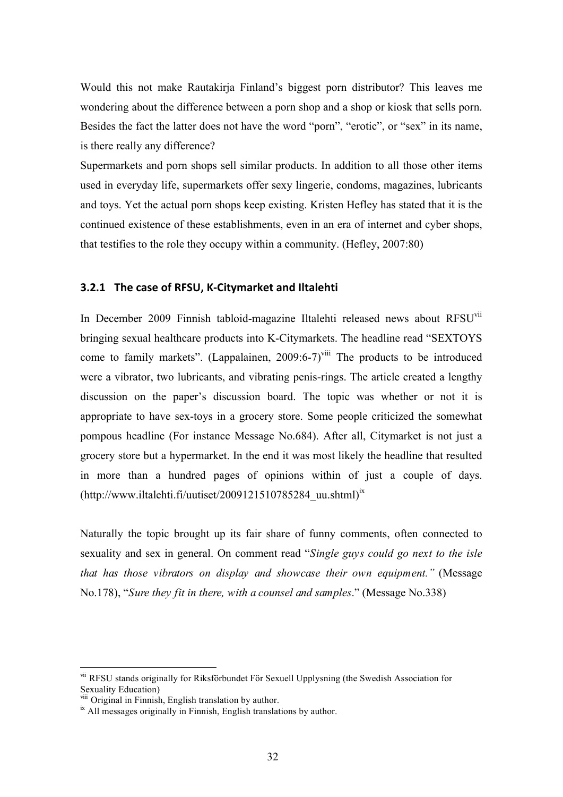Would this not make Rautakirja Finland's biggest porn distributor? This leaves me wondering about the difference between a porn shop and a shop or kiosk that sells porn. Besides the fact the latter does not have the word "porn", "erotic", or "sex" in its name, is there really any difference?

Supermarkets and porn shops sell similar products. In addition to all those other items used in everyday life, supermarkets offer sexy lingerie, condoms, magazines, lubricants and toys. Yet the actual porn shops keep existing. Kristen Hefley has stated that it is the continued existence of these establishments, even in an era of internet and cyber shops, that testifies to the role they occupy within a community. (Hefley, 2007:80)

## **3.2.1 The
case
of
RFSU,
K‐Citymarket
and
Iltalehti**

In December 2009 Finnish tabloid-magazine Iltalehti released news about RFSUvii bringing sexual healthcare products into K-Citymarkets. The headline read "SEXTOYS come to family markets". (Lappalainen,  $2009:6-7$ <sup>viii</sup> The products to be introduced were a vibrator, two lubricants, and vibrating penis-rings. The article created a lengthy discussion on the paper's discussion board. The topic was whether or not it is appropriate to have sex-toys in a grocery store. Some people criticized the somewhat pompous headline (For instance Message No.684). After all, Citymarket is not just a grocery store but a hypermarket. In the end it was most likely the headline that resulted in more than a hundred pages of opinions within of just a couple of days.  $(http://www.iltalehti.fi/uutiset/2009121510785284 uu.shtml)<sup>ix</sup>$ 

Naturally the topic brought up its fair share of funny comments, often connected to sexuality and sex in general. On comment read "*Single guys could go next to the isle that has those vibrators on display and showcase their own equipment."* (Message No.178), "*Sure they fit in there, with a counsel and samples*." (Message No.338)

vii RFSU stands originally for Riksförbundet För Sexuell Upplysning (the Swedish Association for Sexuality Education)<br>
<sup>viii</sup> Original in Finnish, English translation by author.

 $\frac{ix}{x}$  All messages originally in Finnish, English translations by author.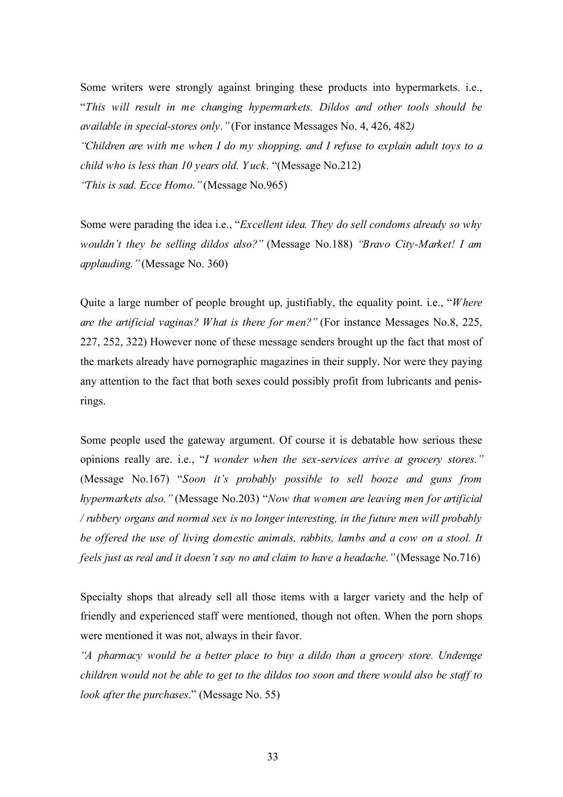Some writers were strongly against bringing these products into hypermarkets. i.e., "*This will result in me changing hypermarkets. Dildos and other tools should be available in special-stores only."*(For instance Messages No. 4, 426, 482*) "Children are with me when I do my shopping, and I refuse to explain adult toys to a child who is less than 10 years old. Y uck.* "(Message No.212) *"This is sad. Ecce Homo."*(Message No.965)

Some were parading the idea i.e., "*Excellent idea. They do sell condoms already so why wouldn't they be selling dildos also?"* (Message No.188) *"Bravo City-Market! I am applauding."*(Message No. 360)

Quite a large number of people brought up, justifiably, the equality point. i.e., "*Where are the artificial vaginas? What is there for men?"* (For instance Messages No.8, 225, 227, 252, 322) However none of these message senders brought up the fact that most of the markets already have pornographic magazines in their supply. Nor were they paying any attention to the fact that both sexes could possibly profit from lubricants and penisrings.

Some people used the gateway argument. Of course it is debatable how serious these opinions really are. i.e., "*I wonder when the sex-services arrive at grocery stores."* (Message No.167) "*Soon it's probably possible to sell booze and guns from hypermarkets also."* (Message No.203) "*Now that women are leaving men for artificial / rubbery organs and normal sex is no longer interesting, in the future men will probably be offered the use of living domestic animals, rabbits, lambs and a cow on a stool. It feels just as real and it doesn't say no and claim to have a headache."*(Message No.716)

Specialty shops that already sell all those items with a larger variety and the help of friendly and experienced staff were mentioned, though not often. When the porn shops were mentioned it was not, always in their favor.

*"A pharmacy would be a better place to buy a dildo than a grocery store. Underage children would not be able to get to the dildos too soon and there would also be staff to look after the purchases*." (Message No. 55)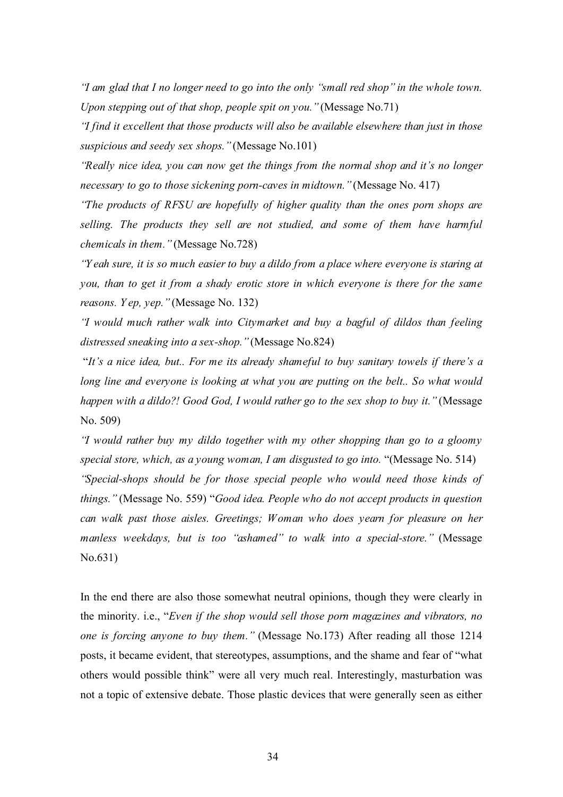*"I am glad that I no longer need to go into the only "small red shop" in the whole town. Upon stepping out of that shop, people spit on you."*(Message No.71)

*"I find it excellent that those products will also be available elsewhere than just in those suspicious and seedy sex shops."*(Message No.101)

*"Really nice idea, you can now get the things from the normal shop and it's no longer necessary to go to those sickening porn-caves in midtown."*(Message No. 417)

*"The products of RFSU are hopefully of higher quality than the ones porn shops are selling. The products they sell are not studied, and some of them have harmful chemicals in them."*(Message No.728)

*"Y eah sure, it is so much easier to buy a dildo from a place where everyone is staring at you, than to get it from a shady erotic store in which everyone is there for the same reasons. Y ep, yep."*(Message No. 132)

*"I would much rather walk into Citymarket and buy a bagful of dildos than feeling distressed sneaking into a sex-shop."*(Message No.824)

"*It's a nice idea, but.. For me its already shameful to buy sanitary towels if there's a long line and everyone is looking at what you are putting on the belt.. So what would happen with a dildo?! Good God, I would rather go to the sex shop to buy it."* (Message No. 509)

*"I would rather buy my dildo together with my other shopping than go to a gloomy special store, which, as a young woman, I am disgusted to go into.* "(Message No. 514) *"Special-shops should be for those special people who would need those kinds of things."* (Message No. 559) "*Good idea. People who do not accept products in question can walk past those aisles. Greetings; Woman who does yearn for pleasure on her manless weekdays, but is too "ashamed" to walk into a special-store."* (Message No.631)

In the end there are also those somewhat neutral opinions, though they were clearly in the minority. i.e., "*Even if the shop would sell those porn magazines and vibrators, no one is forcing anyone to buy them."* (Message No.173) After reading all those 1214 posts, it became evident, that stereotypes, assumptions, and the shame and fear of "what others would possible think" were all very much real. Interestingly, masturbation was not a topic of extensive debate. Those plastic devices that were generally seen as either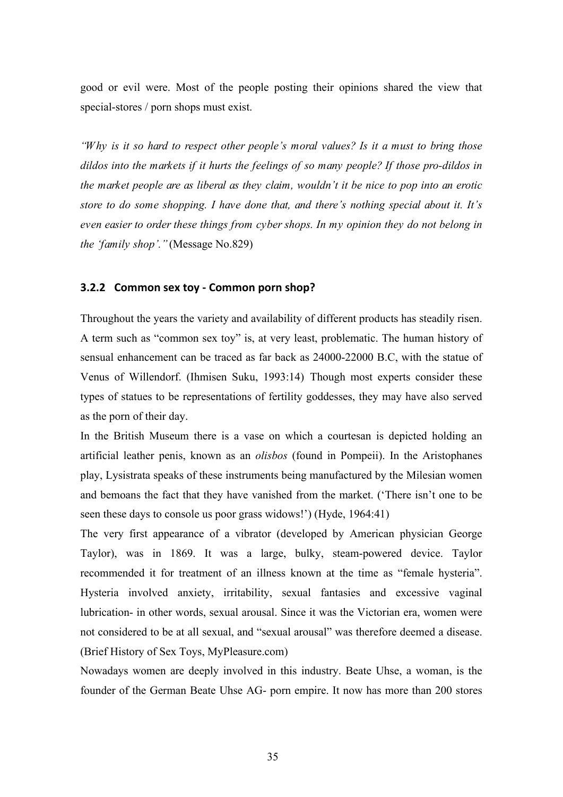good or evil were. Most of the people posting their opinions shared the view that special-stores / porn shops must exist.

*"Why is it so hard to respect other people's moral values? Is it a must to bring those dildos into the markets if it hurts the feelings of so many people? If those pro-dildos in the market people are as liberal as they claim, wouldn't it be nice to pop into an erotic store to do some shopping. I have done that, and there's nothing special about it. It's even easier to order these things from cyber shops. In my opinion they do not belong in the 'family shop'."*(Message No.829)

#### **3.2.2 Common
sex
toy
‐ Common
porn
shop?**

Throughout the years the variety and availability of different products has steadily risen. A term such as "common sex toy" is, at very least, problematic. The human history of sensual enhancement can be traced as far back as 24000-22000 B.C, with the statue of Venus of Willendorf. (Ihmisen Suku, 1993:14) Though most experts consider these types of statues to be representations of fertility goddesses, they may have also served as the porn of their day.

In the British Museum there is a vase on which a courtesan is depicted holding an artificial leather penis, known as an *olisbos* (found in Pompeii). In the Aristophanes play, Lysistrata speaks of these instruments being manufactured by the Milesian women and bemoans the fact that they have vanished from the market. ('There isn't one to be seen these days to console us poor grass widows!') (Hyde, 1964:41)

The very first appearance of a vibrator (developed by American physician George Taylor), was in 1869. It was a large, bulky, steam-powered device. Taylor recommended it for treatment of an illness known at the time as "female hysteria". Hysteria involved anxiety, irritability, sexual fantasies and excessive vaginal lubrication- in other words, sexual arousal. Since it was the Victorian era, women were not considered to be at all sexual, and "sexual arousal" was therefore deemed a disease. (Brief History of Sex Toys, MyPleasure.com)

Nowadays women are deeply involved in this industry. Beate Uhse, a woman, is the founder of the German Beate Uhse AG- porn empire. It now has more than 200 stores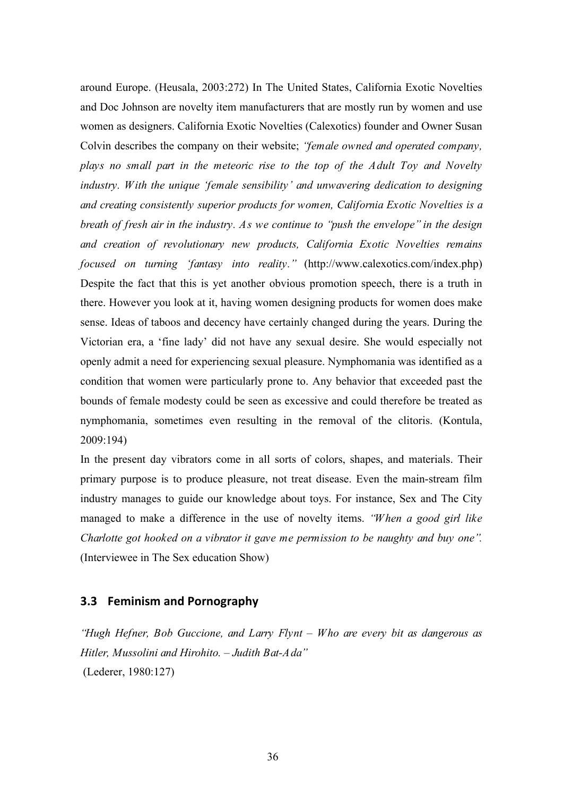around Europe. (Heusala, 2003:272) In The United States, California Exotic Novelties and Doc Johnson are novelty item manufacturers that are mostly run by women and use women as designers. California Exotic Novelties (Calexotics) founder and Owner Susan Colvin describes the company on their website; *"female owned and operated company, plays no small part in the meteoric rise to the top of the Adult Toy and Novelty industry. With the unique 'female sensibility' and unwavering dedication to designing and creating consistently superior products for women, California Exotic Novelties is a breath of fresh air in the industry. As we continue to "push the envelope" in the design and creation of revolutionary new products, California Exotic Novelties remains focused on turning 'fantasy into reality."* (http://www.calexotics.com/index.php) Despite the fact that this is yet another obvious promotion speech, there is a truth in there. However you look at it, having women designing products for women does make sense. Ideas of taboos and decency have certainly changed during the years. During the Victorian era, a 'fine lady' did not have any sexual desire. She would especially not openly admit a need for experiencing sexual pleasure. Nymphomania was identified as a condition that women were particularly prone to. Any behavior that exceeded past the bounds of female modesty could be seen as excessive and could therefore be treated as nymphomania, sometimes even resulting in the removal of the clitoris. (Kontula, 2009:194)

In the present day vibrators come in all sorts of colors, shapes, and materials. Their primary purpose is to produce pleasure, not treat disease. Even the main-stream film industry manages to guide our knowledge about toys. For instance, Sex and The City managed to make a difference in the use of novelty items. *"When a good girl like Charlotte got hooked on a vibrator it gave me permission to be naughty and buy one".* (Interviewee in The Sex education Show)

## **3.3 Feminism
and
Pornography**

*"Hugh Hefner, Bob Guccione, and Larry Flynt – Who are every bit as dangerous as Hitler, Mussolini and Hirohito. – Judith Bat-Ada"* (Lederer, 1980:127)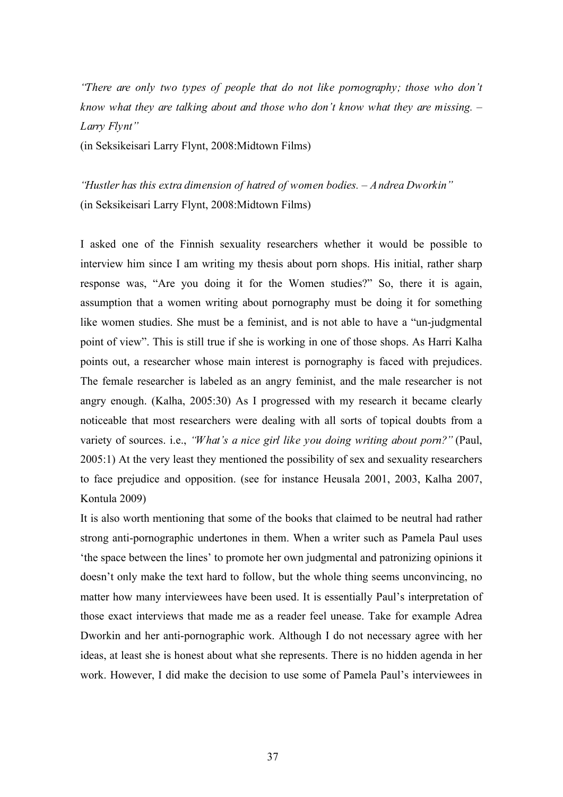*"There are only two types of people that do not like pornography; those who don't know what they are talking about and those who don't know what they are missing. – Larry Flynt"*

(in Seksikeisari Larry Flynt, 2008:Midtown Films)

*"Hustler has this extra dimension of hatred of women bodies. – Andrea Dworkin"* (in Seksikeisari Larry Flynt, 2008:Midtown Films)

I asked one of the Finnish sexuality researchers whether it would be possible to interview him since I am writing my thesis about porn shops. His initial, rather sharp response was, "Are you doing it for the Women studies?" So, there it is again, assumption that a women writing about pornography must be doing it for something like women studies. She must be a feminist, and is not able to have a "un-judgmental point of view". This is still true if she is working in one of those shops. As Harri Kalha points out, a researcher whose main interest is pornography is faced with prejudices. The female researcher is labeled as an angry feminist, and the male researcher is not angry enough. (Kalha, 2005:30) As I progressed with my research it became clearly noticeable that most researchers were dealing with all sorts of topical doubts from a variety of sources. i.e., *"What's a nice girl like you doing writing about porn?"* (Paul, 2005:1) At the very least they mentioned the possibility of sex and sexuality researchers to face prejudice and opposition. (see for instance Heusala 2001, 2003, Kalha 2007, Kontula 2009)

It is also worth mentioning that some of the books that claimed to be neutral had rather strong anti-pornographic undertones in them. When a writer such as Pamela Paul uses 'the space between the lines' to promote her own judgmental and patronizing opinions it doesn't only make the text hard to follow, but the whole thing seems unconvincing, no matter how many interviewees have been used. It is essentially Paul's interpretation of those exact interviews that made me as a reader feel unease. Take for example Adrea Dworkin and her anti-pornographic work. Although I do not necessary agree with her ideas, at least she is honest about what she represents. There is no hidden agenda in her work. However, I did make the decision to use some of Pamela Paul's interviewees in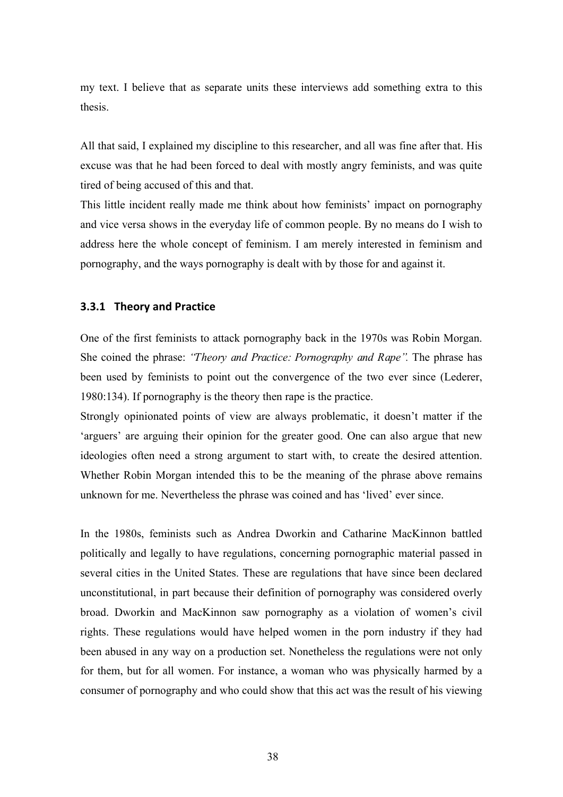my text. I believe that as separate units these interviews add something extra to this thesis.

All that said, I explained my discipline to this researcher, and all was fine after that. His excuse was that he had been forced to deal with mostly angry feminists, and was quite tired of being accused of this and that.

This little incident really made me think about how feminists' impact on pornography and vice versa shows in the everyday life of common people. By no means do I wish to address here the whole concept of feminism. I am merely interested in feminism and pornography, and the ways pornography is dealt with by those for and against it.

## **3.3.1 Theory
and
Practice**

One of the first feminists to attack pornography back in the 1970s was Robin Morgan. She coined the phrase: *"Theory and Practice: Pornography and Rape".* The phrase has been used by feminists to point out the convergence of the two ever since (Lederer, 1980:134). If pornography is the theory then rape is the practice.

Strongly opinionated points of view are always problematic, it doesn't matter if the 'arguers' are arguing their opinion for the greater good. One can also argue that new ideologies often need a strong argument to start with, to create the desired attention. Whether Robin Morgan intended this to be the meaning of the phrase above remains unknown for me. Nevertheless the phrase was coined and has 'lived' ever since.

In the 1980s, feminists such as Andrea Dworkin and Catharine MacKinnon battled politically and legally to have regulations, concerning pornographic material passed in several cities in the United States. These are regulations that have since been declared unconstitutional, in part because their definition of pornography was considered overly broad. Dworkin and MacKinnon saw pornography as a violation of women's civil rights. These regulations would have helped women in the porn industry if they had been abused in any way on a production set. Nonetheless the regulations were not only for them, but for all women. For instance, a woman who was physically harmed by a consumer of pornography and who could show that this act was the result of his viewing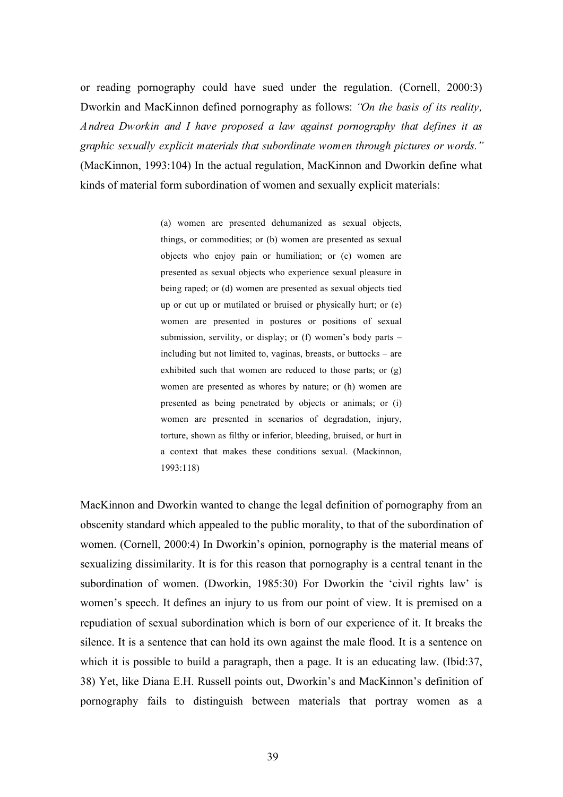or reading pornography could have sued under the regulation. (Cornell, 2000:3) Dworkin and MacKinnon defined pornography as follows: *"On the basis of its reality, Andrea Dworkin and I have proposed a law against pornography that defines it as graphic sexually explicit materials that subordinate women through pictures or words."* (MacKinnon, 1993:104) In the actual regulation, MacKinnon and Dworkin define what kinds of material form subordination of women and sexually explicit materials:

> (a) women are presented dehumanized as sexual objects, things, or commodities; or (b) women are presented as sexual objects who enjoy pain or humiliation; or (c) women are presented as sexual objects who experience sexual pleasure in being raped; or (d) women are presented as sexual objects tied up or cut up or mutilated or bruised or physically hurt; or (e) women are presented in postures or positions of sexual submission, servility, or display; or (f) women's body parts – including but not limited to, vaginas, breasts, or buttocks – are exhibited such that women are reduced to those parts; or (g) women are presented as whores by nature; or (h) women are presented as being penetrated by objects or animals; or (i) women are presented in scenarios of degradation, injury, torture, shown as filthy or inferior, bleeding, bruised, or hurt in a context that makes these conditions sexual. (Mackinnon, 1993:118)

MacKinnon and Dworkin wanted to change the legal definition of pornography from an obscenity standard which appealed to the public morality, to that of the subordination of women. (Cornell, 2000:4) In Dworkin's opinion, pornography is the material means of sexualizing dissimilarity. It is for this reason that pornography is a central tenant in the subordination of women. (Dworkin, 1985:30) For Dworkin the 'civil rights law' is women's speech. It defines an injury to us from our point of view. It is premised on a repudiation of sexual subordination which is born of our experience of it. It breaks the silence. It is a sentence that can hold its own against the male flood. It is a sentence on which it is possible to build a paragraph, then a page. It is an educating law. (Ibid:37, 38) Yet, like Diana E.H. Russell points out, Dworkin's and MacKinnon's definition of pornography fails to distinguish between materials that portray women as a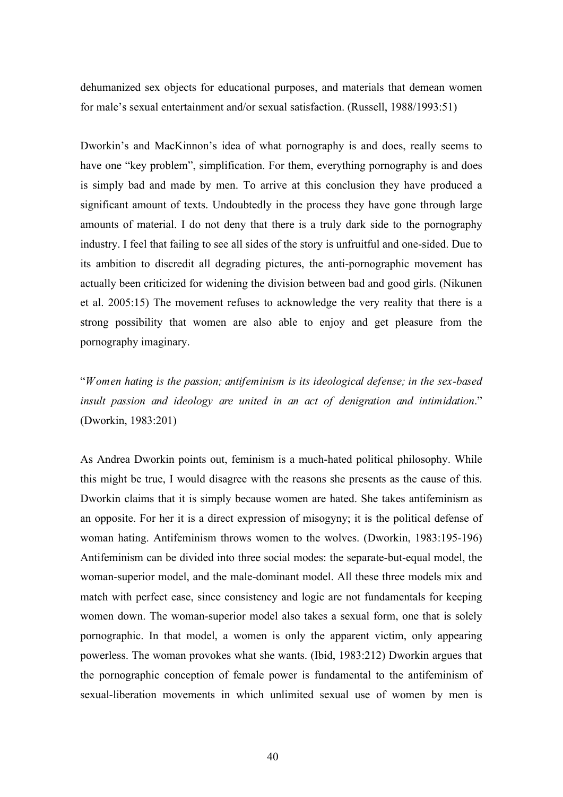dehumanized sex objects for educational purposes, and materials that demean women for male's sexual entertainment and/or sexual satisfaction. (Russell, 1988/1993:51)

Dworkin's and MacKinnon's idea of what pornography is and does, really seems to have one "key problem", simplification. For them, everything pornography is and does is simply bad and made by men. To arrive at this conclusion they have produced a significant amount of texts. Undoubtedly in the process they have gone through large amounts of material. I do not deny that there is a truly dark side to the pornography industry. I feel that failing to see all sides of the story is unfruitful and one-sided. Due to its ambition to discredit all degrading pictures, the anti-pornographic movement has actually been criticized for widening the division between bad and good girls. (Nikunen et al. 2005:15) The movement refuses to acknowledge the very reality that there is a strong possibility that women are also able to enjoy and get pleasure from the pornography imaginary.

"*Women hating is the passion; antifeminism is its ideological defense; in the sex-based insult passion and ideology are united in an act of denigration and intimidation*." (Dworkin, 1983:201)

As Andrea Dworkin points out, feminism is a much-hated political philosophy. While this might be true, I would disagree with the reasons she presents as the cause of this. Dworkin claims that it is simply because women are hated. She takes antifeminism as an opposite. For her it is a direct expression of misogyny; it is the political defense of woman hating. Antifeminism throws women to the wolves. (Dworkin, 1983:195-196) Antifeminism can be divided into three social modes: the separate-but-equal model, the woman-superior model, and the male-dominant model. All these three models mix and match with perfect ease, since consistency and logic are not fundamentals for keeping women down. The woman-superior model also takes a sexual form, one that is solely pornographic. In that model, a women is only the apparent victim, only appearing powerless. The woman provokes what she wants. (Ibid, 1983:212) Dworkin argues that the pornographic conception of female power is fundamental to the antifeminism of sexual-liberation movements in which unlimited sexual use of women by men is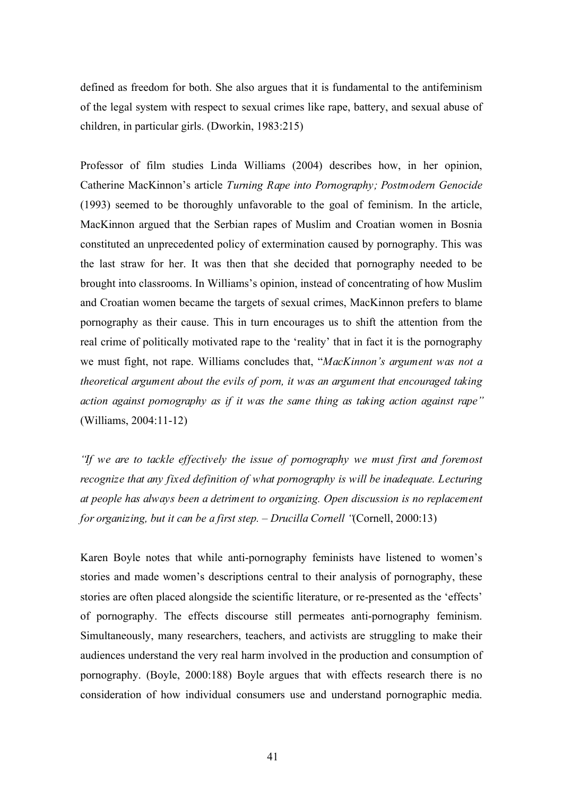defined as freedom for both. She also argues that it is fundamental to the antifeminism of the legal system with respect to sexual crimes like rape, battery, and sexual abuse of children, in particular girls. (Dworkin, 1983:215)

Professor of film studies Linda Williams (2004) describes how, in her opinion, Catherine MacKinnon's article *Turning Rape into Pornography; Postmodern Genocide* (1993) seemed to be thoroughly unfavorable to the goal of feminism. In the article, MacKinnon argued that the Serbian rapes of Muslim and Croatian women in Bosnia constituted an unprecedented policy of extermination caused by pornography. This was the last straw for her. It was then that she decided that pornography needed to be brought into classrooms. In Williams's opinion, instead of concentrating of how Muslim and Croatian women became the targets of sexual crimes, MacKinnon prefers to blame pornography as their cause. This in turn encourages us to shift the attention from the real crime of politically motivated rape to the 'reality' that in fact it is the pornography we must fight, not rape. Williams concludes that, "*MacKinnon's argument was not a theoretical argument about the evils of porn, it was an argument that encouraged taking action against pornography as if it was the same thing as taking action against rape"*  (Williams, 2004:11-12)

*"If we are to tackle effectively the issue of pornography we must first and foremost recognize that any fixed definition of what pornography is will be inadequate. Lecturing at people has always been a detriment to organizing. Open discussion is no replacement for organizing, but it can be a first step. – Drucilla Cornell "*(Cornell, 2000:13)

Karen Boyle notes that while anti-pornography feminists have listened to women's stories and made women's descriptions central to their analysis of pornography, these stories are often placed alongside the scientific literature, or re-presented as the 'effects' of pornography. The effects discourse still permeates anti-pornography feminism. Simultaneously, many researchers, teachers, and activists are struggling to make their audiences understand the very real harm involved in the production and consumption of pornography. (Boyle, 2000:188) Boyle argues that with effects research there is no consideration of how individual consumers use and understand pornographic media.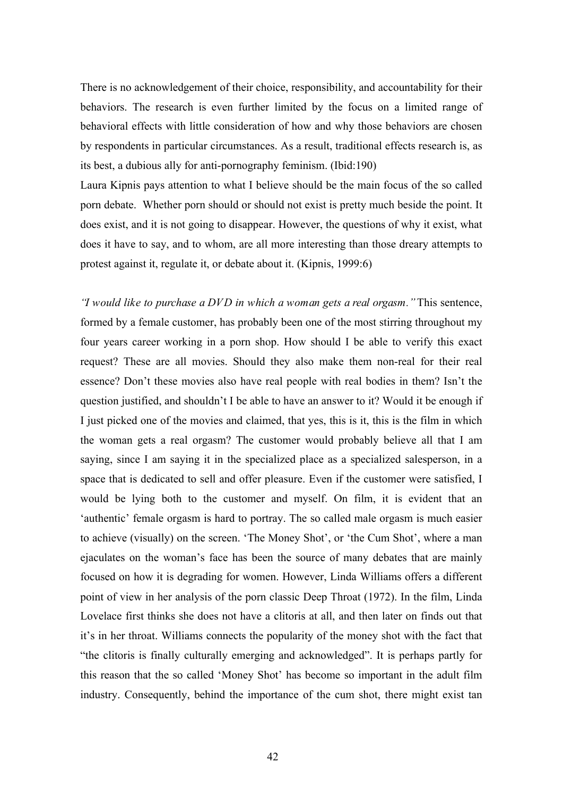There is no acknowledgement of their choice, responsibility, and accountability for their behaviors. The research is even further limited by the focus on a limited range of behavioral effects with little consideration of how and why those behaviors are chosen by respondents in particular circumstances. As a result, traditional effects research is, as its best, a dubious ally for anti-pornography feminism. (Ibid:190)

Laura Kipnis pays attention to what I believe should be the main focus of the so called porn debate. Whether porn should or should not exist is pretty much beside the point. It does exist, and it is not going to disappear. However, the questions of why it exist, what does it have to say, and to whom, are all more interesting than those dreary attempts to protest against it, regulate it, or debate about it. (Kipnis, 1999:6)

*"I would like to purchase a DVD in which a woman gets a real orgasm."* This sentence, formed by a female customer, has probably been one of the most stirring throughout my four years career working in a porn shop. How should I be able to verify this exact request? These are all movies. Should they also make them non-real for their real essence? Don't these movies also have real people with real bodies in them? Isn't the question justified, and shouldn't I be able to have an answer to it? Would it be enough if I just picked one of the movies and claimed, that yes, this is it, this is the film in which the woman gets a real orgasm? The customer would probably believe all that I am saying, since I am saying it in the specialized place as a specialized salesperson, in a space that is dedicated to sell and offer pleasure. Even if the customer were satisfied, I would be lying both to the customer and myself. On film, it is evident that an 'authentic' female orgasm is hard to portray. The so called male orgasm is much easier to achieve (visually) on the screen. 'The Money Shot', or 'the Cum Shot', where a man ejaculates on the woman's face has been the source of many debates that are mainly focused on how it is degrading for women. However, Linda Williams offers a different point of view in her analysis of the porn classic Deep Throat (1972). In the film, Linda Lovelace first thinks she does not have a clitoris at all, and then later on finds out that it's in her throat. Williams connects the popularity of the money shot with the fact that "the clitoris is finally culturally emerging and acknowledged". It is perhaps partly for this reason that the so called 'Money Shot' has become so important in the adult film industry. Consequently, behind the importance of the cum shot, there might exist tan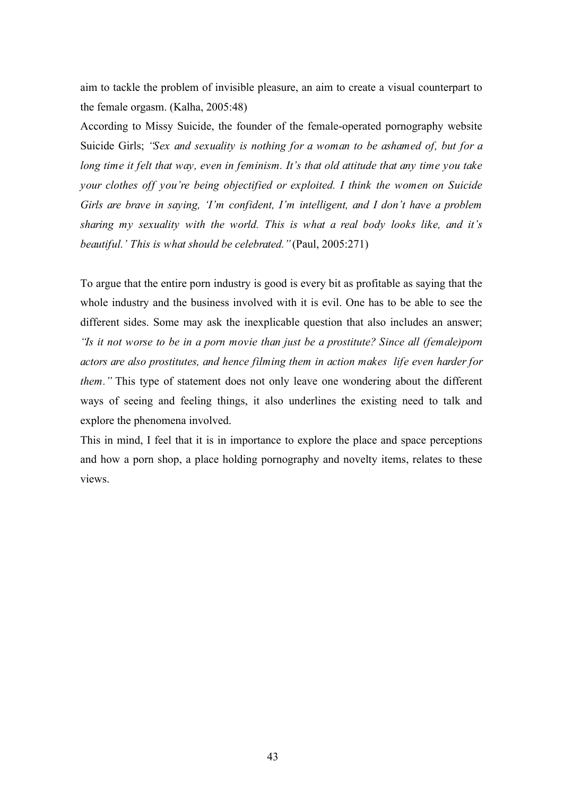aim to tackle the problem of invisible pleasure, an aim to create a visual counterpart to the female orgasm. (Kalha, 2005:48)

According to Missy Suicide, the founder of the female-operated pornography website Suicide Girls; *"Sex and sexuality is nothing for a woman to be ashamed of, but for a long time it felt that way, even in feminism. It's that old attitude that any time you take your clothes off you're being objectified or exploited. I think the women on Suicide Girls are brave in saying, 'I'm confident, I'm intelligent, and I don't have a problem sharing my sexuality with the world. This is what a real body looks like, and it's beautiful.' This is what should be celebrated."*(Paul, 2005:271)

To argue that the entire porn industry is good is every bit as profitable as saying that the whole industry and the business involved with it is evil. One has to be able to see the different sides. Some may ask the inexplicable question that also includes an answer; *"Is it not worse to be in a porn movie than just be a prostitute? Since all (female)porn actors are also prostitutes, and hence filming them in action makes life even harder for them."* This type of statement does not only leave one wondering about the different ways of seeing and feeling things, it also underlines the existing need to talk and explore the phenomena involved.

This in mind, I feel that it is in importance to explore the place and space perceptions and how a porn shop, a place holding pornography and novelty items, relates to these views.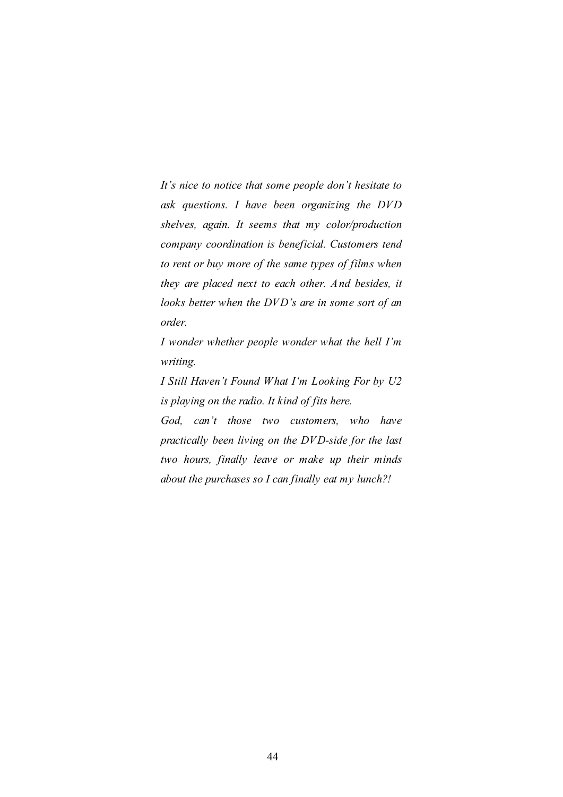*It's nice to notice that some people don't hesitate to ask questions. I have been organizing the DVD shelves, again. It seems that my color/production company coordination is beneficial. Customers tend to rent or buy more of the same types of films when they are placed next to each other. And besides, it looks better when the DVD's are in some sort of an order.* 

*I wonder whether people wonder what the hell I'm writing.* 

*I Still Haven't Found What I'm Looking For by U2 is playing on the radio. It kind of fits here.*

*God, can't those two customers, who have practically been living on the DVD-side for the last two hours, finally leave or make up their minds about the purchases so I can finally eat my lunch?!*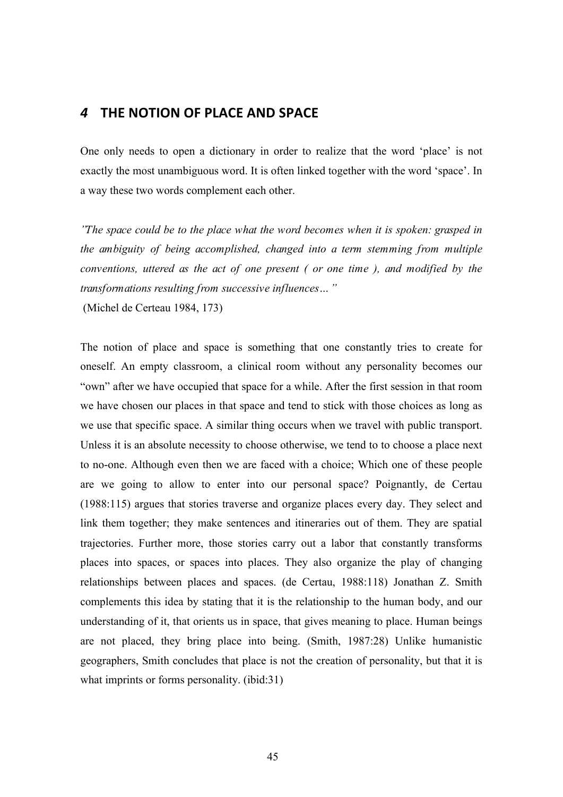## *4* **THE
NOTION
OF
PLACE
AND
SPACE**

One only needs to open a dictionary in order to realize that the word 'place' is not exactly the most unambiguous word. It is often linked together with the word 'space'. In a way these two words complement each other.

*"The space could be to the place what the word becomes when it is spoken: grasped in the ambiguity of being accomplished, changed into a term stemming from multiple conventions, uttered as the act of one present ( or one time ), and modified by the transformations resulting from successive influences…"*

(Michel de Certeau 1984, 173)

The notion of place and space is something that one constantly tries to create for oneself. An empty classroom, a clinical room without any personality becomes our "own" after we have occupied that space for a while. After the first session in that room we have chosen our places in that space and tend to stick with those choices as long as we use that specific space. A similar thing occurs when we travel with public transport. Unless it is an absolute necessity to choose otherwise, we tend to to choose a place next to no-one. Although even then we are faced with a choice; Which one of these people are we going to allow to enter into our personal space? Poignantly, de Certau (1988:115) argues that stories traverse and organize places every day. They select and link them together; they make sentences and itineraries out of them. They are spatial trajectories. Further more, those stories carry out a labor that constantly transforms places into spaces, or spaces into places. They also organize the play of changing relationships between places and spaces. (de Certau, 1988:118) Jonathan Z. Smith complements this idea by stating that it is the relationship to the human body, and our understanding of it, that orients us in space, that gives meaning to place. Human beings are not placed, they bring place into being. (Smith, 1987:28) Unlike humanistic geographers, Smith concludes that place is not the creation of personality, but that it is what imprints or forms personality. (ibid:31)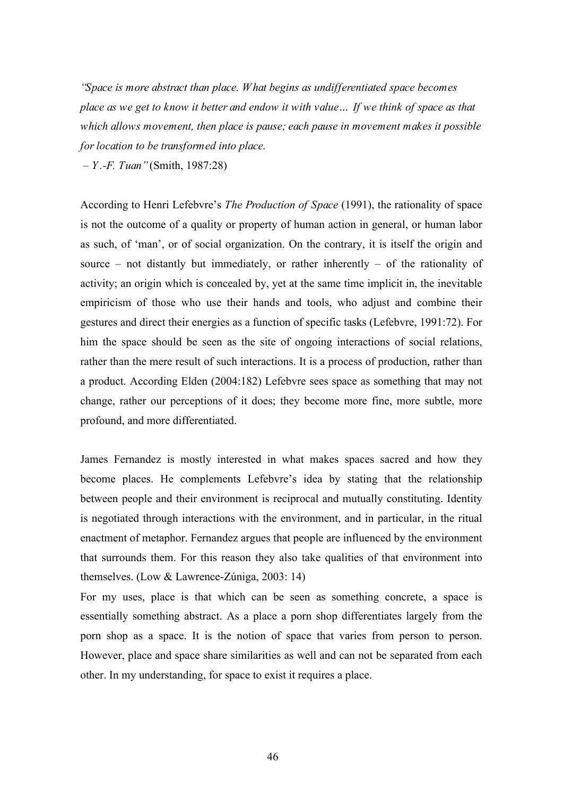*"Space is more abstract than place. What begins as undifferentiated space becomes place as we get to know it better and endow it with value… If we think of space as that which allows movement, then place is pause; each pause in movement makes it possible for location to be transformed into place.*

*– Y .-F. Tuan"* (Smith, 1987:28)

According to Henri Lefebvre's *The Production of Space* (1991), the rationality of space is not the outcome of a quality or property of human action in general, or human labor as such, of 'man', or of social organization. On the contrary, it is itself the origin and source – not distantly but immediately, or rather inherently – of the rationality of activity; an origin which is concealed by, yet at the same time implicit in, the inevitable empiricism of those who use their hands and tools, who adjust and combine their gestures and direct their energies as a function of specific tasks (Lefebvre, 1991:72). For him the space should be seen as the site of ongoing interactions of social relations, rather than the mere result of such interactions. It is a process of production, rather than a product. According Elden (2004:182) Lefebvre sees space as something that may not change, rather our perceptions of it does; they become more fine, more subtle, more profound, and more differentiated.

James Fernandez is mostly interested in what makes spaces sacred and how they become places. He complements Lefebvre's idea by stating that the relationship between people and their environment is reciprocal and mutually constituting. Identity is negotiated through interactions with the environment, and in particular, in the ritual enactment of metaphor. Fernandez argues that people are influenced by the environment that surrounds them. For this reason they also take qualities of that environment into themselves. (Low & Lawrence-Zúniga, 2003: 14)

For my uses, place is that which can be seen as something concrete, a space is essentially something abstract. As a place a porn shop differentiates largely from the porn shop as a space. It is the notion of space that varies from person to person. However, place and space share similarities as well and can not be separated from each other. In my understanding, for space to exist it requires a place.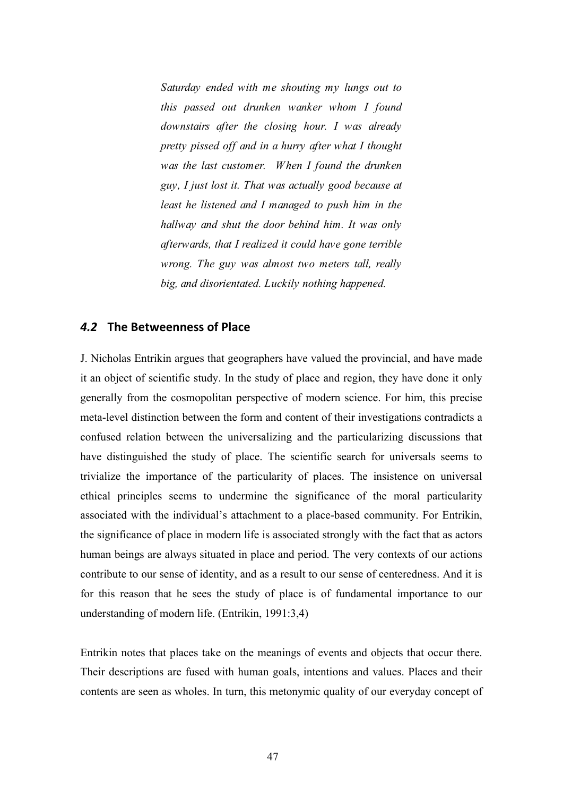*Saturday ended with me shouting my lungs out to this passed out drunken wanker whom I found downstairs after the closing hour. I was already pretty pissed off and in a hurry after what I thought was the last customer. When I found the drunken guy, I just lost it. That was actually good because at least he listened and I managed to push him in the hallway and shut the door behind him. It was only afterwards, that I realized it could have gone terrible wrong. The guy was almost two meters tall, really big, and disorientated. Luckily nothing happened.* 

### *4.2* **The
Betweenness
of
Place**

J. Nicholas Entrikin argues that geographers have valued the provincial, and have made it an object of scientific study. In the study of place and region, they have done it only generally from the cosmopolitan perspective of modern science. For him, this precise meta-level distinction between the form and content of their investigations contradicts a confused relation between the universalizing and the particularizing discussions that have distinguished the study of place. The scientific search for universals seems to trivialize the importance of the particularity of places. The insistence on universal ethical principles seems to undermine the significance of the moral particularity associated with the individual's attachment to a place-based community. For Entrikin, the significance of place in modern life is associated strongly with the fact that as actors human beings are always situated in place and period. The very contexts of our actions contribute to our sense of identity, and as a result to our sense of centeredness. And it is for this reason that he sees the study of place is of fundamental importance to our understanding of modern life. (Entrikin, 1991:3,4)

Entrikin notes that places take on the meanings of events and objects that occur there. Their descriptions are fused with human goals, intentions and values. Places and their contents are seen as wholes. In turn, this metonymic quality of our everyday concept of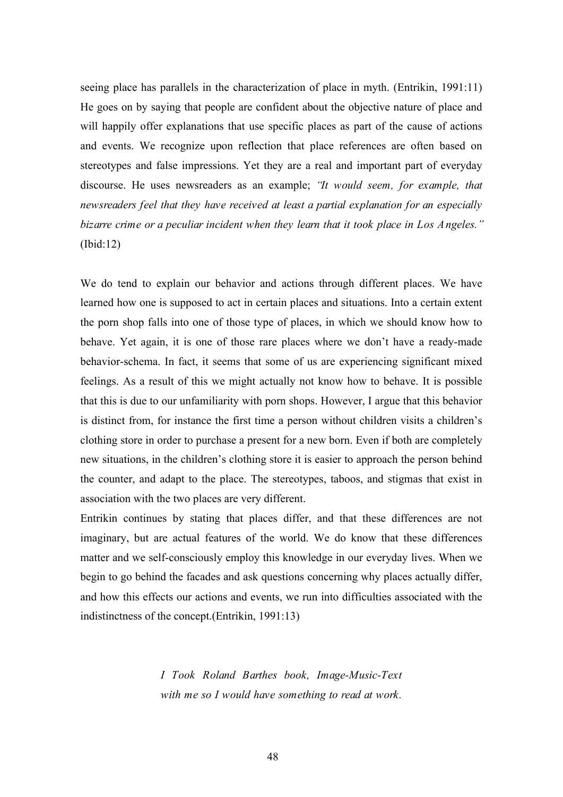seeing place has parallels in the characterization of place in myth. (Entrikin, 1991:11) He goes on by saying that people are confident about the objective nature of place and will happily offer explanations that use specific places as part of the cause of actions and events. We recognize upon reflection that place references are often based on stereotypes and false impressions. Yet they are a real and important part of everyday discourse. He uses newsreaders as an example; *"It would seem, for example, that newsreaders feel that they have received at least a partial explanation for an especially bizarre crime or a peculiar incident when they learn that it took place in Los Angeles."* (Ibid:12)

We do tend to explain our behavior and actions through different places. We have learned how one is supposed to act in certain places and situations. Into a certain extent the porn shop falls into one of those type of places, in which we should know how to behave. Yet again, it is one of those rare places where we don't have a ready-made behavior-schema. In fact, it seems that some of us are experiencing significant mixed feelings. As a result of this we might actually not know how to behave. It is possible that this is due to our unfamiliarity with porn shops. However, I argue that this behavior is distinct from, for instance the first time a person without children visits a children's clothing store in order to purchase a present for a new born. Even if both are completely new situations, in the children's clothing store it is easier to approach the person behind the counter, and adapt to the place. The stereotypes, taboos, and stigmas that exist in association with the two places are very different.

Entrikin continues by stating that places differ, and that these differences are not imaginary, but are actual features of the world. We do know that these differences matter and we self-consciously employ this knowledge in our everyday lives. When we begin to go behind the facades and ask questions concerning why places actually differ, and how this effects our actions and events, we run into difficulties associated with the indistinctness of the concept.(Entrikin, 1991:13)

> *I Took Roland Barthes book, Image-Music-Text with me so I would have something to read at work.*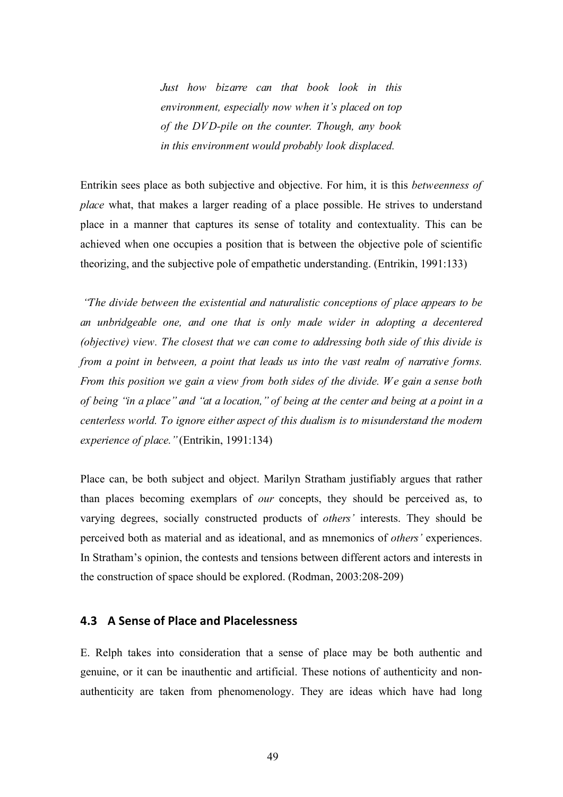*Just how bizarre can that book look in this environment, especially now when it's placed on top of the DVD-pile on the counter. Though, any book in this environment would probably look displaced.*

Entrikin sees place as both subjective and objective. For him, it is this *betweenness of place* what, that makes a larger reading of a place possible. He strives to understand place in a manner that captures its sense of totality and contextuality. This can be achieved when one occupies a position that is between the objective pole of scientific theorizing, and the subjective pole of empathetic understanding. (Entrikin, 1991:133)

*"The divide between the existential and naturalistic conceptions of place appears to be an unbridgeable one, and one that is only made wider in adopting a decentered (objective) view. The closest that we can come to addressing both side of this divide is from a point in between, a point that leads us into the vast realm of narrative forms. From this position we gain a view from both sides of the divide. We gain a sense both of being "in a place" and "at a location," of being at the center and being at a point in a centerless world. To ignore either aspect of this dualism is to misunderstand the modern experience of place."*(Entrikin, 1991:134)

Place can, be both subject and object. Marilyn Stratham justifiably argues that rather than places becoming exemplars of *our* concepts, they should be perceived as, to varying degrees, socially constructed products of *others'* interests. They should be perceived both as material and as ideational, and as mnemonics of *others'* experiences. In Stratham's opinion, the contests and tensions between different actors and interests in the construction of space should be explored. (Rodman, 2003:208-209)

## **4.3 A
Sense
of
Place
and
Placelessness**

E. Relph takes into consideration that a sense of place may be both authentic and genuine, or it can be inauthentic and artificial. These notions of authenticity and nonauthenticity are taken from phenomenology. They are ideas which have had long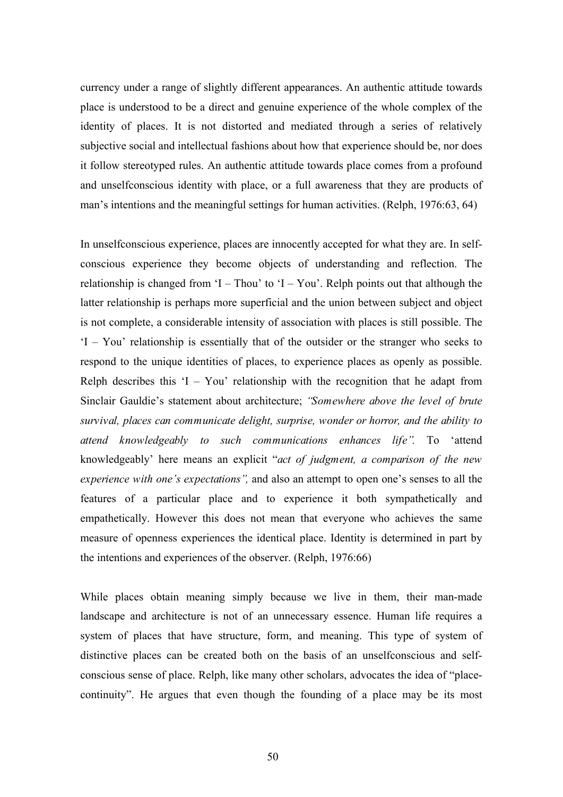currency under a range of slightly different appearances. An authentic attitude towards place is understood to be a direct and genuine experience of the whole complex of the identity of places. It is not distorted and mediated through a series of relatively subjective social and intellectual fashions about how that experience should be, nor does it follow stereotyped rules. An authentic attitude towards place comes from a profound and unselfconscious identity with place, or a full awareness that they are products of man's intentions and the meaningful settings for human activities. (Relph, 1976:63, 64)

In unselfconscious experience, places are innocently accepted for what they are. In selfconscious experience they become objects of understanding and reflection. The relationship is changed from 'I – Thou' to 'I – You'. Relph points out that although the latter relationship is perhaps more superficial and the union between subject and object is not complete, a considerable intensity of association with places is still possible. The 'I – You' relationship is essentially that of the outsider or the stranger who seeks to respond to the unique identities of places, to experience places as openly as possible. Relph describes this  $I - You'$  relationship with the recognition that he adapt from Sinclair Gauldie's statement about architecture; *"Somewhere above the level of brute survival, places can communicate delight, surprise, wonder or horror, and the ability to attend knowledgeably to such communications enhances life".* To 'attend knowledgeably' here means an explicit "*act of judgment, a comparison of the new experience with one's expectations",* and also an attempt to open one's senses to all the features of a particular place and to experience it both sympathetically and empathetically. However this does not mean that everyone who achieves the same measure of openness experiences the identical place. Identity is determined in part by the intentions and experiences of the observer. (Relph, 1976:66)

While places obtain meaning simply because we live in them, their man-made landscape and architecture is not of an unnecessary essence. Human life requires a system of places that have structure, form, and meaning. This type of system of distinctive places can be created both on the basis of an unselfconscious and selfconscious sense of place. Relph, like many other scholars, advocates the idea of "placecontinuity". He argues that even though the founding of a place may be its most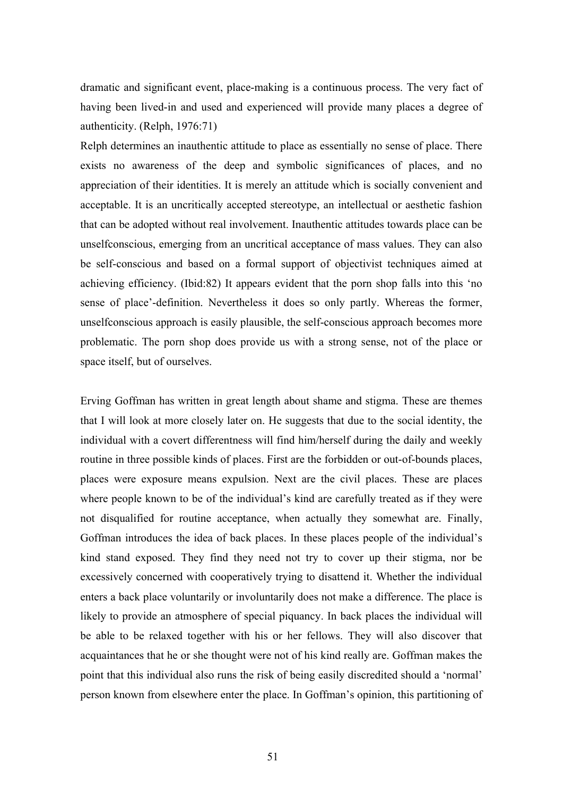dramatic and significant event, place-making is a continuous process. The very fact of having been lived-in and used and experienced will provide many places a degree of authenticity. (Relph, 1976:71)

Relph determines an inauthentic attitude to place as essentially no sense of place. There exists no awareness of the deep and symbolic significances of places, and no appreciation of their identities. It is merely an attitude which is socially convenient and acceptable. It is an uncritically accepted stereotype, an intellectual or aesthetic fashion that can be adopted without real involvement. Inauthentic attitudes towards place can be unselfconscious, emerging from an uncritical acceptance of mass values. They can also be self-conscious and based on a formal support of objectivist techniques aimed at achieving efficiency. (Ibid:82) It appears evident that the porn shop falls into this 'no sense of place'-definition. Nevertheless it does so only partly. Whereas the former, unselfconscious approach is easily plausible, the self-conscious approach becomes more problematic. The porn shop does provide us with a strong sense, not of the place or space itself, but of ourselves.

Erving Goffman has written in great length about shame and stigma. These are themes that I will look at more closely later on. He suggests that due to the social identity, the individual with a covert differentness will find him/herself during the daily and weekly routine in three possible kinds of places. First are the forbidden or out-of-bounds places, places were exposure means expulsion. Next are the civil places. These are places where people known to be of the individual's kind are carefully treated as if they were not disqualified for routine acceptance, when actually they somewhat are. Finally, Goffman introduces the idea of back places. In these places people of the individual's kind stand exposed. They find they need not try to cover up their stigma, nor be excessively concerned with cooperatively trying to disattend it. Whether the individual enters a back place voluntarily or involuntarily does not make a difference. The place is likely to provide an atmosphere of special piquancy. In back places the individual will be able to be relaxed together with his or her fellows. They will also discover that acquaintances that he or she thought were not of his kind really are. Goffman makes the point that this individual also runs the risk of being easily discredited should a 'normal' person known from elsewhere enter the place. In Goffman's opinion, this partitioning of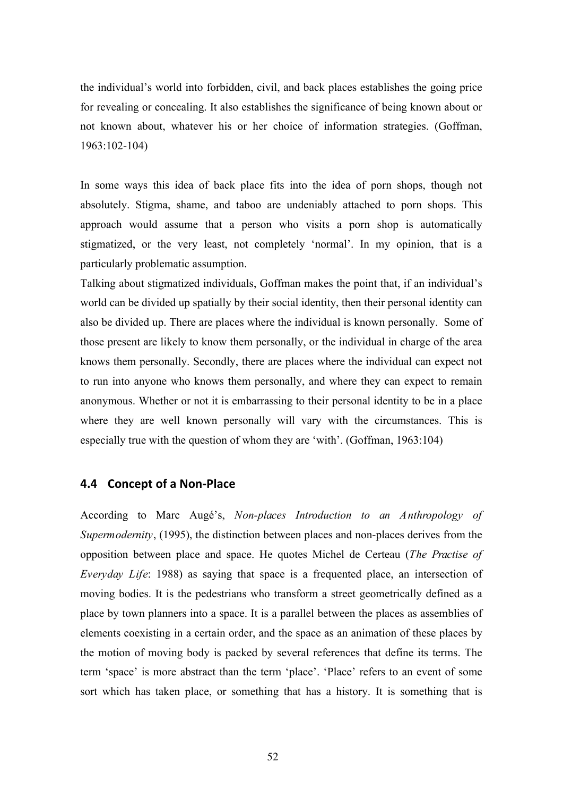the individual's world into forbidden, civil, and back places establishes the going price for revealing or concealing. It also establishes the significance of being known about or not known about, whatever his or her choice of information strategies. (Goffman, 1963:102-104)

In some ways this idea of back place fits into the idea of porn shops, though not absolutely. Stigma, shame, and taboo are undeniably attached to porn shops. This approach would assume that a person who visits a porn shop is automatically stigmatized, or the very least, not completely 'normal'. In my opinion, that is a particularly problematic assumption.

Talking about stigmatized individuals, Goffman makes the point that, if an individual's world can be divided up spatially by their social identity, then their personal identity can also be divided up. There are places where the individual is known personally. Some of those present are likely to know them personally, or the individual in charge of the area knows them personally. Secondly, there are places where the individual can expect not to run into anyone who knows them personally, and where they can expect to remain anonymous. Whether or not it is embarrassing to their personal identity to be in a place where they are well known personally will vary with the circumstances. This is especially true with the question of whom they are 'with'. (Goffman, 1963:104)

## **4.4 Concept
of
a
Non‐Place**

According to Marc Augé's, *Non-places Introduction to an Anthropology of Supermodernity*, (1995), the distinction between places and non-places derives from the opposition between place and space. He quotes Michel de Certeau (*The Practise of Everyday Life*: 1988) as saying that space is a frequented place, an intersection of moving bodies. It is the pedestrians who transform a street geometrically defined as a place by town planners into a space. It is a parallel between the places as assemblies of elements coexisting in a certain order, and the space as an animation of these places by the motion of moving body is packed by several references that define its terms. The term 'space' is more abstract than the term 'place'. 'Place' refers to an event of some sort which has taken place, or something that has a history. It is something that is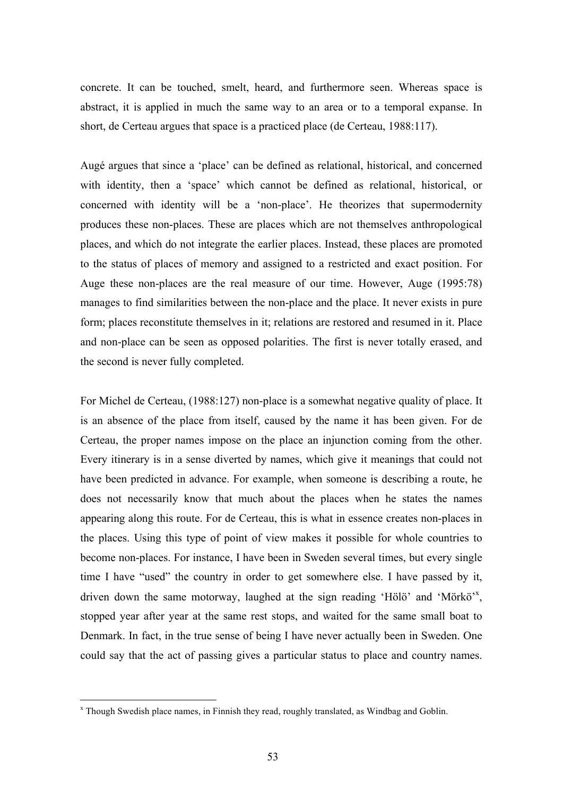concrete. It can be touched, smelt, heard, and furthermore seen. Whereas space is abstract, it is applied in much the same way to an area or to a temporal expanse. In short, de Certeau argues that space is a practiced place (de Certeau, 1988:117).

Augé argues that since a 'place' can be defined as relational, historical, and concerned with identity, then a 'space' which cannot be defined as relational, historical, or concerned with identity will be a 'non-place'. He theorizes that supermodernity produces these non-places. These are places which are not themselves anthropological places, and which do not integrate the earlier places. Instead, these places are promoted to the status of places of memory and assigned to a restricted and exact position. For Auge these non-places are the real measure of our time. However, Auge (1995:78) manages to find similarities between the non-place and the place. It never exists in pure form; places reconstitute themselves in it; relations are restored and resumed in it. Place and non-place can be seen as opposed polarities. The first is never totally erased, and the second is never fully completed.

For Michel de Certeau, (1988:127) non-place is a somewhat negative quality of place. It is an absence of the place from itself, caused by the name it has been given. For de Certeau, the proper names impose on the place an injunction coming from the other. Every itinerary is in a sense diverted by names, which give it meanings that could not have been predicted in advance. For example, when someone is describing a route, he does not necessarily know that much about the places when he states the names appearing along this route. For de Certeau, this is what in essence creates non-places in the places. Using this type of point of view makes it possible for whole countries to become non-places. For instance, I have been in Sweden several times, but every single time I have "used" the country in order to get somewhere else. I have passed by it, driven down the same motorway, laughed at the sign reading 'Hölö' and 'Mörkö'<sup>x</sup>, stopped year after year at the same rest stops, and waited for the same small boat to Denmark. In fact, in the true sense of being I have never actually been in Sweden. One could say that the act of passing gives a particular status to place and country names.

x Though Swedish place names, in Finnish they read, roughly translated, as Windbag and Goblin.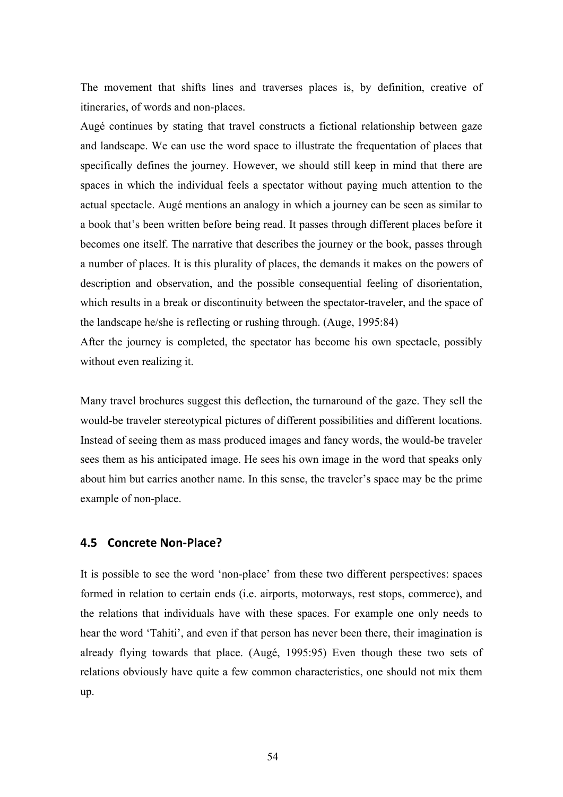The movement that shifts lines and traverses places is, by definition, creative of itineraries, of words and non-places.

Augé continues by stating that travel constructs a fictional relationship between gaze and landscape. We can use the word space to illustrate the frequentation of places that specifically defines the journey. However, we should still keep in mind that there are spaces in which the individual feels a spectator without paying much attention to the actual spectacle. Augé mentions an analogy in which a journey can be seen as similar to a book that's been written before being read. It passes through different places before it becomes one itself. The narrative that describes the journey or the book, passes through a number of places. It is this plurality of places, the demands it makes on the powers of description and observation, and the possible consequential feeling of disorientation, which results in a break or discontinuity between the spectator-traveler, and the space of the landscape he/she is reflecting or rushing through. (Auge, 1995:84)

After the journey is completed, the spectator has become his own spectacle, possibly without even realizing it.

Many travel brochures suggest this deflection, the turnaround of the gaze. They sell the would-be traveler stereotypical pictures of different possibilities and different locations. Instead of seeing them as mass produced images and fancy words, the would-be traveler sees them as his anticipated image. He sees his own image in the word that speaks only about him but carries another name. In this sense, the traveler's space may be the prime example of non-place.

## **4.5 Concrete
Non‐Place?**

It is possible to see the word 'non-place' from these two different perspectives: spaces formed in relation to certain ends (i.e. airports, motorways, rest stops, commerce), and the relations that individuals have with these spaces. For example one only needs to hear the word 'Tahiti', and even if that person has never been there, their imagination is already flying towards that place. (Augé, 1995:95) Even though these two sets of relations obviously have quite a few common characteristics, one should not mix them up.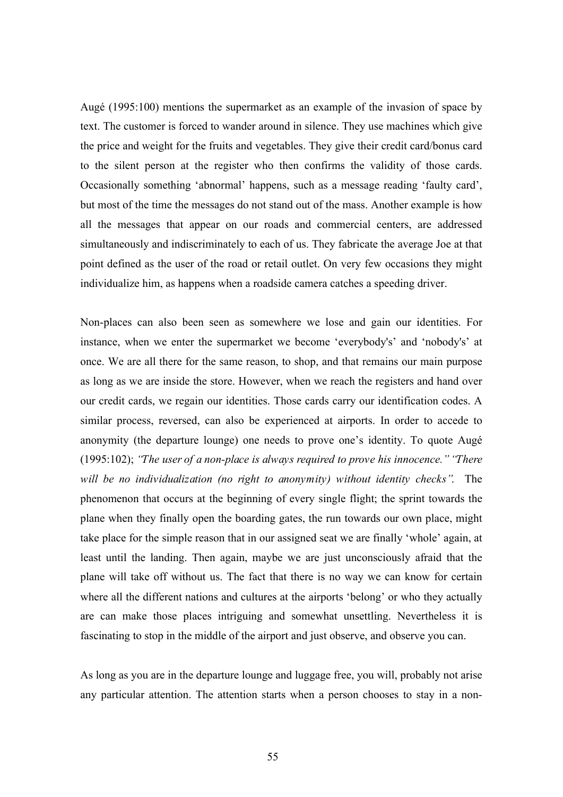Augé (1995:100) mentions the supermarket as an example of the invasion of space by text. The customer is forced to wander around in silence. They use machines which give the price and weight for the fruits and vegetables. They give their credit card/bonus card to the silent person at the register who then confirms the validity of those cards. Occasionally something 'abnormal' happens, such as a message reading 'faulty card', but most of the time the messages do not stand out of the mass. Another example is how all the messages that appear on our roads and commercial centers, are addressed simultaneously and indiscriminately to each of us. They fabricate the average Joe at that point defined as the user of the road or retail outlet. On very few occasions they might individualize him, as happens when a roadside camera catches a speeding driver.

Non-places can also been seen as somewhere we lose and gain our identities. For instance, when we enter the supermarket we become 'everybody's' and 'nobody's' at once. We are all there for the same reason, to shop, and that remains our main purpose as long as we are inside the store. However, when we reach the registers and hand over our credit cards, we regain our identities. Those cards carry our identification codes. A similar process, reversed, can also be experienced at airports. In order to accede to anonymity (the departure lounge) one needs to prove one's identity. To quote Augé (1995:102); *"The user of a non-place is always required to prove his innocence." "There will be no individualization (no right to anonymity) without identity checks"*. The phenomenon that occurs at the beginning of every single flight; the sprint towards the plane when they finally open the boarding gates, the run towards our own place, might take place for the simple reason that in our assigned seat we are finally 'whole' again, at least until the landing. Then again, maybe we are just unconsciously afraid that the plane will take off without us. The fact that there is no way we can know for certain where all the different nations and cultures at the airports 'belong' or who they actually are can make those places intriguing and somewhat unsettling. Nevertheless it is fascinating to stop in the middle of the airport and just observe, and observe you can.

As long as you are in the departure lounge and luggage free, you will, probably not arise any particular attention. The attention starts when a person chooses to stay in a non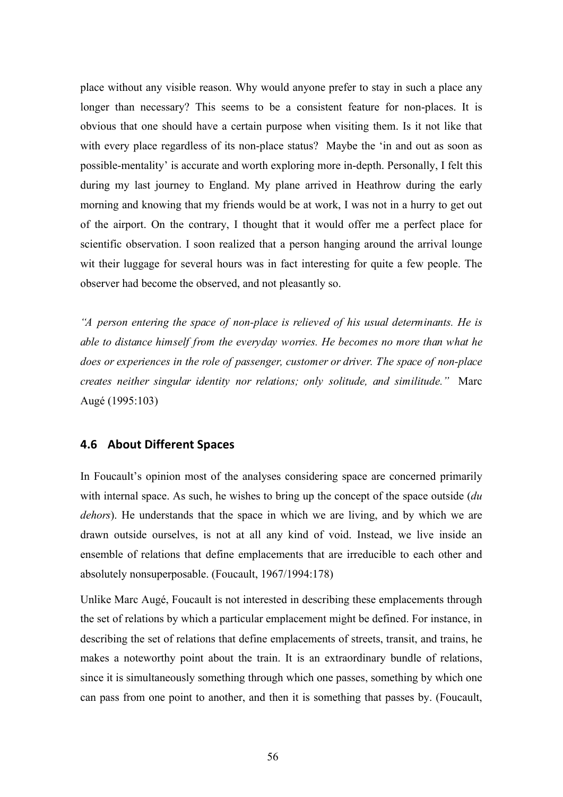place without any visible reason. Why would anyone prefer to stay in such a place any longer than necessary? This seems to be a consistent feature for non-places. It is obvious that one should have a certain purpose when visiting them. Is it not like that with every place regardless of its non-place status? Maybe the 'in and out as soon as possible-mentality' is accurate and worth exploring more in-depth. Personally, I felt this during my last journey to England. My plane arrived in Heathrow during the early morning and knowing that my friends would be at work, I was not in a hurry to get out of the airport. On the contrary, I thought that it would offer me a perfect place for scientific observation. I soon realized that a person hanging around the arrival lounge wit their luggage for several hours was in fact interesting for quite a few people. The observer had become the observed, and not pleasantly so.

*"A person entering the space of non-place is relieved of his usual determinants. He is able to distance himself from the everyday worries. He becomes no more than what he does or experiences in the role of passenger, customer or driver. The space of non-place creates neither singular identity nor relations; only solitude, and similitude."* Marc Augé (1995:103)

## **4.6 About
Different
Spaces**

In Foucault's opinion most of the analyses considering space are concerned primarily with internal space. As such, he wishes to bring up the concept of the space outside (*du dehors*). He understands that the space in which we are living, and by which we are drawn outside ourselves, is not at all any kind of void. Instead, we live inside an ensemble of relations that define emplacements that are irreducible to each other and absolutely nonsuperposable. (Foucault, 1967/1994:178)

Unlike Marc Augé, Foucault is not interested in describing these emplacements through the set of relations by which a particular emplacement might be defined. For instance, in describing the set of relations that define emplacements of streets, transit, and trains, he makes a noteworthy point about the train. It is an extraordinary bundle of relations, since it is simultaneously something through which one passes, something by which one can pass from one point to another, and then it is something that passes by. (Foucault,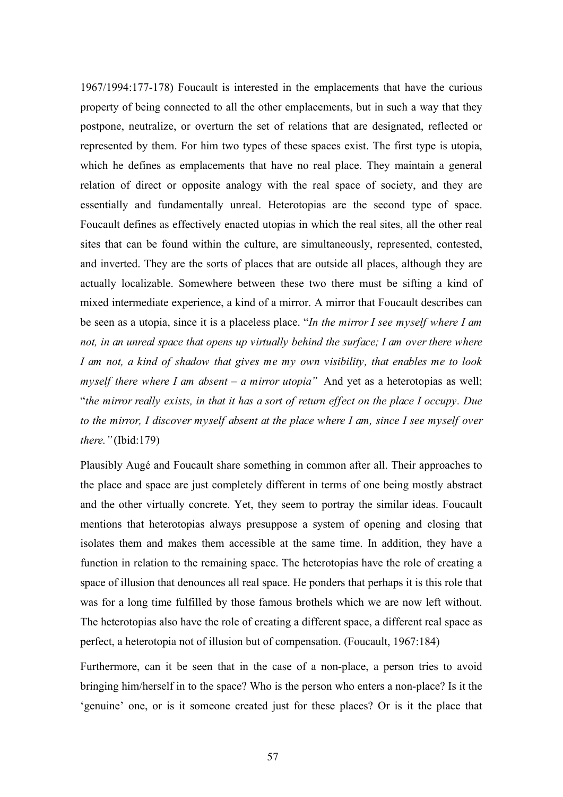1967/1994:177-178) Foucault is interested in the emplacements that have the curious property of being connected to all the other emplacements, but in such a way that they postpone, neutralize, or overturn the set of relations that are designated, reflected or represented by them. For him two types of these spaces exist. The first type is utopia, which he defines as emplacements that have no real place. They maintain a general relation of direct or opposite analogy with the real space of society, and they are essentially and fundamentally unreal. Heterotopias are the second type of space. Foucault defines as effectively enacted utopias in which the real sites, all the other real sites that can be found within the culture, are simultaneously, represented, contested, and inverted. They are the sorts of places that are outside all places, although they are actually localizable. Somewhere between these two there must be sifting a kind of mixed intermediate experience, a kind of a mirror. A mirror that Foucault describes can be seen as a utopia, since it is a placeless place. "*In the mirror I see myself where I am not, in an unreal space that opens up virtually behind the surface; I am over there where I am not, a kind of shadow that gives me my own visibility, that enables me to look myself there where I am absent – a mirror utopia"* And yet as a heterotopias as well; "*the mirror really exists, in that it has a sort of return effect on the place I occupy. Due to the mirror, I discover myself absent at the place where I am, since I see myself over there."* (Ibid:179)

Plausibly Augé and Foucault share something in common after all. Their approaches to the place and space are just completely different in terms of one being mostly abstract and the other virtually concrete. Yet, they seem to portray the similar ideas. Foucault mentions that heterotopias always presuppose a system of opening and closing that isolates them and makes them accessible at the same time. In addition, they have a function in relation to the remaining space. The heterotopias have the role of creating a space of illusion that denounces all real space. He ponders that perhaps it is this role that was for a long time fulfilled by those famous brothels which we are now left without. The heterotopias also have the role of creating a different space, a different real space as perfect, a heterotopia not of illusion but of compensation. (Foucault, 1967:184)

Furthermore, can it be seen that in the case of a non-place, a person tries to avoid bringing him/herself in to the space? Who is the person who enters a non-place? Is it the 'genuine' one, or is it someone created just for these places? Or is it the place that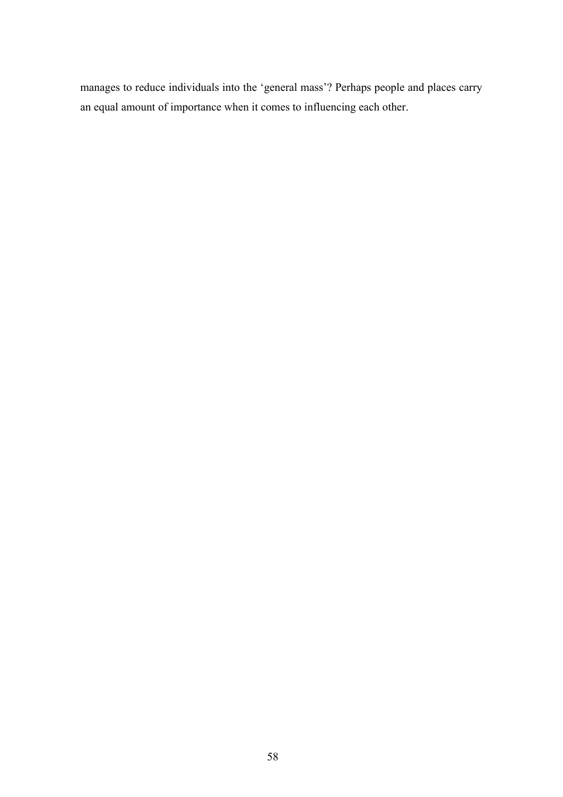manages to reduce individuals into the 'general mass'? Perhaps people and places carry an equal amount of importance when it comes to influencing each other.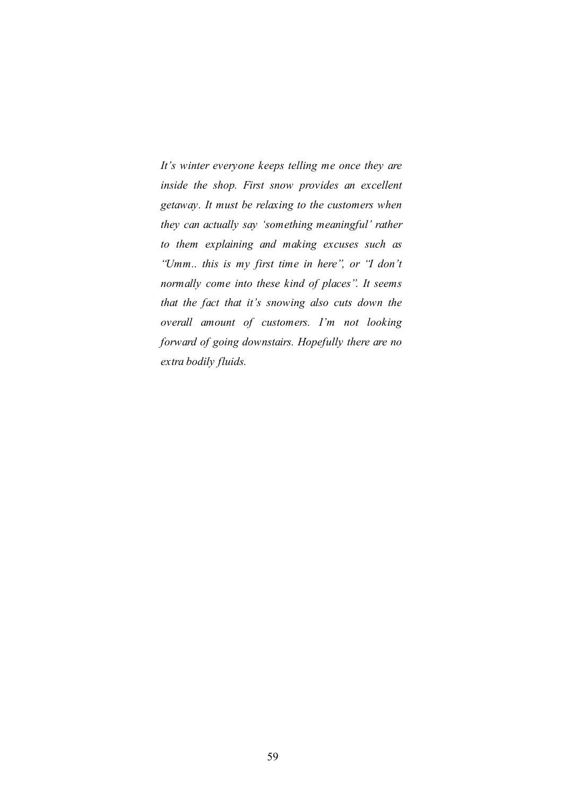*It's winter everyone keeps telling me once they are inside the shop. First snow provides an excellent getaway. It must be relaxing to the customers when they can actually say 'something meaningful' rather to them explaining and making excuses such as "Umm.. this is my first time in here", or "I don't normally come into these kind of places". It seems that the fact that it's snowing also cuts down the overall amount of customers. I'm not looking forward of going downstairs. Hopefully there are no extra bodily fluids.*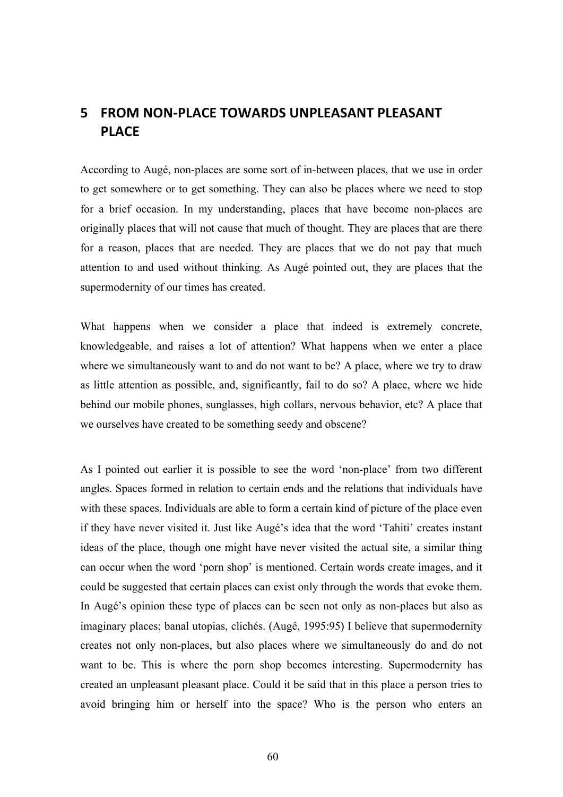# **5 FROM
NON‐PLACE
TOWARDS
UNPLEASANT
PLEASANT PLACE**

According to Augé, non-places are some sort of in-between places, that we use in order to get somewhere or to get something. They can also be places where we need to stop for a brief occasion. In my understanding, places that have become non-places are originally places that will not cause that much of thought. They are places that are there for a reason, places that are needed. They are places that we do not pay that much attention to and used without thinking. As Augé pointed out, they are places that the supermodernity of our times has created.

What happens when we consider a place that indeed is extremely concrete, knowledgeable, and raises a lot of attention? What happens when we enter a place where we simultaneously want to and do not want to be? A place, where we try to draw as little attention as possible, and, significantly, fail to do so? A place, where we hide behind our mobile phones, sunglasses, high collars, nervous behavior, etc? A place that we ourselves have created to be something seedy and obscene?

As I pointed out earlier it is possible to see the word 'non-place' from two different angles. Spaces formed in relation to certain ends and the relations that individuals have with these spaces. Individuals are able to form a certain kind of picture of the place even if they have never visited it. Just like Augé's idea that the word 'Tahiti' creates instant ideas of the place, though one might have never visited the actual site, a similar thing can occur when the word 'porn shop' is mentioned. Certain words create images, and it could be suggested that certain places can exist only through the words that evoke them. In Augé's opinion these type of places can be seen not only as non-places but also as imaginary places; banal utopias, clichés. (Augé, 1995:95) I believe that supermodernity creates not only non-places, but also places where we simultaneously do and do not want to be. This is where the porn shop becomes interesting. Supermodernity has created an unpleasant pleasant place. Could it be said that in this place a person tries to avoid bringing him or herself into the space? Who is the person who enters an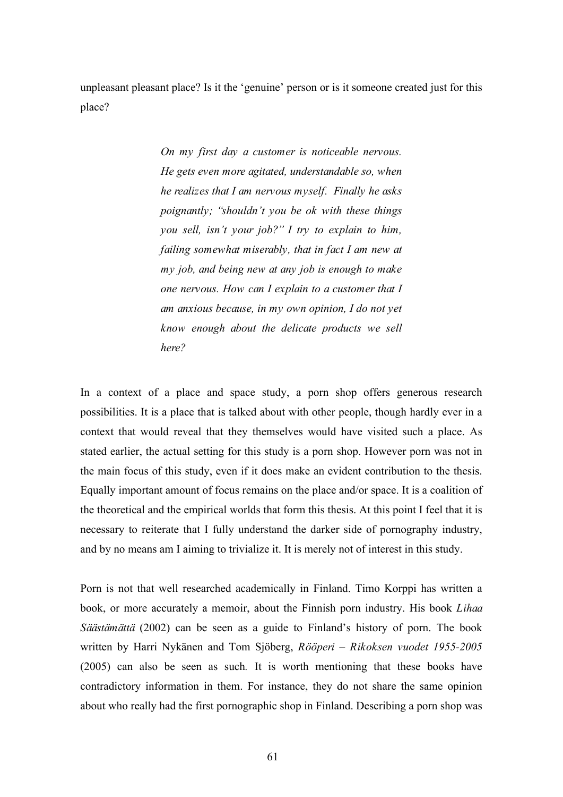unpleasant pleasant place? Is it the 'genuine' person or is it someone created just for this place?

> *On my first day a customer is noticeable nervous. He gets even more agitated, understandable so, when he realizes that I am nervous myself. Finally he asks poignantly; "shouldn't you be ok with these things you sell, isn't your job?" I try to explain to him, failing somewhat miserably, that in fact I am new at my job, and being new at any job is enough to make one nervous. How can I explain to a customer that I am anxious because, in my own opinion, I do not yet know enough about the delicate products we sell here?*

In a context of a place and space study, a porn shop offers generous research possibilities. It is a place that is talked about with other people, though hardly ever in a context that would reveal that they themselves would have visited such a place. As stated earlier, the actual setting for this study is a porn shop. However porn was not in the main focus of this study, even if it does make an evident contribution to the thesis. Equally important amount of focus remains on the place and/or space. It is a coalition of the theoretical and the empirical worlds that form this thesis. At this point I feel that it is necessary to reiterate that I fully understand the darker side of pornography industry, and by no means am I aiming to trivialize it. It is merely not of interest in this study.

Porn is not that well researched academically in Finland. Timo Korppi has written a book, or more accurately a memoir, about the Finnish porn industry. His book *Lihaa Säästämättä* (2002) can be seen as a guide to Finland's history of porn. The book written by Harri Nykänen and Tom Sjöberg, *Rööperi – Rikoksen vuodet 1955-2005*  (2005) can also be seen as such*.* It is worth mentioning that these books have contradictory information in them. For instance, they do not share the same opinion about who really had the first pornographic shop in Finland. Describing a porn shop was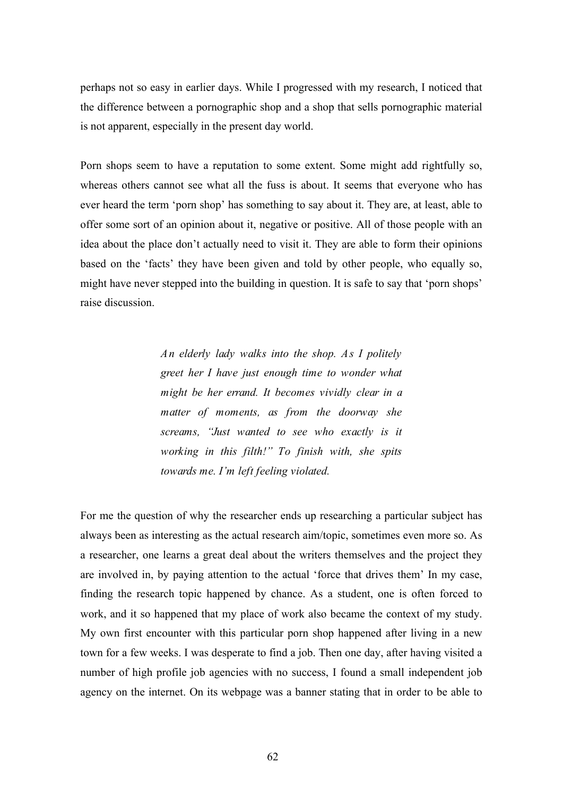perhaps not so easy in earlier days. While I progressed with my research, I noticed that the difference between a pornographic shop and a shop that sells pornographic material is not apparent, especially in the present day world.

Porn shops seem to have a reputation to some extent. Some might add rightfully so, whereas others cannot see what all the fuss is about. It seems that everyone who has ever heard the term 'porn shop' has something to say about it. They are, at least, able to offer some sort of an opinion about it, negative or positive. All of those people with an idea about the place don't actually need to visit it. They are able to form their opinions based on the 'facts' they have been given and told by other people, who equally so, might have never stepped into the building in question. It is safe to say that 'porn shops' raise discussion.

> *An elderly lady walks into the shop. As I politely greet her I have just enough time to wonder what might be her errand. It becomes vividly clear in a matter of moments, as from the doorway she screams, "Just wanted to see who exactly is it working in this filth!" To finish with, she spits towards me. I'm left feeling violated.*

For me the question of why the researcher ends up researching a particular subject has always been as interesting as the actual research aim/topic, sometimes even more so. As a researcher, one learns a great deal about the writers themselves and the project they are involved in, by paying attention to the actual 'force that drives them' In my case, finding the research topic happened by chance. As a student, one is often forced to work, and it so happened that my place of work also became the context of my study. My own first encounter with this particular porn shop happened after living in a new town for a few weeks. I was desperate to find a job. Then one day, after having visited a number of high profile job agencies with no success, I found a small independent job agency on the internet. On its webpage was a banner stating that in order to be able to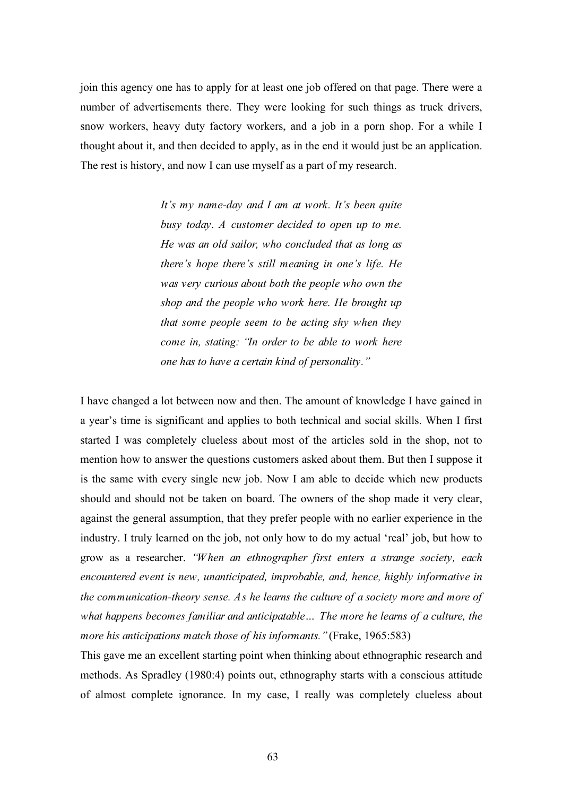join this agency one has to apply for at least one job offered on that page. There were a number of advertisements there. They were looking for such things as truck drivers, snow workers, heavy duty factory workers, and a job in a porn shop. For a while I thought about it, and then decided to apply, as in the end it would just be an application. The rest is history, and now I can use myself as a part of my research.

> *It's my name-day and I am at work. It's been quite busy today. A customer decided to open up to me. He was an old sailor, who concluded that as long as there's hope there's still meaning in one's life. He was very curious about both the people who own the shop and the people who work here. He brought up that some people seem to be acting shy when they come in, stating: "In order to be able to work here one has to have a certain kind of personality."*

I have changed a lot between now and then. The amount of knowledge I have gained in a year's time is significant and applies to both technical and social skills. When I first started I was completely clueless about most of the articles sold in the shop, not to mention how to answer the questions customers asked about them. But then I suppose it is the same with every single new job. Now I am able to decide which new products should and should not be taken on board. The owners of the shop made it very clear, against the general assumption, that they prefer people with no earlier experience in the industry. I truly learned on the job, not only how to do my actual 'real' job, but how to grow as a researcher. *"When an ethnographer first enters a strange society, each encountered event is new, unanticipated, improbable, and, hence, highly informative in the communication-theory sense. As he learns the culture of a society more and more of what happens becomes familiar and anticipatable… The more he learns of a culture, the more his anticipations match those of his informants."* (Frake, 1965:583)

This gave me an excellent starting point when thinking about ethnographic research and methods. As Spradley (1980:4) points out, ethnography starts with a conscious attitude of almost complete ignorance. In my case, I really was completely clueless about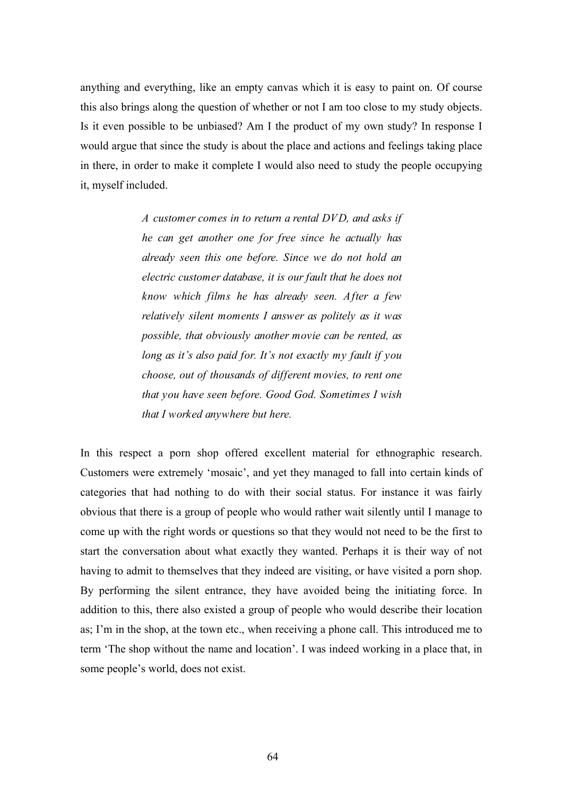anything and everything, like an empty canvas which it is easy to paint on. Of course this also brings along the question of whether or not I am too close to my study objects. Is it even possible to be unbiased? Am I the product of my own study? In response I would argue that since the study is about the place and actions and feelings taking place in there, in order to make it complete I would also need to study the people occupying it, myself included.

> *A customer comes in to return a rental DVD, and asks if he can get another one for free since he actually has already seen this one before. Since we do not hold an electric customer database, it is our fault that he does not know which films he has already seen. After a few relatively silent moments I answer as politely as it was possible, that obviously another movie can be rented, as long as it's also paid for. It's not exactly my fault if you choose, out of thousands of different movies, to rent one that you have seen before. Good God. Sometimes I wish that I worked anywhere but here.*

In this respect a porn shop offered excellent material for ethnographic research. Customers were extremely 'mosaic', and yet they managed to fall into certain kinds of categories that had nothing to do with their social status. For instance it was fairly obvious that there is a group of people who would rather wait silently until I manage to come up with the right words or questions so that they would not need to be the first to start the conversation about what exactly they wanted. Perhaps it is their way of not having to admit to themselves that they indeed are visiting, or have visited a porn shop. By performing the silent entrance, they have avoided being the initiating force. In addition to this, there also existed a group of people who would describe their location as; I'm in the shop, at the town etc., when receiving a phone call. This introduced me to term 'The shop without the name and location'. I was indeed working in a place that, in some people's world, does not exist.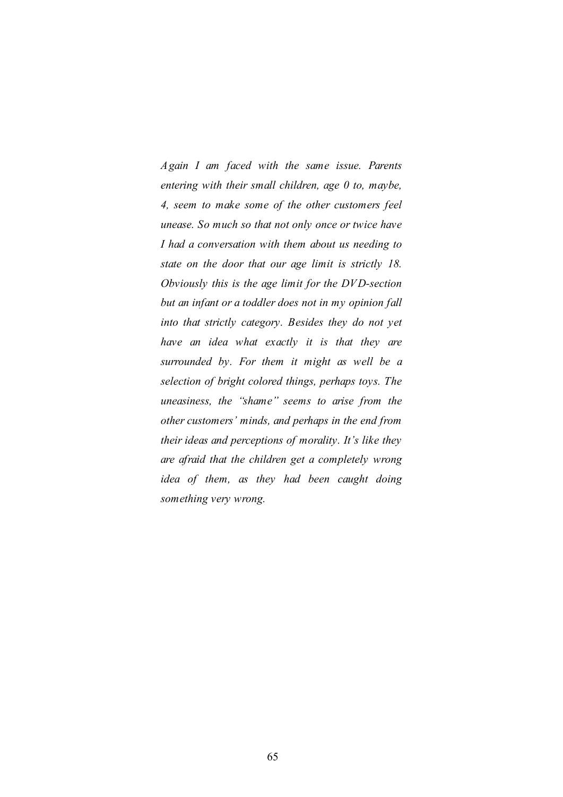*Again I am faced with the same issue. Parents entering with their small children, age 0 to, maybe, 4, seem to make some of the other customers feel unease. So much so that not only once or twice have I had a conversation with them about us needing to state on the door that our age limit is strictly 18. Obviously this is the age limit for the DVD-section but an infant or a toddler does not in my opinion fall into that strictly category. Besides they do not yet have an idea what exactly it is that they are surrounded by. For them it might as well be a selection of bright colored things, perhaps toys. The uneasiness, the "shame" seems to arise from the other customers' minds, and perhaps in the end from their ideas and perceptions of morality. It's like they are afraid that the children get a completely wrong idea of them, as they had been caught doing something very wrong.*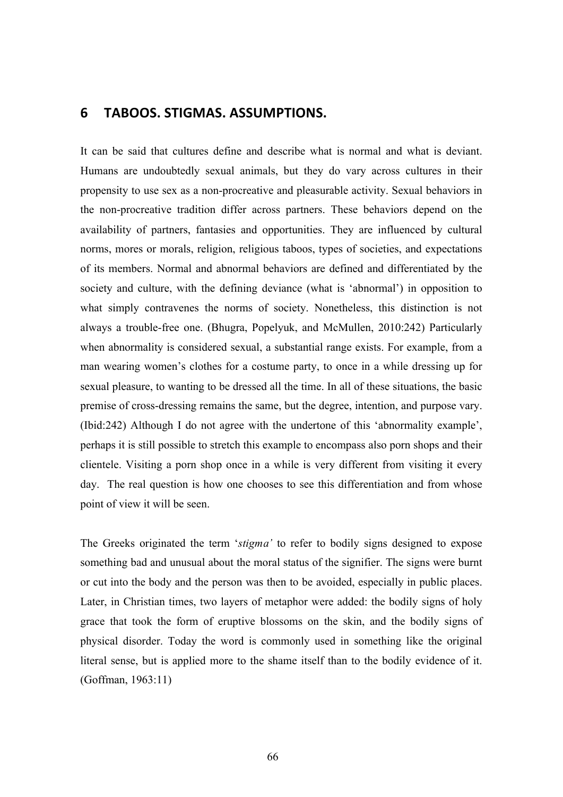# **6 TABOOS.
STIGMAS.
ASSUMPTIONS.**

It can be said that cultures define and describe what is normal and what is deviant. Humans are undoubtedly sexual animals, but they do vary across cultures in their propensity to use sex as a non-procreative and pleasurable activity. Sexual behaviors in the non-procreative tradition differ across partners. These behaviors depend on the availability of partners, fantasies and opportunities. They are influenced by cultural norms, mores or morals, religion, religious taboos, types of societies, and expectations of its members. Normal and abnormal behaviors are defined and differentiated by the society and culture, with the defining deviance (what is 'abnormal') in opposition to what simply contravenes the norms of society. Nonetheless, this distinction is not always a trouble-free one. (Bhugra, Popelyuk, and McMullen, 2010:242) Particularly when abnormality is considered sexual, a substantial range exists. For example, from a man wearing women's clothes for a costume party, to once in a while dressing up for sexual pleasure, to wanting to be dressed all the time. In all of these situations, the basic premise of cross-dressing remains the same, but the degree, intention, and purpose vary. (Ibid:242) Although I do not agree with the undertone of this 'abnormality example', perhaps it is still possible to stretch this example to encompass also porn shops and their clientele. Visiting a porn shop once in a while is very different from visiting it every day. The real question is how one chooses to see this differentiation and from whose point of view it will be seen.

The Greeks originated the term '*stigma'* to refer to bodily signs designed to expose something bad and unusual about the moral status of the signifier. The signs were burnt or cut into the body and the person was then to be avoided, especially in public places. Later, in Christian times, two layers of metaphor were added: the bodily signs of holy grace that took the form of eruptive blossoms on the skin, and the bodily signs of physical disorder. Today the word is commonly used in something like the original literal sense, but is applied more to the shame itself than to the bodily evidence of it. (Goffman, 1963:11)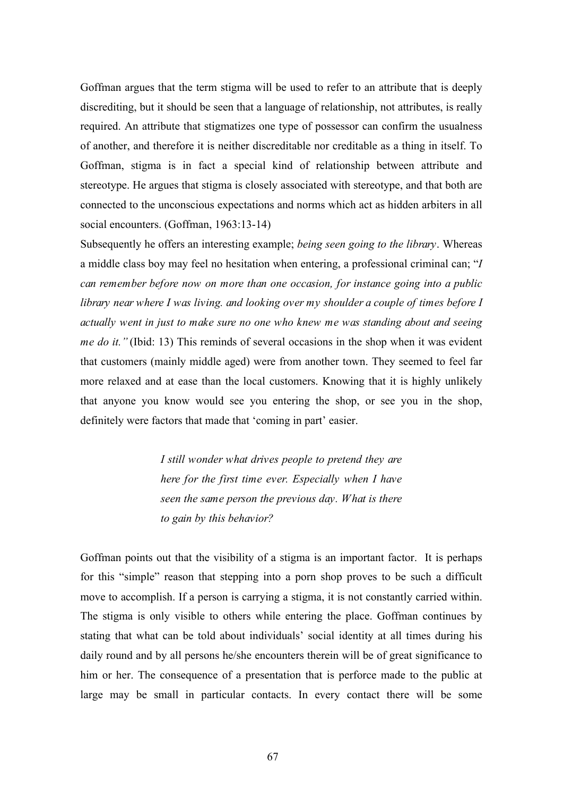Goffman argues that the term stigma will be used to refer to an attribute that is deeply discrediting, but it should be seen that a language of relationship, not attributes, is really required. An attribute that stigmatizes one type of possessor can confirm the usualness of another, and therefore it is neither discreditable nor creditable as a thing in itself. To Goffman, stigma is in fact a special kind of relationship between attribute and stereotype. He argues that stigma is closely associated with stereotype, and that both are connected to the unconscious expectations and norms which act as hidden arbiters in all social encounters. (Goffman, 1963:13-14)

Subsequently he offers an interesting example; *being seen going to the library*. Whereas a middle class boy may feel no hesitation when entering, a professional criminal can; "*I can remember before now on more than one occasion, for instance going into a public library near where I was living. and looking over my shoulder a couple of times before I actually went in just to make sure no one who knew me was standing about and seeing me do it.*" (Ibid: 13) This reminds of several occasions in the shop when it was evident that customers (mainly middle aged) were from another town. They seemed to feel far more relaxed and at ease than the local customers. Knowing that it is highly unlikely that anyone you know would see you entering the shop, or see you in the shop, definitely were factors that made that 'coming in part' easier.

> *I still wonder what drives people to pretend they are here for the first time ever. Especially when I have seen the same person the previous day. What is there to gain by this behavior?*

Goffman points out that the visibility of a stigma is an important factor. It is perhaps for this "simple" reason that stepping into a porn shop proves to be such a difficult move to accomplish. If a person is carrying a stigma, it is not constantly carried within. The stigma is only visible to others while entering the place. Goffman continues by stating that what can be told about individuals' social identity at all times during his daily round and by all persons he/she encounters therein will be of great significance to him or her. The consequence of a presentation that is perforce made to the public at large may be small in particular contacts. In every contact there will be some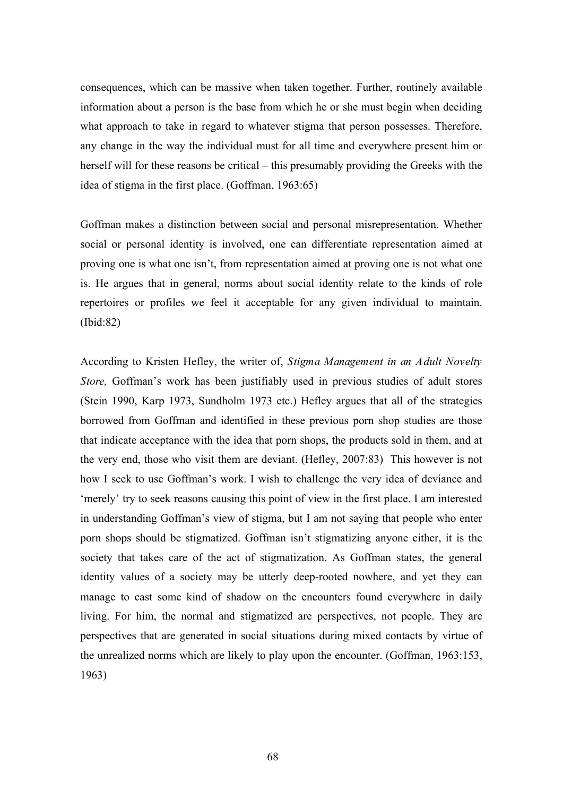consequences, which can be massive when taken together. Further, routinely available information about a person is the base from which he or she must begin when deciding what approach to take in regard to whatever stigma that person possesses. Therefore, any change in the way the individual must for all time and everywhere present him or herself will for these reasons be critical – this presumably providing the Greeks with the idea of stigma in the first place. (Goffman, 1963:65)

Goffman makes a distinction between social and personal misrepresentation. Whether social or personal identity is involved, one can differentiate representation aimed at proving one is what one isn't, from representation aimed at proving one is not what one is. He argues that in general, norms about social identity relate to the kinds of role repertoires or profiles we feel it acceptable for any given individual to maintain. (Ibid:82)

According to Kristen Hefley, the writer of, *Stigma Management in an Adult Novelty Store,* Goffman's work has been justifiably used in previous studies of adult stores (Stein 1990, Karp 1973, Sundholm 1973 etc.) Hefley argues that all of the strategies borrowed from Goffman and identified in these previous porn shop studies are those that indicate acceptance with the idea that porn shops, the products sold in them, and at the very end, those who visit them are deviant. (Hefley, 2007:83) This however is not how I seek to use Goffman's work. I wish to challenge the very idea of deviance and 'merely' try to seek reasons causing this point of view in the first place. I am interested in understanding Goffman's view of stigma, but I am not saying that people who enter porn shops should be stigmatized. Goffman isn't stigmatizing anyone either, it is the society that takes care of the act of stigmatization. As Goffman states, the general identity values of a society may be utterly deep-rooted nowhere, and yet they can manage to cast some kind of shadow on the encounters found everywhere in daily living. For him, the normal and stigmatized are perspectives, not people. They are perspectives that are generated in social situations during mixed contacts by virtue of the unrealized norms which are likely to play upon the encounter. (Goffman, 1963:153, 1963)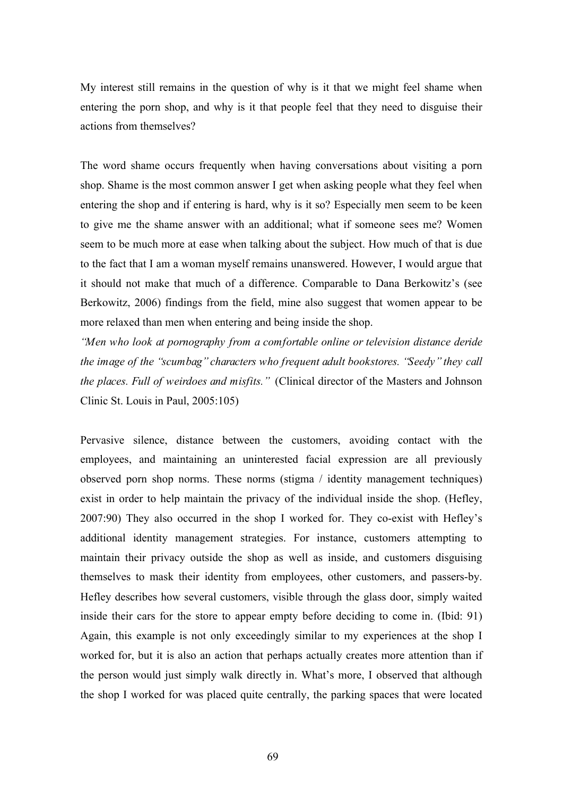My interest still remains in the question of why is it that we might feel shame when entering the porn shop, and why is it that people feel that they need to disguise their actions from themselves?

The word shame occurs frequently when having conversations about visiting a porn shop. Shame is the most common answer I get when asking people what they feel when entering the shop and if entering is hard, why is it so? Especially men seem to be keen to give me the shame answer with an additional; what if someone sees me? Women seem to be much more at ease when talking about the subject. How much of that is due to the fact that I am a woman myself remains unanswered. However, I would argue that it should not make that much of a difference. Comparable to Dana Berkowitz's (see Berkowitz, 2006) findings from the field, mine also suggest that women appear to be more relaxed than men when entering and being inside the shop.

*"Men who look at pornography from a comfortable online or television distance deride the image of the "scumbag" characters who frequent adult bookstores. "Seedy" they call the places. Full of weirdoes and misfits."* (Clinical director of the Masters and Johnson Clinic St. Louis in Paul, 2005:105)

Pervasive silence, distance between the customers, avoiding contact with the employees, and maintaining an uninterested facial expression are all previously observed porn shop norms. These norms (stigma / identity management techniques) exist in order to help maintain the privacy of the individual inside the shop. (Hefley, 2007:90) They also occurred in the shop I worked for. They co-exist with Hefley's additional identity management strategies. For instance, customers attempting to maintain their privacy outside the shop as well as inside, and customers disguising themselves to mask their identity from employees, other customers, and passers-by. Hefley describes how several customers, visible through the glass door, simply waited inside their cars for the store to appear empty before deciding to come in. (Ibid: 91) Again, this example is not only exceedingly similar to my experiences at the shop I worked for, but it is also an action that perhaps actually creates more attention than if the person would just simply walk directly in. What's more, I observed that although the shop I worked for was placed quite centrally, the parking spaces that were located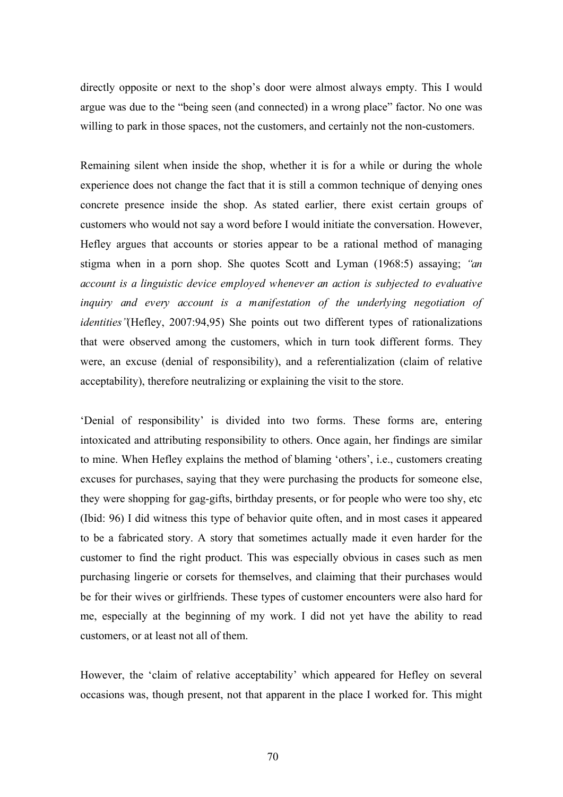directly opposite or next to the shop's door were almost always empty. This I would argue was due to the "being seen (and connected) in a wrong place" factor. No one was willing to park in those spaces, not the customers, and certainly not the non-customers.

Remaining silent when inside the shop, whether it is for a while or during the whole experience does not change the fact that it is still a common technique of denying ones concrete presence inside the shop. As stated earlier, there exist certain groups of customers who would not say a word before I would initiate the conversation. However, Hefley argues that accounts or stories appear to be a rational method of managing stigma when in a porn shop. She quotes Scott and Lyman (1968:5) assaying; *"an account is a linguistic device employed whenever an action is subjected to evaluative* inquiry and every account is a manifestation of the underlying negotiation of *identities"*(Hefley, 2007:94,95) She points out two different types of rationalizations that were observed among the customers, which in turn took different forms. They were, an excuse (denial of responsibility), and a referentialization (claim of relative acceptability), therefore neutralizing or explaining the visit to the store.

'Denial of responsibility' is divided into two forms. These forms are, entering intoxicated and attributing responsibility to others. Once again, her findings are similar to mine. When Hefley explains the method of blaming 'others', i.e., customers creating excuses for purchases, saying that they were purchasing the products for someone else, they were shopping for gag-gifts, birthday presents, or for people who were too shy, etc (Ibid: 96) I did witness this type of behavior quite often, and in most cases it appeared to be a fabricated story. A story that sometimes actually made it even harder for the customer to find the right product. This was especially obvious in cases such as men purchasing lingerie or corsets for themselves, and claiming that their purchases would be for their wives or girlfriends. These types of customer encounters were also hard for me, especially at the beginning of my work. I did not yet have the ability to read customers, or at least not all of them.

However, the 'claim of relative acceptability' which appeared for Hefley on several occasions was, though present, not that apparent in the place I worked for. This might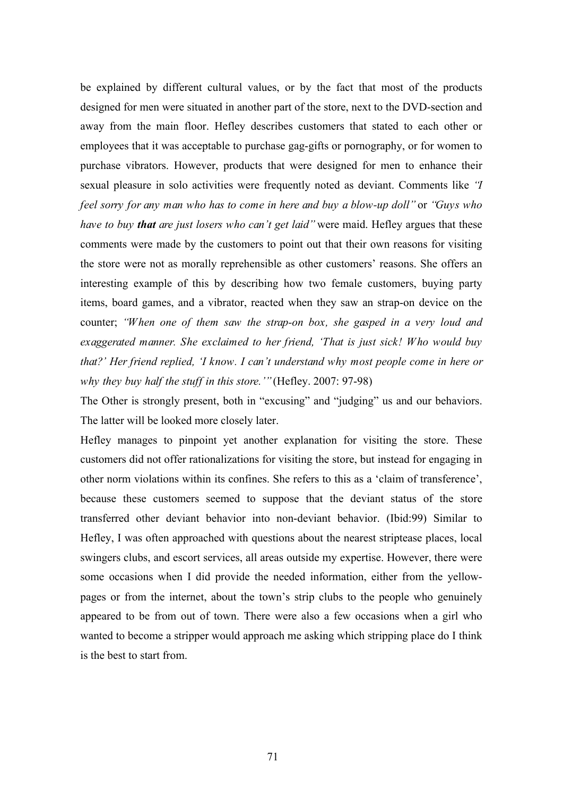be explained by different cultural values, or by the fact that most of the products designed for men were situated in another part of the store, next to the DVD-section and away from the main floor. Hefley describes customers that stated to each other or employees that it was acceptable to purchase gag-gifts or pornography, or for women to purchase vibrators. However, products that were designed for men to enhance their sexual pleasure in solo activities were frequently noted as deviant. Comments like *"I feel sorry for any man who has to come in here and buy a blow-up doll"* or *"Guys who have to buy that are just losers who can't get laid"* were maid. Hefley argues that these comments were made by the customers to point out that their own reasons for visiting the store were not as morally reprehensible as other customers' reasons. She offers an interesting example of this by describing how two female customers, buying party items, board games, and a vibrator, reacted when they saw an strap-on device on the counter; *"When one of them saw the strap-on box, she gasped in a very loud and exaggerated manner. She exclaimed to her friend, 'That is just sick! Who would buy that?' Her friend replied, 'I know. I can't understand why most people come in here or why they buy half the stuff in this store.'"* (Hefley. 2007: 97-98)

The Other is strongly present, both in "excusing" and "judging" us and our behaviors. The latter will be looked more closely later.

Hefley manages to pinpoint yet another explanation for visiting the store. These customers did not offer rationalizations for visiting the store, but instead for engaging in other norm violations within its confines. She refers to this as a 'claim of transference', because these customers seemed to suppose that the deviant status of the store transferred other deviant behavior into non-deviant behavior. (Ibid:99) Similar to Hefley, I was often approached with questions about the nearest striptease places, local swingers clubs, and escort services, all areas outside my expertise. However, there were some occasions when I did provide the needed information, either from the yellowpages or from the internet, about the town's strip clubs to the people who genuinely appeared to be from out of town. There were also a few occasions when a girl who wanted to become a stripper would approach me asking which stripping place do I think is the best to start from.

71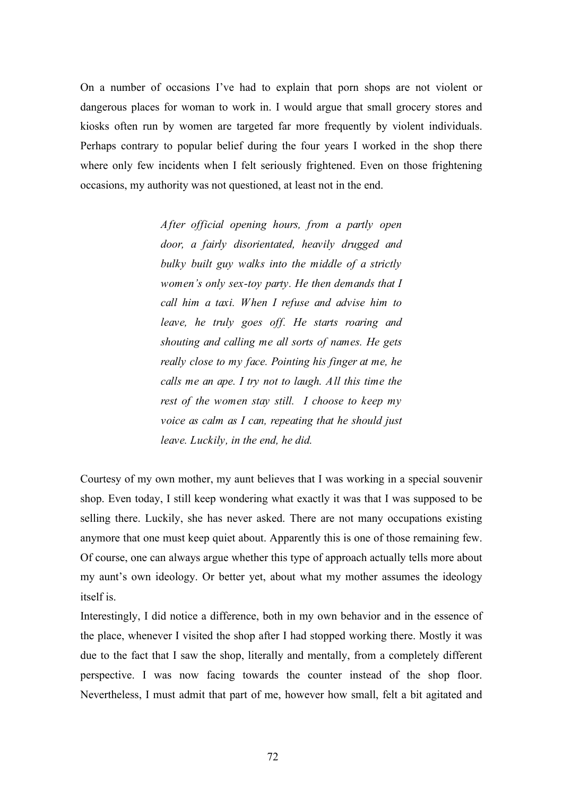On a number of occasions I've had to explain that porn shops are not violent or dangerous places for woman to work in. I would argue that small grocery stores and kiosks often run by women are targeted far more frequently by violent individuals. Perhaps contrary to popular belief during the four years I worked in the shop there where only few incidents when I felt seriously frightened. Even on those frightening occasions, my authority was not questioned, at least not in the end.

> *After official opening hours, from a partly open door, a fairly disorientated, heavily drugged and bulky built guy walks into the middle of a strictly women's only sex-toy party. He then demands that I call him a taxi. When I refuse and advise him to leave, he truly goes off. He starts roaring and shouting and calling me all sorts of names. He gets really close to my face. Pointing his finger at me, he calls me an ape. I try not to laugh. All this time the rest of the women stay still. I choose to keep my voice as calm as I can, repeating that he should just leave. Luckily, in the end, he did.*

Courtesy of my own mother, my aunt believes that I was working in a special souvenir shop. Even today, I still keep wondering what exactly it was that I was supposed to be selling there. Luckily, she has never asked. There are not many occupations existing anymore that one must keep quiet about. Apparently this is one of those remaining few. Of course, one can always argue whether this type of approach actually tells more about my aunt's own ideology. Or better yet, about what my mother assumes the ideology itself is.

Interestingly, I did notice a difference, both in my own behavior and in the essence of the place, whenever I visited the shop after I had stopped working there. Mostly it was due to the fact that I saw the shop, literally and mentally, from a completely different perspective. I was now facing towards the counter instead of the shop floor. Nevertheless, I must admit that part of me, however how small, felt a bit agitated and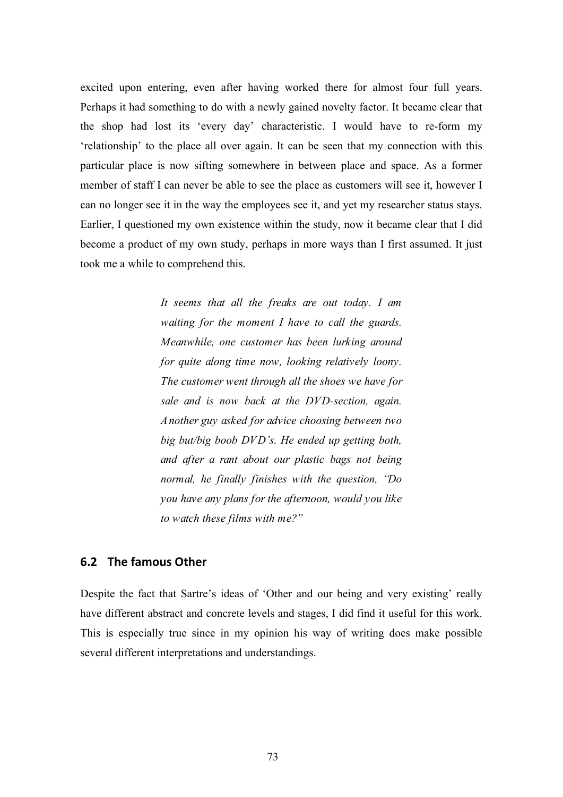excited upon entering, even after having worked there for almost four full years. Perhaps it had something to do with a newly gained novelty factor. It became clear that the shop had lost its 'every day' characteristic. I would have to re-form my 'relationship' to the place all over again. It can be seen that my connection with this particular place is now sifting somewhere in between place and space. As a former member of staff I can never be able to see the place as customers will see it, however I can no longer see it in the way the employees see it, and yet my researcher status stays. Earlier, I questioned my own existence within the study, now it became clear that I did become a product of my own study, perhaps in more ways than I first assumed. It just took me a while to comprehend this.

> *It seems that all the freaks are out today. I am waiting for the moment I have to call the guards. Meanwhile, one customer has been lurking around for quite along time now, looking relatively loony. The customer went through all the shoes we have for sale and is now back at the DVD-section, again. Another guy asked for advice choosing between two big but/big boob DVD's. He ended up getting both, and after a rant about our plastic bags not being normal, he finally finishes with the question, "Do you have any plans for the afternoon, would you like to watch these films with me?"*

#### **6.2 The
famous
Other**

Despite the fact that Sartre's ideas of 'Other and our being and very existing' really have different abstract and concrete levels and stages, I did find it useful for this work. This is especially true since in my opinion his way of writing does make possible several different interpretations and understandings.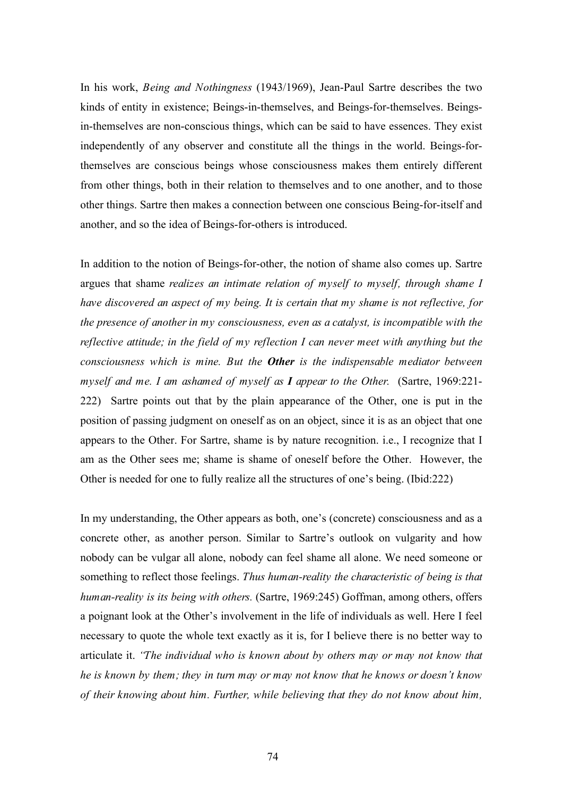In his work, *Being and Nothingness* (1943/1969), Jean-Paul Sartre describes the two kinds of entity in existence; Beings-in-themselves, and Beings-for-themselves. Beingsin-themselves are non-conscious things, which can be said to have essences. They exist independently of any observer and constitute all the things in the world. Beings-forthemselves are conscious beings whose consciousness makes them entirely different from other things, both in their relation to themselves and to one another, and to those other things. Sartre then makes a connection between one conscious Being-for-itself and another, and so the idea of Beings-for-others is introduced.

In addition to the notion of Beings-for-other, the notion of shame also comes up. Sartre argues that shame *realizes an intimate relation of myself to myself, through shame I have discovered an aspect of my being. It is certain that my shame is not reflective, for the presence of another in my consciousness, even as a catalyst, is incompatible with the reflective attitude; in the field of my reflection I can never meet with anything but the consciousness which is mine. But the Other is the indispensable mediator between myself and me. I am ashamed of myself as I appear to the Other.* (Sartre, 1969:221- 222)Sartre points out that by the plain appearance of the Other, one is put in the position of passing judgment on oneself as on an object, since it is as an object that one appears to the Other. For Sartre, shame is by nature recognition. i.e., I recognize that I am as the Other sees me; shame is shame of oneself before the Other. However, the Other is needed for one to fully realize all the structures of one's being. (Ibid:222)

In my understanding, the Other appears as both, one's (concrete) consciousness and as a concrete other, as another person. Similar to Sartre's outlook on vulgarity and how nobody can be vulgar all alone, nobody can feel shame all alone. We need someone or something to reflect those feelings. *Thus human-reality the characteristic of being is that human-reality is its being with others.* (Sartre, 1969:245) Goffman, among others, offers a poignant look at the Other's involvement in the life of individuals as well. Here I feel necessary to quote the whole text exactly as it is, for I believe there is no better way to articulate it. *"The individual who is known about by others may or may not know that he is known by them; they in turn may or may not know that he knows or doesn't know of their knowing about him. Further, while believing that they do not know about him,*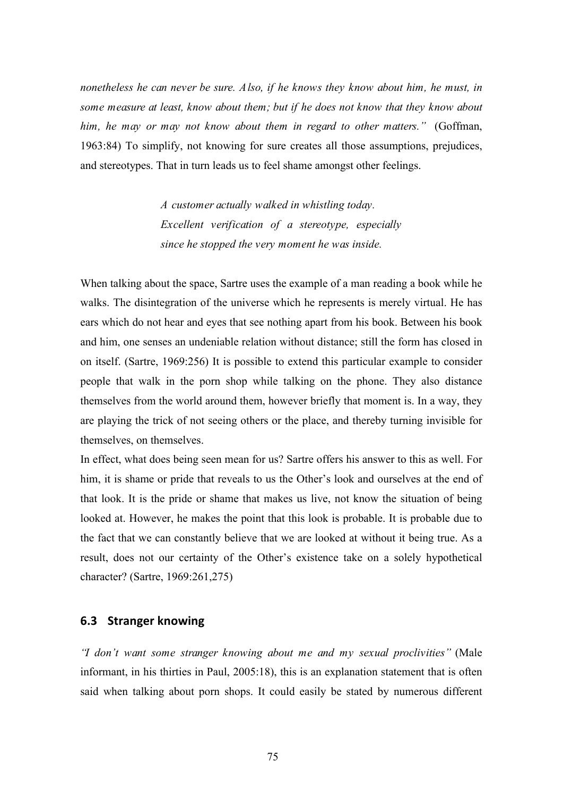*nonetheless he can never be sure. Also, if he knows they know about him, he must, in some measure at least, know about them; but if he does not know that they know about him, he may or may not know about them in regard to other matters."* (Goffman, 1963:84) To simplify, not knowing for sure creates all those assumptions, prejudices, and stereotypes. That in turn leads us to feel shame amongst other feelings.

> *A customer actually walked in whistling today. Excellent verification of a stereotype, especially since he stopped the very moment he was inside.*

When talking about the space, Sartre uses the example of a man reading a book while he walks. The disintegration of the universe which he represents is merely virtual. He has ears which do not hear and eyes that see nothing apart from his book. Between his book and him, one senses an undeniable relation without distance; still the form has closed in on itself. (Sartre, 1969:256) It is possible to extend this particular example to consider people that walk in the porn shop while talking on the phone. They also distance themselves from the world around them, however briefly that moment is. In a way, they are playing the trick of not seeing others or the place, and thereby turning invisible for themselves, on themselves.

In effect, what does being seen mean for us? Sartre offers his answer to this as well. For him, it is shame or pride that reveals to us the Other's look and ourselves at the end of that look. It is the pride or shame that makes us live, not know the situation of being looked at. However, he makes the point that this look is probable. It is probable due to the fact that we can constantly believe that we are looked at without it being true. As a result, does not our certainty of the Other's existence take on a solely hypothetical character? (Sartre, 1969:261,275)

#### **6.3 Stranger
knowing**

*"I don't want some stranger knowing about me and my sexual proclivities"* (Male informant, in his thirties in Paul, 2005:18), this is an explanation statement that is often said when talking about porn shops. It could easily be stated by numerous different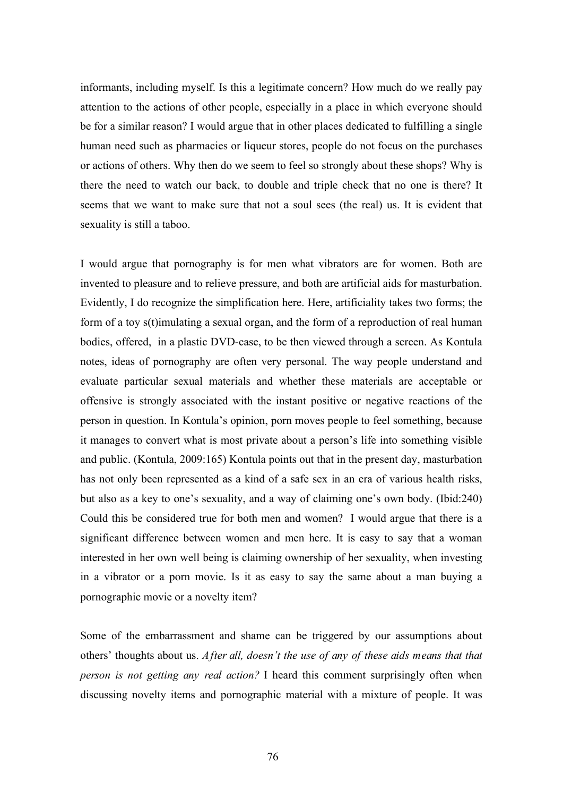informants, including myself. Is this a legitimate concern? How much do we really pay attention to the actions of other people, especially in a place in which everyone should be for a similar reason? I would argue that in other places dedicated to fulfilling a single human need such as pharmacies or liqueur stores, people do not focus on the purchases or actions of others. Why then do we seem to feel so strongly about these shops? Why is there the need to watch our back, to double and triple check that no one is there? It seems that we want to make sure that not a soul sees (the real) us. It is evident that sexuality is still a taboo.

I would argue that pornography is for men what vibrators are for women. Both are invented to pleasure and to relieve pressure, and both are artificial aids for masturbation. Evidently, I do recognize the simplification here. Here, artificiality takes two forms; the form of a toy s(t)imulating a sexual organ, and the form of a reproduction of real human bodies, offered, in a plastic DVD-case, to be then viewed through a screen. As Kontula notes, ideas of pornography are often very personal. The way people understand and evaluate particular sexual materials and whether these materials are acceptable or offensive is strongly associated with the instant positive or negative reactions of the person in question. In Kontula's opinion, porn moves people to feel something, because it manages to convert what is most private about a person's life into something visible and public. (Kontula, 2009:165) Kontula points out that in the present day, masturbation has not only been represented as a kind of a safe sex in an era of various health risks, but also as a key to one's sexuality, and a way of claiming one's own body. (Ibid:240) Could this be considered true for both men and women? I would argue that there is a significant difference between women and men here. It is easy to say that a woman interested in her own well being is claiming ownership of her sexuality, when investing in a vibrator or a porn movie. Is it as easy to say the same about a man buying a pornographic movie or a novelty item?

Some of the embarrassment and shame can be triggered by our assumptions about others' thoughts about us. *After all, doesn't the use of any of these aids means that that person is not getting any real action?* I heard this comment surprisingly often when discussing novelty items and pornographic material with a mixture of people. It was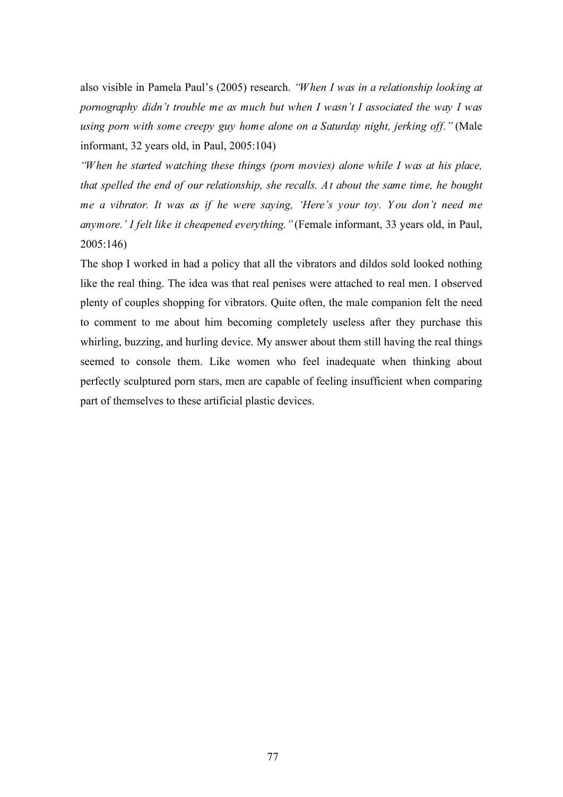also visible in Pamela Paul's (2005) research. *"When I was in a relationship looking at pornography didn't trouble me as much but when I wasn't I associated the way I was using porn with some creepy guy home alone on a Saturday night, jerking off."* (Male informant, 32 years old, in Paul, 2005:104)

*"When he started watching these things (porn movies) alone while I was at his place, that spelled the end of our relationship, she recalls. At about the same time, he bought me a vibrator. It was as if he were saying, 'Here's your toy. Y ou don't need me anymore.' I felt like it cheapened everything."* (Female informant, 33 years old, in Paul, 2005:146)

The shop I worked in had a policy that all the vibrators and dildos sold looked nothing like the real thing. The idea was that real penises were attached to real men. I observed plenty of couples shopping for vibrators. Quite often, the male companion felt the need to comment to me about him becoming completely useless after they purchase this whirling, buzzing, and hurling device. My answer about them still having the real things seemed to console them. Like women who feel inadequate when thinking about perfectly sculptured porn stars, men are capable of feeling insufficient when comparing part of themselves to these artificial plastic devices.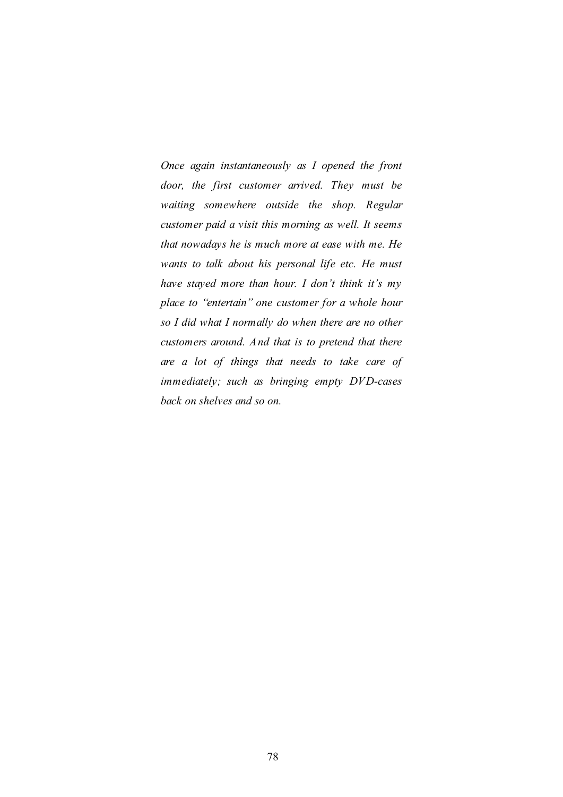*Once again instantaneously as I opened the front door, the first customer arrived. They must be waiting somewhere outside the shop. Regular customer paid a visit this morning as well. It seems that nowadays he is much more at ease with me. He wants to talk about his personal life etc. He must have stayed more than hour. I don't think it's my place to "entertain" one customer for a whole hour so I did what I normally do when there are no other customers around. And that is to pretend that there are a lot of things that needs to take care of immediately; such as bringing empty DVD-cases back on shelves and so on.*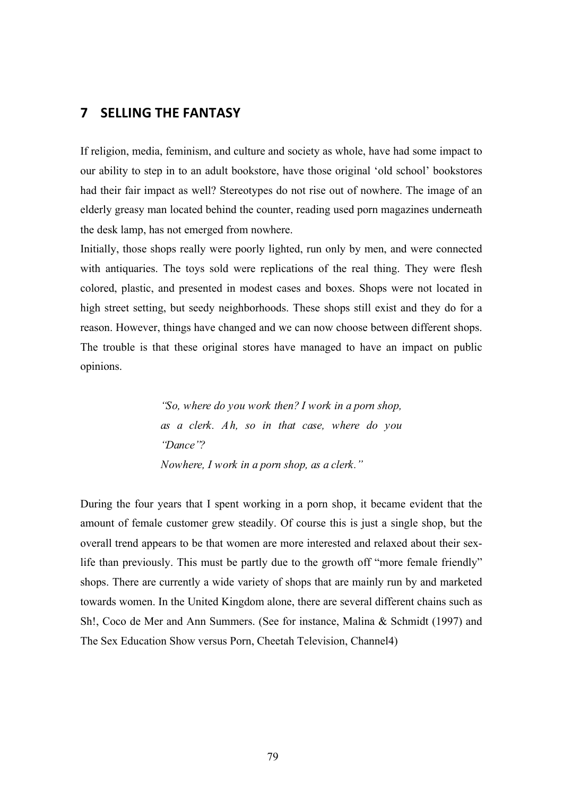# **7 SELLING
THE
FANTASY**

If religion, media, feminism, and culture and society as whole, have had some impact to our ability to step in to an adult bookstore, have those original 'old school' bookstores had their fair impact as well? Stereotypes do not rise out of nowhere. The image of an elderly greasy man located behind the counter, reading used porn magazines underneath the desk lamp, has not emerged from nowhere.

Initially, those shops really were poorly lighted, run only by men, and were connected with antiquaries. The toys sold were replications of the real thing. They were flesh colored, plastic, and presented in modest cases and boxes. Shops were not located in high street setting, but seedy neighborhoods. These shops still exist and they do for a reason. However, things have changed and we can now choose between different shops. The trouble is that these original stores have managed to have an impact on public opinions.

> *"So, where do you work then? I work in a porn shop, as a clerk. Ah, so in that case, where do you "Dance"? Nowhere, I work in a porn shop, as a clerk."*

During the four years that I spent working in a porn shop, it became evident that the amount of female customer grew steadily. Of course this is just a single shop, but the overall trend appears to be that women are more interested and relaxed about their sexlife than previously. This must be partly due to the growth off "more female friendly" shops. There are currently a wide variety of shops that are mainly run by and marketed towards women. In the United Kingdom alone, there are several different chains such as Sh!, Coco de Mer and Ann Summers. (See for instance, Malina & Schmidt (1997) and The Sex Education Show versus Porn, Cheetah Television, Channel4)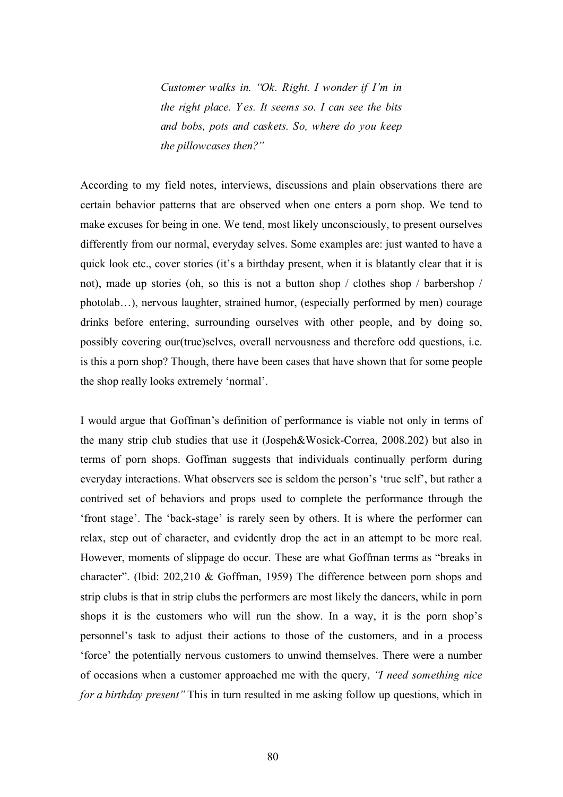*Customer walks in. "Ok. Right. I wonder if I'm in the right place. Y es. It seems so. I can see the bits and bobs, pots and caskets. So, where do you keep the pillowcases then?"*

According to my field notes, interviews, discussions and plain observations there are certain behavior patterns that are observed when one enters a porn shop. We tend to make excuses for being in one. We tend, most likely unconsciously, to present ourselves differently from our normal, everyday selves. Some examples are: just wanted to have a quick look etc., cover stories (it's a birthday present, when it is blatantly clear that it is not), made up stories (oh, so this is not a button shop / clothes shop / barbershop / photolab…), nervous laughter, strained humor, (especially performed by men) courage drinks before entering, surrounding ourselves with other people, and by doing so, possibly covering our(true)selves, overall nervousness and therefore odd questions, i.e. is this a porn shop? Though, there have been cases that have shown that for some people the shop really looks extremely 'normal'.

I would argue that Goffman's definition of performance is viable not only in terms of the many strip club studies that use it (Jospeh&Wosick-Correa, 2008.202) but also in terms of porn shops. Goffman suggests that individuals continually perform during everyday interactions. What observers see is seldom the person's 'true self', but rather a contrived set of behaviors and props used to complete the performance through the 'front stage'. The 'back-stage' is rarely seen by others. It is where the performer can relax, step out of character, and evidently drop the act in an attempt to be more real. However, moments of slippage do occur. These are what Goffman terms as "breaks in character". (Ibid: 202,210 & Goffman, 1959) The difference between porn shops and strip clubs is that in strip clubs the performers are most likely the dancers, while in porn shops it is the customers who will run the show. In a way, it is the porn shop's personnel's task to adjust their actions to those of the customers, and in a process 'force' the potentially nervous customers to unwind themselves. There were a number of occasions when a customer approached me with the query, *"I need something nice for a birthday present"* This in turn resulted in me asking follow up questions, which in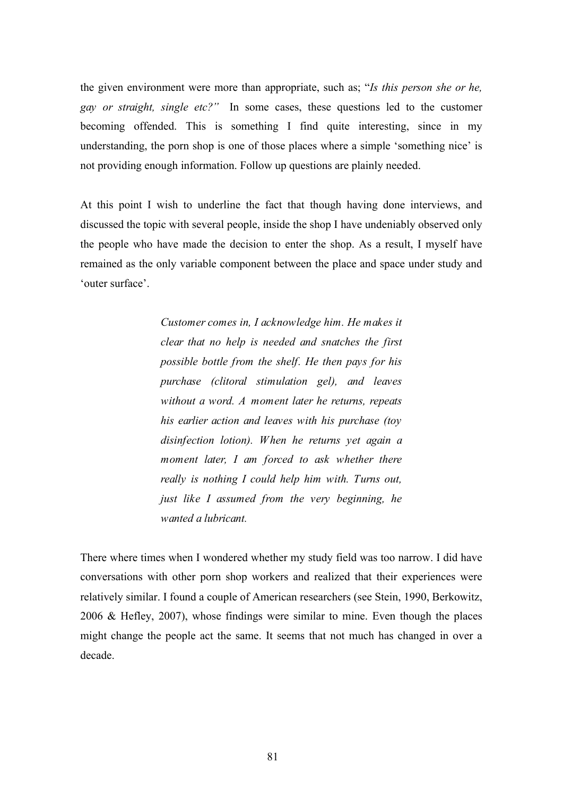the given environment were more than appropriate, such as; "*Is this person she or he, gay or straight, single etc?"* In some cases, these questions led to the customer becoming offended. This is something I find quite interesting, since in my understanding, the porn shop is one of those places where a simple 'something nice' is not providing enough information. Follow up questions are plainly needed.

At this point I wish to underline the fact that though having done interviews, and discussed the topic with several people, inside the shop I have undeniably observed only the people who have made the decision to enter the shop. As a result, I myself have remained as the only variable component between the place and space under study and 'outer surface'.

> *Customer comes in, I acknowledge him. He makes it clear that no help is needed and snatches the first possible bottle from the shelf. He then pays for his purchase (clitoral stimulation gel), and leaves without a word. A moment later he returns, repeats his earlier action and leaves with his purchase (toy disinfection lotion). When he returns yet again a moment later, I am forced to ask whether there really is nothing I could help him with. Turns out, just like I assumed from the very beginning, he wanted a lubricant.*

There where times when I wondered whether my study field was too narrow. I did have conversations with other porn shop workers and realized that their experiences were relatively similar. I found a couple of American researchers (see Stein, 1990, Berkowitz, 2006 & Hefley, 2007), whose findings were similar to mine. Even though the places might change the people act the same. It seems that not much has changed in over a decade.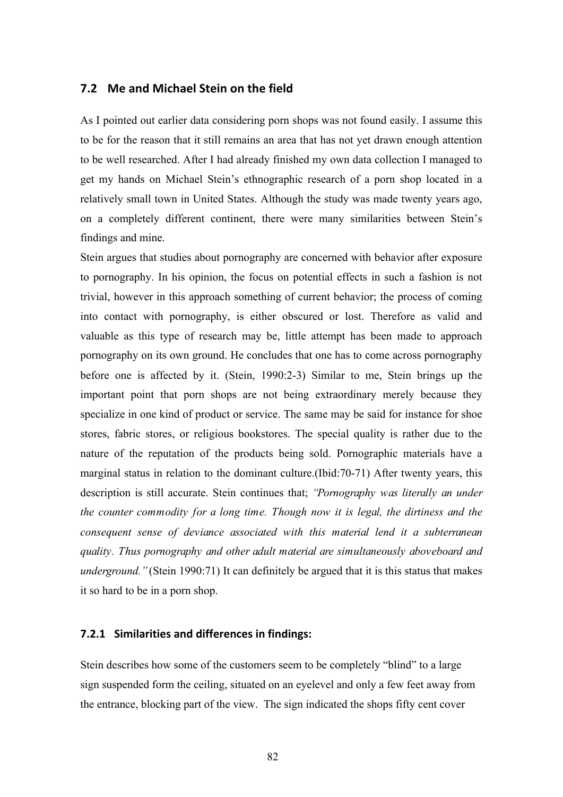## **7.2 Me and
Michael
Stein
on
the
field**

As I pointed out earlier data considering porn shops was not found easily. I assume this to be for the reason that it still remains an area that has not yet drawn enough attention to be well researched. After I had already finished my own data collection I managed to get my hands on Michael Stein's ethnographic research of a porn shop located in a relatively small town in United States. Although the study was made twenty years ago, on a completely different continent, there were many similarities between Stein's findings and mine.

Stein argues that studies about pornography are concerned with behavior after exposure to pornography. In his opinion, the focus on potential effects in such a fashion is not trivial, however in this approach something of current behavior; the process of coming into contact with pornography, is either obscured or lost. Therefore as valid and valuable as this type of research may be, little attempt has been made to approach pornography on its own ground. He concludes that one has to come across pornography before one is affected by it. (Stein, 1990:2-3) Similar to me, Stein brings up the important point that porn shops are not being extraordinary merely because they specialize in one kind of product or service. The same may be said for instance for shoe stores, fabric stores, or religious bookstores. The special quality is rather due to the nature of the reputation of the products being sold. Pornographic materials have a marginal status in relation to the dominant culture.(Ibid:70-71) After twenty years, this description is still accurate. Stein continues that; *"Pornography was literally an under the counter commodity for a long time. Though now it is legal, the dirtiness and the consequent sense of deviance associated with this material lend it a subterranean quality. Thus pornography and other adult material are simultaneously aboveboard and underground.*" (Stein 1990:71) It can definitely be argued that it is this status that makes it so hard to be in a porn shop.

#### **7.2.1 Similarities
and
differences
in
findings:**

Stein describes how some of the customers seem to be completely "blind" to a large sign suspended form the ceiling, situated on an eyelevel and only a few feet away from the entrance, blocking part of the view. The sign indicated the shops fifty cent cover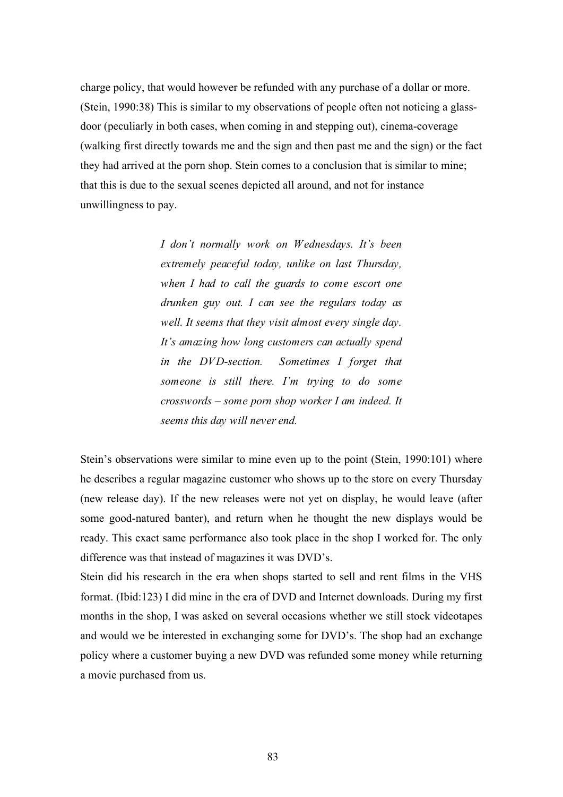charge policy, that would however be refunded with any purchase of a dollar or more. (Stein, 1990:38) This is similar to my observations of people often not noticing a glassdoor (peculiarly in both cases, when coming in and stepping out), cinema-coverage (walking first directly towards me and the sign and then past me and the sign) or the fact they had arrived at the porn shop. Stein comes to a conclusion that is similar to mine; that this is due to the sexual scenes depicted all around, and not for instance unwillingness to pay.

> *I don't normally work on Wednesdays. It's been extremely peaceful today, unlike on last Thursday, when I had to call the guards to come escort one drunken guy out. I can see the regulars today as well. It seems that they visit almost every single day. It's amazing how long customers can actually spend in the DVD-section. Sometimes I forget that someone is still there. I'm trying to do some crosswords – some porn shop worker I am indeed. It seems this day will never end.*

Stein's observations were similar to mine even up to the point (Stein, 1990:101) where he describes a regular magazine customer who shows up to the store on every Thursday (new release day). If the new releases were not yet on display, he would leave (after some good-natured banter), and return when he thought the new displays would be ready. This exact same performance also took place in the shop I worked for. The only difference was that instead of magazines it was DVD's.

Stein did his research in the era when shops started to sell and rent films in the VHS format. (Ibid:123) I did mine in the era of DVD and Internet downloads. During my first months in the shop, I was asked on several occasions whether we still stock videotapes and would we be interested in exchanging some for DVD's. The shop had an exchange policy where a customer buying a new DVD was refunded some money while returning a movie purchased from us.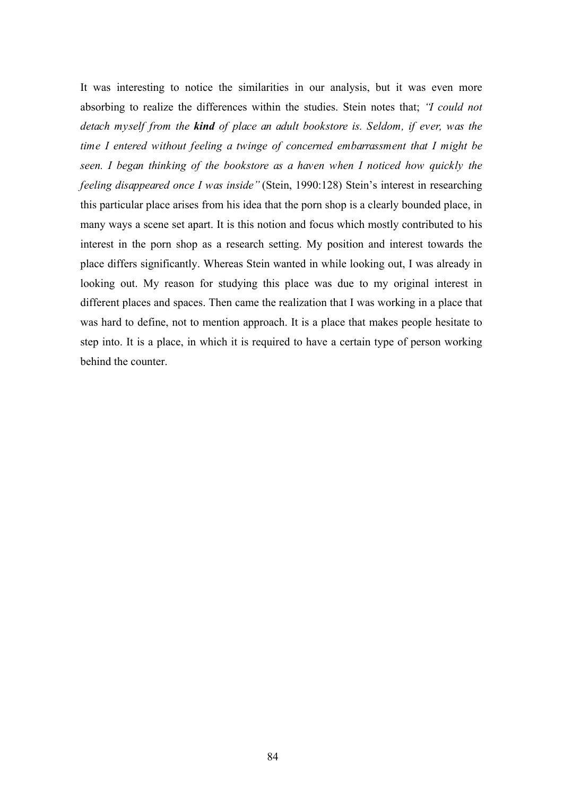It was interesting to notice the similarities in our analysis, but it was even more absorbing to realize the differences within the studies. Stein notes that; *"I could not detach myself from the kind of place an adult bookstore is. Seldom, if ever, was the time I entered without feeling a twinge of concerned embarrassment that I might be seen. I began thinking of the bookstore as a haven when I noticed how quickly the feeling disappeared once I was inside"* (Stein, 1990:128) Stein's interest in researching this particular place arises from his idea that the porn shop is a clearly bounded place, in many ways a scene set apart. It is this notion and focus which mostly contributed to his interest in the porn shop as a research setting. My position and interest towards the place differs significantly. Whereas Stein wanted in while looking out, I was already in looking out. My reason for studying this place was due to my original interest in different places and spaces. Then came the realization that I was working in a place that was hard to define, not to mention approach. It is a place that makes people hesitate to step into. It is a place, in which it is required to have a certain type of person working behind the counter.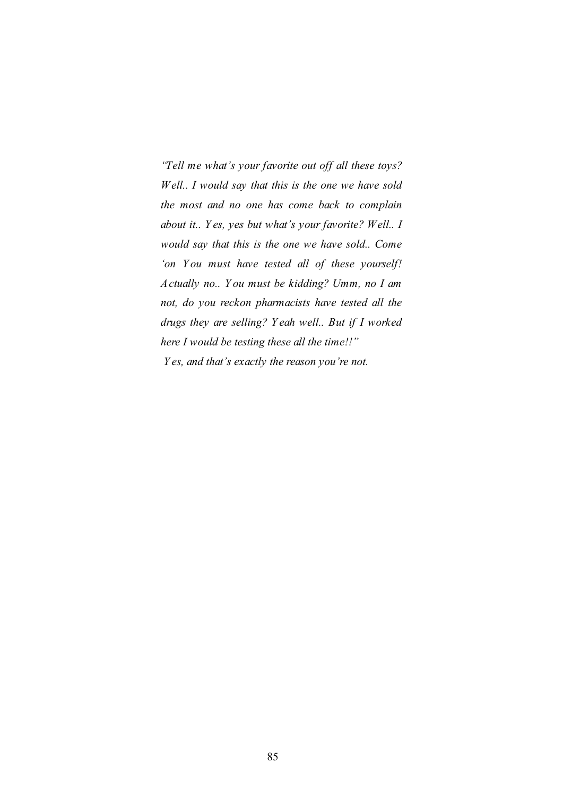*"Tell me what's your favorite out off all these toys? Well.. I would say that this is the one we have sold the most and no one has come back to complain about it.. Y es, yes but what's your favorite? Well.. I would say that this is the one we have sold.. Come 'on Y ou must have tested all of these yourself! Actually no.. Y ou must be kidding? Umm, no I am not, do you reckon pharmacists have tested all the drugs they are selling? Y eah well.. But if I worked here I would be testing these all the time!!" Y es, and that's exactly the reason you're not.*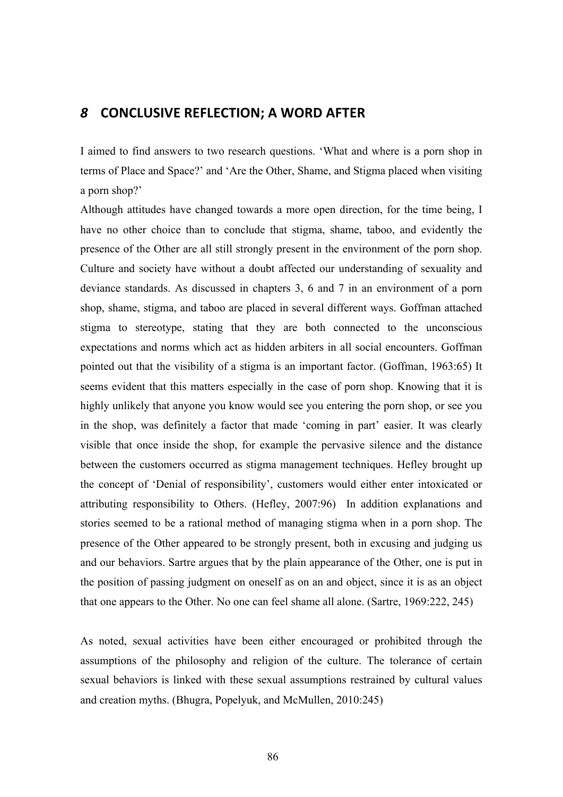# *8* **CONCLUSIVE REFLECTION;
A
WORD
AFTER**

I aimed to find answers to two research questions. 'What and where is a porn shop in terms of Place and Space?' and 'Are the Other, Shame, and Stigma placed when visiting a porn shop?'

Although attitudes have changed towards a more open direction, for the time being, I have no other choice than to conclude that stigma, shame, taboo, and evidently the presence of the Other are all still strongly present in the environment of the porn shop. Culture and society have without a doubt affected our understanding of sexuality and deviance standards. As discussed in chapters 3, 6 and 7 in an environment of a porn shop, shame, stigma, and taboo are placed in several different ways. Goffman attached stigma to stereotype, stating that they are both connected to the unconscious expectations and norms which act as hidden arbiters in all social encounters. Goffman pointed out that the visibility of a stigma is an important factor. (Goffman, 1963:65) It seems evident that this matters especially in the case of porn shop. Knowing that it is highly unlikely that anyone you know would see you entering the porn shop, or see you in the shop, was definitely a factor that made 'coming in part' easier. It was clearly visible that once inside the shop, for example the pervasive silence and the distance between the customers occurred as stigma management techniques. Hefley brought up the concept of 'Denial of responsibility', customers would either enter intoxicated or attributing responsibility to Others. (Hefley, 2007:96) In addition explanations and stories seemed to be a rational method of managing stigma when in a porn shop. The presence of the Other appeared to be strongly present, both in excusing and judging us and our behaviors. Sartre argues that by the plain appearance of the Other, one is put in the position of passing judgment on oneself as on an and object, since it is as an object that one appears to the Other. No one can feel shame all alone. (Sartre, 1969:222, 245)

As noted, sexual activities have been either encouraged or prohibited through the assumptions of the philosophy and religion of the culture. The tolerance of certain sexual behaviors is linked with these sexual assumptions restrained by cultural values and creation myths. (Bhugra, Popelyuk, and McMullen, 2010:245)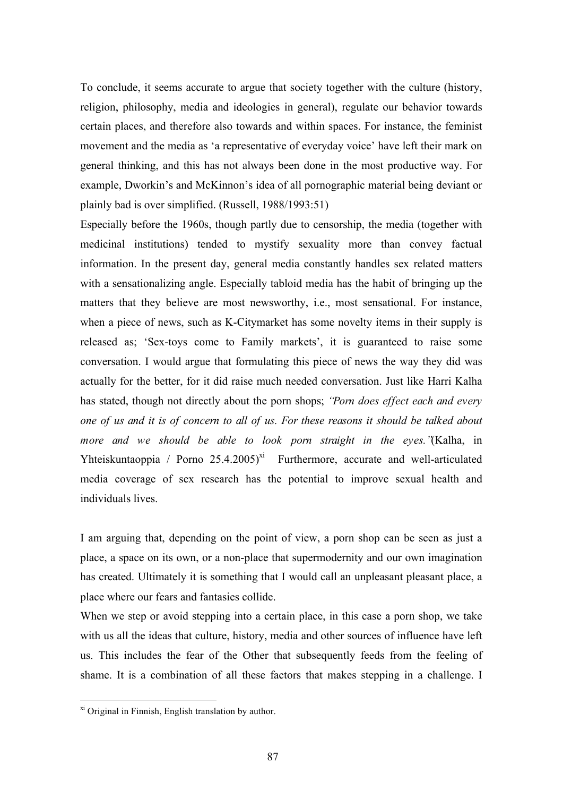To conclude, it seems accurate to argue that society together with the culture (history, religion, philosophy, media and ideologies in general), regulate our behavior towards certain places, and therefore also towards and within spaces. For instance, the feminist movement and the media as 'a representative of everyday voice' have left their mark on general thinking, and this has not always been done in the most productive way. For example, Dworkin's and McKinnon's idea of all pornographic material being deviant or plainly bad is over simplified. (Russell, 1988/1993:51)

Especially before the 1960s, though partly due to censorship, the media (together with medicinal institutions) tended to mystify sexuality more than convey factual information. In the present day, general media constantly handles sex related matters with a sensationalizing angle. Especially tabloid media has the habit of bringing up the matters that they believe are most newsworthy, i.e., most sensational. For instance, when a piece of news, such as K-Citymarket has some novelty items in their supply is released as; 'Sex-toys come to Family markets', it is guaranteed to raise some conversation. I would argue that formulating this piece of news the way they did was actually for the better, for it did raise much needed conversation. Just like Harri Kalha has stated, though not directly about the porn shops; *"Porn does effect each and every one of us and it is of concern to all of us. For these reasons it should be talked about more and we should be able to look porn straight in the eyes."*(Kalha, in Yhteiskuntaoppia / Porno  $25.4.2005$ <sup>xi</sup> Furthermore, accurate and well-articulated media coverage of sex research has the potential to improve sexual health and individuals lives.

I am arguing that, depending on the point of view, a porn shop can be seen as just a place, a space on its own, or a non-place that supermodernity and our own imagination has created. Ultimately it is something that I would call an unpleasant pleasant place, a place where our fears and fantasies collide.

When we step or avoid stepping into a certain place, in this case a porn shop, we take with us all the ideas that culture, history, media and other sources of influence have left us. This includes the fear of the Other that subsequently feeds from the feeling of shame. It is a combination of all these factors that makes stepping in a challenge. I

xi Original in Finnish, English translation by author.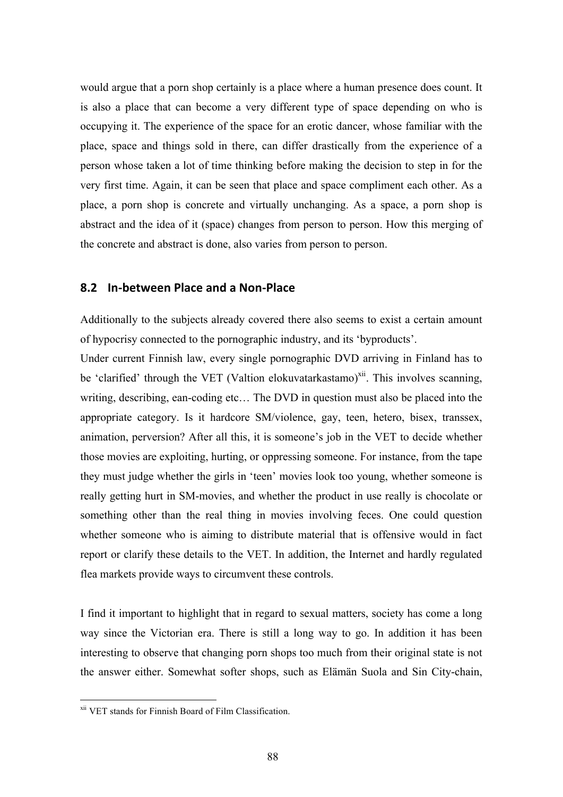would argue that a porn shop certainly is a place where a human presence does count. It is also a place that can become a very different type of space depending on who is occupying it. The experience of the space for an erotic dancer, whose familiar with the place, space and things sold in there, can differ drastically from the experience of a person whose taken a lot of time thinking before making the decision to step in for the very first time. Again, it can be seen that place and space compliment each other. As a place, a porn shop is concrete and virtually unchanging. As a space, a porn shop is abstract and the idea of it (space) changes from person to person. How this merging of the concrete and abstract is done, also varies from person to person.

## **8.2 In‐between
Place
and
a
Non‐Place**

Additionally to the subjects already covered there also seems to exist a certain amount of hypocrisy connected to the pornographic industry, and its 'byproducts'.

Under current Finnish law, every single pornographic DVD arriving in Finland has to be 'clarified' through the VET (Valtion elokuvatarkastamo)<sup>xii</sup>. This involves scanning, writing, describing, ean-coding etc… The DVD in question must also be placed into the appropriate category. Is it hardcore SM/violence, gay, teen, hetero, bisex, transsex, animation, perversion? After all this, it is someone's job in the VET to decide whether those movies are exploiting, hurting, or oppressing someone. For instance, from the tape they must judge whether the girls in 'teen' movies look too young, whether someone is really getting hurt in SM-movies, and whether the product in use really is chocolate or something other than the real thing in movies involving feces. One could question whether someone who is aiming to distribute material that is offensive would in fact report or clarify these details to the VET. In addition, the Internet and hardly regulated flea markets provide ways to circumvent these controls.

I find it important to highlight that in regard to sexual matters, society has come a long way since the Victorian era. There is still a long way to go. In addition it has been interesting to observe that changing porn shops too much from their original state is not the answer either. Somewhat softer shops, such as Elämän Suola and Sin City-chain,

xii VET stands for Finnish Board of Film Classification.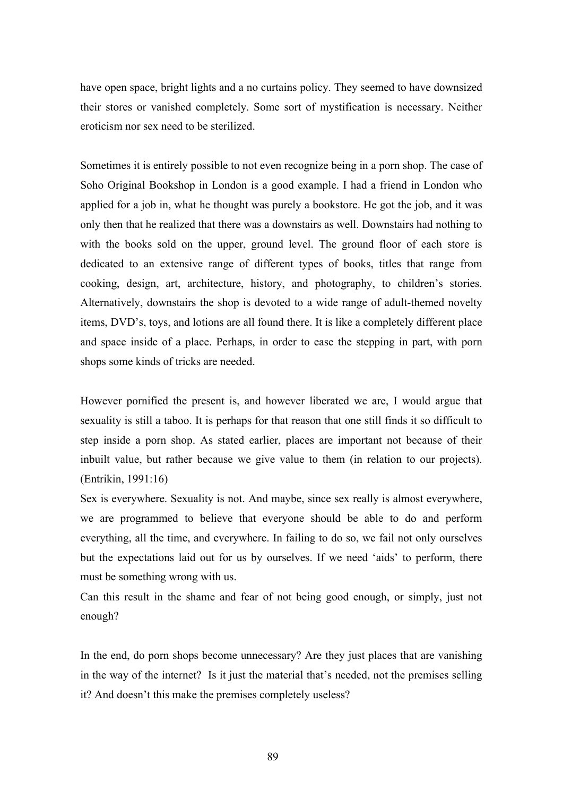have open space, bright lights and a no curtains policy. They seemed to have downsized their stores or vanished completely. Some sort of mystification is necessary. Neither eroticism nor sex need to be sterilized.

Sometimes it is entirely possible to not even recognize being in a porn shop. The case of Soho Original Bookshop in London is a good example. I had a friend in London who applied for a job in, what he thought was purely a bookstore. He got the job, and it was only then that he realized that there was a downstairs as well. Downstairs had nothing to with the books sold on the upper, ground level. The ground floor of each store is dedicated to an extensive range of different types of books, titles that range from cooking, design, art, architecture, history, and photography, to children's stories. Alternatively, downstairs the shop is devoted to a wide range of adult-themed novelty items, DVD's, toys, and lotions are all found there. It is like a completely different place and space inside of a place. Perhaps, in order to ease the stepping in part, with porn shops some kinds of tricks are needed.

However pornified the present is, and however liberated we are, I would argue that sexuality is still a taboo. It is perhaps for that reason that one still finds it so difficult to step inside a porn shop. As stated earlier, places are important not because of their inbuilt value, but rather because we give value to them (in relation to our projects). (Entrikin, 1991:16)

Sex is everywhere. Sexuality is not. And maybe, since sex really is almost everywhere, we are programmed to believe that everyone should be able to do and perform everything, all the time, and everywhere. In failing to do so, we fail not only ourselves but the expectations laid out for us by ourselves. If we need 'aids' to perform, there must be something wrong with us.

Can this result in the shame and fear of not being good enough, or simply, just not enough?

In the end, do porn shops become unnecessary? Are they just places that are vanishing in the way of the internet? Is it just the material that's needed, not the premises selling it? And doesn't this make the premises completely useless?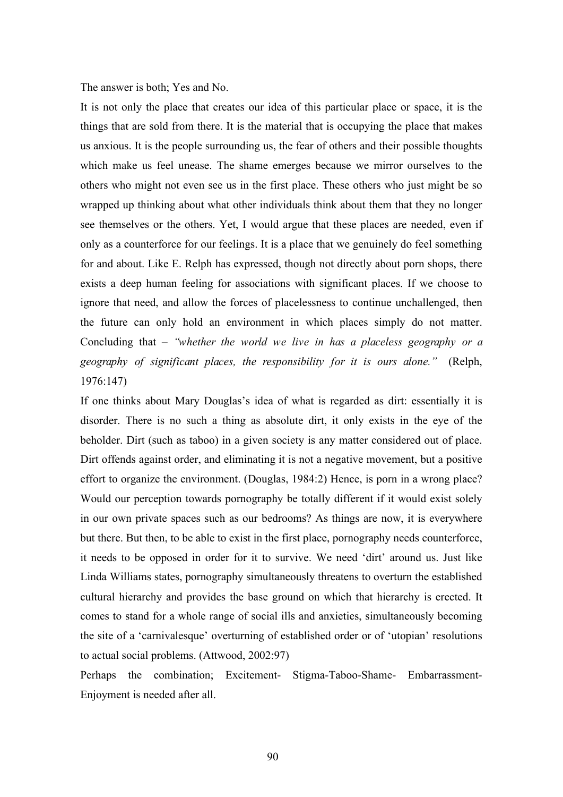The answer is both; Yes and No.

It is not only the place that creates our idea of this particular place or space, it is the things that are sold from there. It is the material that is occupying the place that makes us anxious. It is the people surrounding us, the fear of others and their possible thoughts which make us feel unease. The shame emerges because we mirror ourselves to the others who might not even see us in the first place. These others who just might be so wrapped up thinking about what other individuals think about them that they no longer see themselves or the others. Yet, I would argue that these places are needed, even if only as a counterforce for our feelings. It is a place that we genuinely do feel something for and about. Like E. Relph has expressed, though not directly about porn shops, there exists a deep human feeling for associations with significant places. If we choose to ignore that need, and allow the forces of placelessness to continue unchallenged, then the future can only hold an environment in which places simply do not matter. Concluding that – *"whether the world we live in has a placeless geography or a geography of significant places, the responsibility for it is ours alone."* (Relph, 1976:147)

If one thinks about Mary Douglas's idea of what is regarded as dirt: essentially it is disorder. There is no such a thing as absolute dirt, it only exists in the eye of the beholder. Dirt (such as taboo) in a given society is any matter considered out of place. Dirt offends against order, and eliminating it is not a negative movement, but a positive effort to organize the environment. (Douglas, 1984:2) Hence, is porn in a wrong place? Would our perception towards pornography be totally different if it would exist solely in our own private spaces such as our bedrooms? As things are now, it is everywhere but there. But then, to be able to exist in the first place, pornography needs counterforce, it needs to be opposed in order for it to survive. We need 'dirt' around us. Just like Linda Williams states, pornography simultaneously threatens to overturn the established cultural hierarchy and provides the base ground on which that hierarchy is erected. It comes to stand for a whole range of social ills and anxieties, simultaneously becoming the site of a 'carnivalesque' overturning of established order or of 'utopian' resolutions to actual social problems. (Attwood, 2002:97)

Perhaps the combination; Excitement- Stigma-Taboo-Shame- Embarrassment-Enjoyment is needed after all.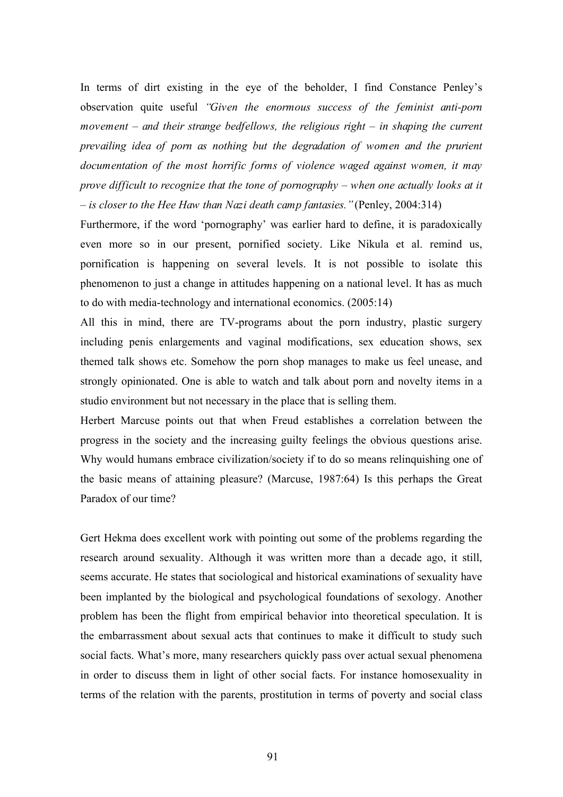In terms of dirt existing in the eye of the beholder, I find Constance Penley's observation quite useful *"Given the enormous success of the feminist anti-porn movement – and their strange bedfellows, the religious right – in shaping the current prevailing idea of porn as nothing but the degradation of women and the prurient documentation of the most horrific forms of violence waged against women, it may prove difficult to recognize that the tone of pornography – when one actually looks at it – is closer to the Hee Haw than Nazi death camp fantasies."*(Penley, 2004:314)

Furthermore, if the word 'pornography' was earlier hard to define, it is paradoxically even more so in our present, pornified society. Like Nikula et al. remind us, pornification is happening on several levels. It is not possible to isolate this phenomenon to just a change in attitudes happening on a national level. It has as much to do with media-technology and international economics. (2005:14)

All this in mind, there are TV-programs about the porn industry, plastic surgery including penis enlargements and vaginal modifications, sex education shows, sex themed talk shows etc. Somehow the porn shop manages to make us feel unease, and strongly opinionated. One is able to watch and talk about porn and novelty items in a studio environment but not necessary in the place that is selling them.

Herbert Marcuse points out that when Freud establishes a correlation between the progress in the society and the increasing guilty feelings the obvious questions arise. Why would humans embrace civilization/society if to do so means relinquishing one of the basic means of attaining pleasure? (Marcuse, 1987:64) Is this perhaps the Great Paradox of our time?

Gert Hekma does excellent work with pointing out some of the problems regarding the research around sexuality. Although it was written more than a decade ago, it still, seems accurate. He states that sociological and historical examinations of sexuality have been implanted by the biological and psychological foundations of sexology. Another problem has been the flight from empirical behavior into theoretical speculation. It is the embarrassment about sexual acts that continues to make it difficult to study such social facts. What's more, many researchers quickly pass over actual sexual phenomena in order to discuss them in light of other social facts. For instance homosexuality in terms of the relation with the parents, prostitution in terms of poverty and social class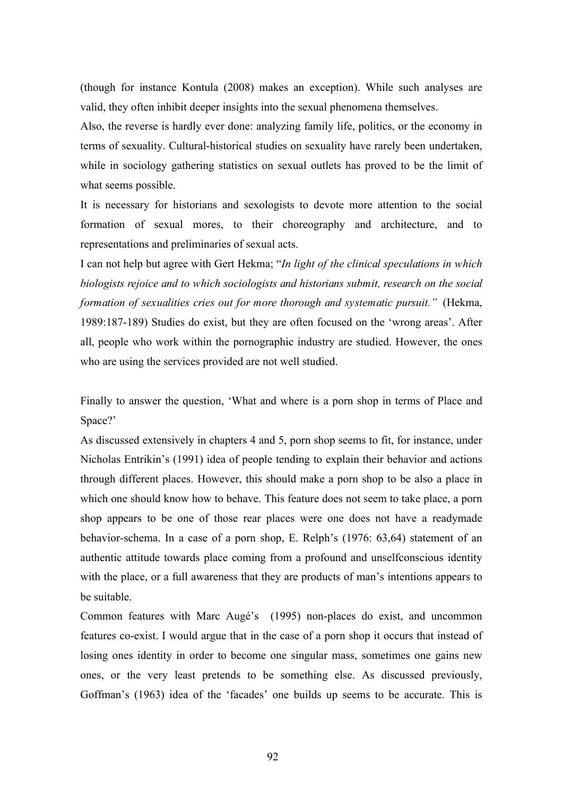(though for instance Kontula (2008) makes an exception). While such analyses are valid, they often inhibit deeper insights into the sexual phenomena themselves.

Also, the reverse is hardly ever done: analyzing family life, politics, or the economy in terms of sexuality. Cultural-historical studies on sexuality have rarely been undertaken, while in sociology gathering statistics on sexual outlets has proved to be the limit of what seems possible.

It is necessary for historians and sexologists to devote more attention to the social formation of sexual mores, to their choreography and architecture, and to representations and preliminaries of sexual acts.

I can not help but agree with Gert Hekma; "*In light of the clinical speculations in which biologists rejoice and to which sociologists and historians submit, research on the social formation of sexualities cries out for more thorough and systematic pursuit."* (Hekma, 1989:187-189) Studies do exist, but they are often focused on the 'wrong areas'. After all, people who work within the pornographic industry are studied. However, the ones who are using the services provided are not well studied.

Finally to answer the question, 'What and where is a porn shop in terms of Place and Space?'

As discussed extensively in chapters 4 and 5, porn shop seems to fit, for instance, under Nicholas Entrikin's (1991) idea of people tending to explain their behavior and actions through different places. However, this should make a porn shop to be also a place in which one should know how to behave. This feature does not seem to take place, a porn shop appears to be one of those rear places were one does not have a readymade behavior-schema. In a case of a porn shop, E. Relph's (1976: 63,64) statement of an authentic attitude towards place coming from a profound and unselfconscious identity with the place, or a full awareness that they are products of man's intentions appears to be suitable.

Common features with Marc Augé's (1995) non-places do exist, and uncommon features co-exist. I would argue that in the case of a porn shop it occurs that instead of losing ones identity in order to become one singular mass, sometimes one gains new ones, or the very least pretends to be something else. As discussed previously, Goffman's (1963) idea of the 'facades' one builds up seems to be accurate. This is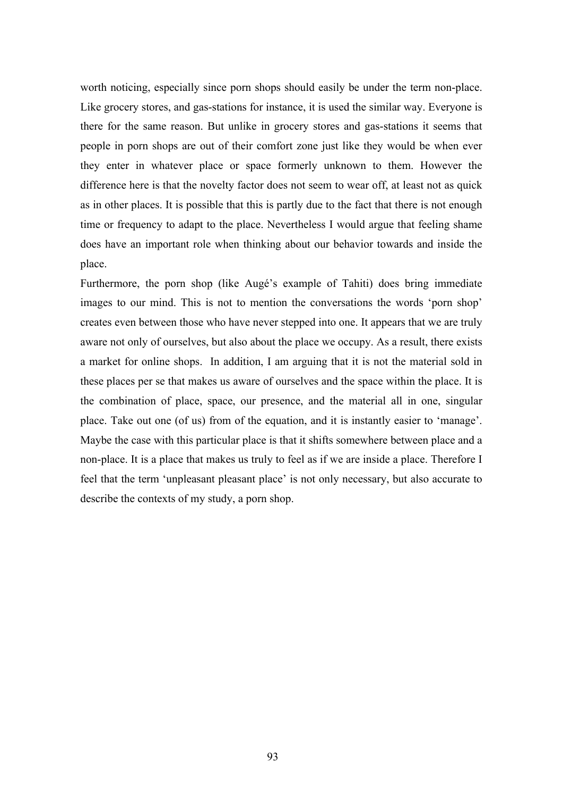worth noticing, especially since porn shops should easily be under the term non-place. Like grocery stores, and gas-stations for instance, it is used the similar way. Everyone is there for the same reason. But unlike in grocery stores and gas-stations it seems that people in porn shops are out of their comfort zone just like they would be when ever they enter in whatever place or space formerly unknown to them. However the difference here is that the novelty factor does not seem to wear off, at least not as quick as in other places. It is possible that this is partly due to the fact that there is not enough time or frequency to adapt to the place. Nevertheless I would argue that feeling shame does have an important role when thinking about our behavior towards and inside the place.

Furthermore, the porn shop (like Augé's example of Tahiti) does bring immediate images to our mind. This is not to mention the conversations the words 'porn shop' creates even between those who have never stepped into one. It appears that we are truly aware not only of ourselves, but also about the place we occupy. As a result, there exists a market for online shops. In addition, I am arguing that it is not the material sold in these places per se that makes us aware of ourselves and the space within the place. It is the combination of place, space, our presence, and the material all in one, singular place. Take out one (of us) from of the equation, and it is instantly easier to 'manage'. Maybe the case with this particular place is that it shifts somewhere between place and a non-place. It is a place that makes us truly to feel as if we are inside a place. Therefore I feel that the term 'unpleasant pleasant place' is not only necessary, but also accurate to describe the contexts of my study, a porn shop.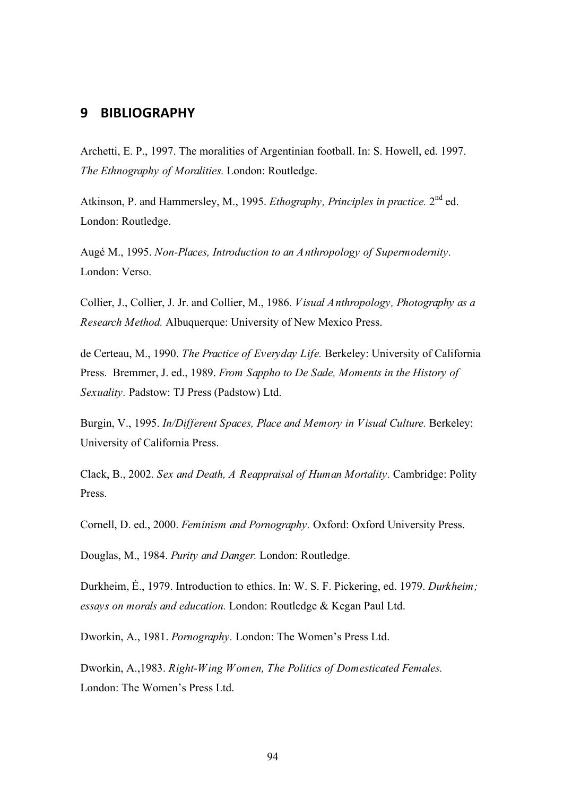# **9 BIBLIOGRAPHY**

Archetti, E. P., 1997. The moralities of Argentinian football. In: S. Howell, ed. 1997. *The Ethnography of Moralities.* London: Routledge.

Atkinson, P. and Hammersley, M., 1995. *Ethography, Principles in practice.* 2nd ed. London: Routledge.

Augé M., 1995. *Non-Places, Introduction to an Anthropology of Supermodernity.* London: Verso.

Collier, J., Collier, J. Jr. and Collier, M., 1986. *Visual Anthropology, Photography as a Research Method.* Albuquerque: University of New Mexico Press.

de Certeau, M., 1990. *The Practice of Everyday Life.* Berkeley: University of California Press. Bremmer, J. ed., 1989. *From Sappho to De Sade, Moments in the History of Sexuality.* Padstow: TJ Press (Padstow) Ltd.

Burgin, V., 1995. *In/Different Spaces, Place and Memory in Visual Culture.* Berkeley: University of California Press.

Clack, B., 2002. *Sex and Death, A Reappraisal of Human Mortality.* Cambridge: Polity Press.

Cornell, D. ed., 2000. *Feminism and Pornography.* Oxford: Oxford University Press.

Douglas, M., 1984. *Purity and Danger.* London: Routledge.

Durkheim, É., 1979. Introduction to ethics. In: W. S. F. Pickering, ed. 1979. *Durkheim; essays on morals and education.* London: Routledge & Kegan Paul Ltd.

Dworkin, A., 1981. *Pornography.* London: The Women's Press Ltd.

Dworkin, A.,1983. *Right-Wing Women, The Politics of Domesticated Females.* London: The Women's Press Ltd.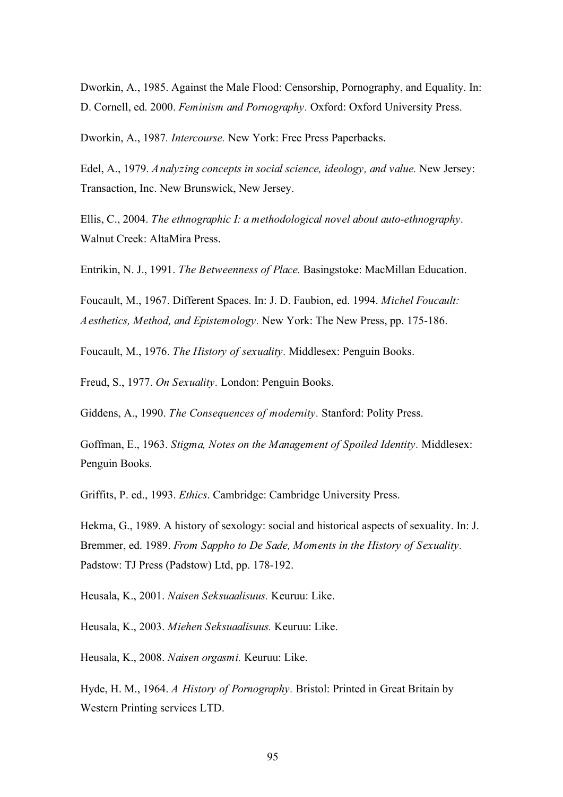Dworkin, A., 1985. Against the Male Flood: Censorship, Pornography, and Equality. In: D. Cornell, ed. 2000. *Feminism and Pornography.* Oxford: Oxford University Press.

Dworkin, A., 1987*. Intercourse.* New York: Free Press Paperbacks.

Edel, A., 1979. *Analyzing concepts in social science, ideology, and value.* New Jersey: Transaction, Inc. New Brunswick, New Jersey.

Ellis, C., 2004. *The ethnographic I: a methodological novel about auto-ethnography.* Walnut Creek: AltaMira Press.

Entrikin, N. J., 1991. *The Betweenness of Place.* Basingstoke: MacMillan Education.

Foucault, M., 1967. Different Spaces. In: J. D. Faubion, ed. 1994. *Michel Foucault: Aesthetics, Method, and Epistemology.* New York: The New Press, pp. 175-186.

Foucault, M., 1976. *The History of sexuality.* Middlesex: Penguin Books.

Freud, S., 1977. *On Sexuality.* London: Penguin Books.

Giddens, A., 1990. *The Consequences of modernity.* Stanford: Polity Press.

Goffman, E., 1963. *Stigma, Notes on the Management of Spoiled Identity.* Middlesex: Penguin Books.

Griffits, P. ed., 1993. *Ethics*. Cambridge: Cambridge University Press.

Hekma, G., 1989. A history of sexology: social and historical aspects of sexuality. In: J. Bremmer, ed. 1989. *From Sappho to De Sade, Moments in the History of Sexuality.*  Padstow: TJ Press (Padstow) Ltd, pp. 178-192.

Heusala, K., 2001. *Naisen Seksuaalisuus.* Keuruu: Like.

Heusala, K., 2003. *Miehen Seksuaalisuus.* Keuruu: Like.

Heusala, K., 2008. *Naisen orgasmi.* Keuruu: Like.

Hyde, H. M., 1964. *A History of Pornography.* Bristol: Printed in Great Britain by Western Printing services LTD.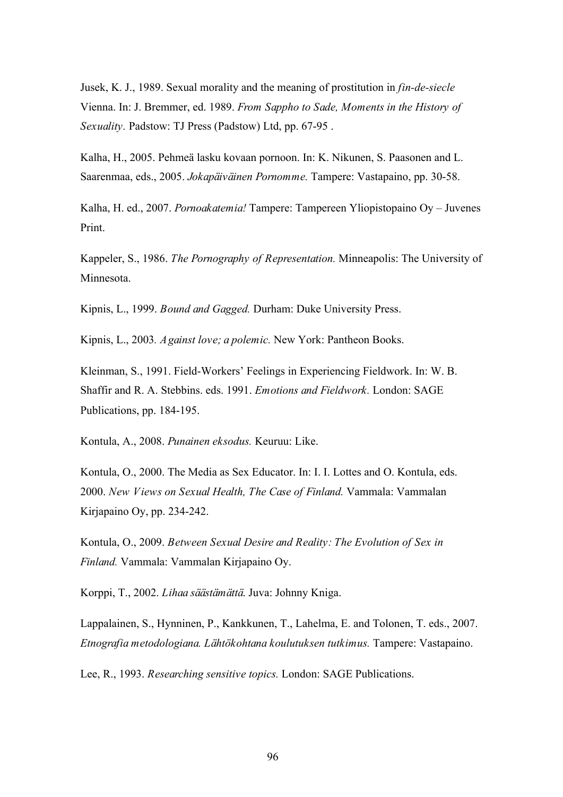Jusek, K. J., 1989. Sexual morality and the meaning of prostitution in *fin-de-siecle*  Vienna. In: J. Bremmer, ed. 1989. *From Sappho to Sade, Moments in the History of Sexuality.* Padstow: TJ Press (Padstow) Ltd, pp. 67-95 .

Kalha, H., 2005. Pehmeä lasku kovaan pornoon. In: K. Nikunen, S. Paasonen and L. Saarenmaa, eds., 2005. *Jokapäiväinen Pornomme.* Tampere: Vastapaino, pp. 30-58.

Kalha, H. ed., 2007. *Pornoakatemia!* Tampere: Tampereen Yliopistopaino Oy – Juvenes Print.

Kappeler, S., 1986. *The Pornography of Representation.* Minneapolis: The University of Minnesota.

Kipnis, L., 1999. *Bound and Gagged.* Durham: Duke University Press.

Kipnis, L., 2003*. Against love; a polemic.* New York: Pantheon Books.

Kleinman, S., 1991. Field-Workers' Feelings in Experiencing Fieldwork. In: W. B. Shaffir and R. A. Stebbins. eds. 1991. *Emotions and Fieldwork.* London: SAGE Publications, pp. 184-195.

Kontula, A., 2008. *Punainen eksodus.* Keuruu: Like.

Kontula, O., 2000. The Media as Sex Educator. In: I. I. Lottes and O. Kontula, eds. 2000. *New Views on Sexual Health, The Case of Finland.* Vammala: Vammalan Kirjapaino Oy, pp. 234-242.

Kontula, O., 2009. *Between Sexual Desire and Reality: The Evolution of Sex in Finland.* Vammala: Vammalan Kirjapaino Oy.

Korppi, T., 2002. *Lihaa säästämättä*. Juva: Johnny Kniga.

Lappalainen, S., Hynninen, P., Kankkunen, T., Lahelma, E. and Tolonen, T. eds., 2007. *Etnografia metodologiana. Lähtökohtana koulutuksen tutkimus.* Tampere: Vastapaino.

Lee, R., 1993. *Researching sensitive topics.* London: SAGE Publications.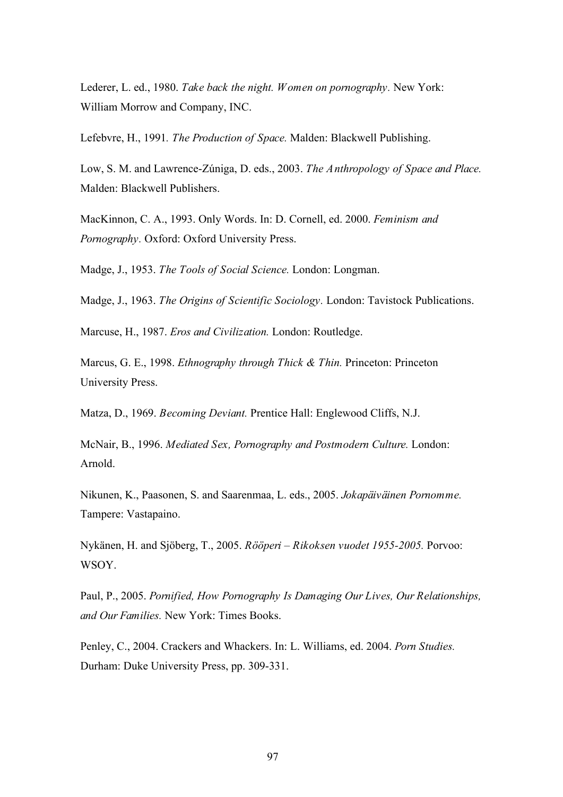Lederer, L. ed., 1980. *Take back the night. Women on pornography.* New York: William Morrow and Company, INC.

Lefebvre, H., 1991*. The Production of Space.* Malden: Blackwell Publishing.

Low, S. M. and Lawrence-Zúniga, D. eds., 2003. *The Anthropology of Space and Place.*  Malden: Blackwell Publishers.

MacKinnon, C. A., 1993. Only Words. In: D. Cornell, ed. 2000. *Feminism and Pornography.* Oxford: Oxford University Press.

Madge, J., 1953. *The Tools of Social Science.* London: Longman.

Madge, J., 1963. *The Origins of Scientific Sociology.* London: Tavistock Publications.

Marcuse, H., 1987. *Eros and Civilization.* London: Routledge.

Marcus, G. E., 1998. *Ethnography through Thick & Thin.* Princeton: Princeton University Press.

Matza, D., 1969. *Becoming Deviant.* Prentice Hall: Englewood Cliffs, N.J.

McNair, B., 1996. *Mediated Sex, Pornography and Postmodern Culture.* London: Arnold.

Nikunen, K., Paasonen, S. and Saarenmaa, L. eds., 2005. *Jokapäiväinen Pornomme.* Tampere: Vastapaino.

Nykänen, H. and Sjöberg, T., 2005. *Rööperi – Rikoksen vuodet 1955-2005.* Porvoo: WSOY.

Paul, P., 2005. *Pornified, How Pornography Is Damaging Our Lives, Our Relationships, and Our Families.* New York: Times Books.

Penley, C., 2004. Crackers and Whackers. In: L. Williams, ed. 2004. *Porn Studies.* Durham: Duke University Press, pp. 309-331.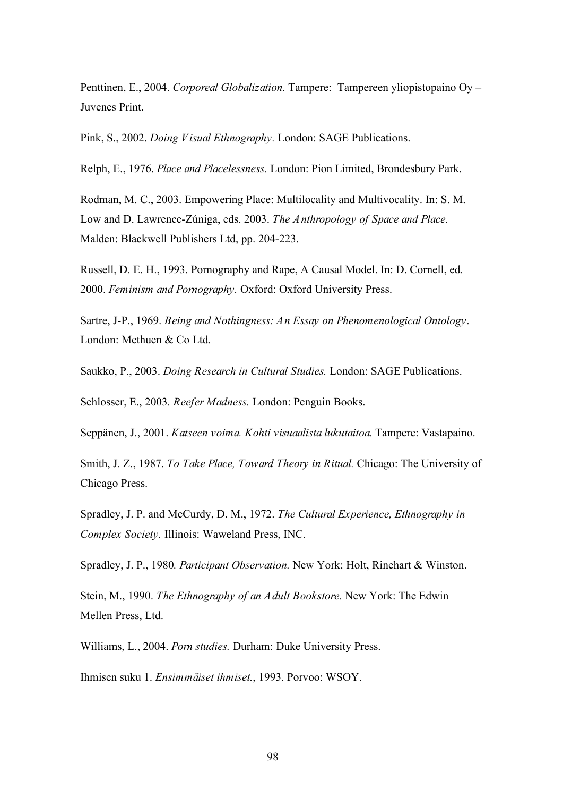Penttinen, E., 2004. *Corporeal Globalization.* Tampere: Tampereen yliopistopaino Oy – Juvenes Print.

Pink, S., 2002. *Doing Visual Ethnography.* London: SAGE Publications.

Relph, E., 1976. *Place and Placelessness.* London: Pion Limited, Brondesbury Park.

Rodman, M. C., 2003. Empowering Place: Multilocality and Multivocality. In: S. M. Low and D. Lawrence-Zúniga, eds. 2003. *The Anthropology of Space and Place.*  Malden: Blackwell Publishers Ltd, pp. 204-223.

Russell, D. E. H., 1993. Pornography and Rape, A Causal Model. In: D. Cornell, ed. 2000. *Feminism and Pornography.* Oxford: Oxford University Press.

Sartre, J-P., 1969. *Being and Nothingness: An Essay on Phenomenological Ontology*. London: Methuen & Co Ltd.

Saukko, P., 2003. *Doing Research in Cultural Studies.* London: SAGE Publications.

Schlosser, E., 2003*. Reefer Madness.* London: Penguin Books.

Seppänen, J., 2001. *Katseen voima. Kohti visuaalista lukutaitoa.* Tampere: Vastapaino.

Smith, J. Z., 1987. *To Take Place, Toward Theory in Ritual.* Chicago: The University of Chicago Press.

Spradley, J. P. and McCurdy, D. M., 1972. *The Cultural Experience, Ethnography in Complex Society.* Illinois: Waweland Press, INC.

Spradley, J. P., 1980*. Participant Observation.* New York: Holt, Rinehart & Winston.

Stein, M., 1990. *The Ethnography of an Adult Bookstore.* New York: The Edwin Mellen Press, Ltd.

Williams, L., 2004. *Porn studies.* Durham: Duke University Press.

Ihmisen suku 1. *Ensimmäiset ihmiset.*, 1993. Porvoo: WSOY.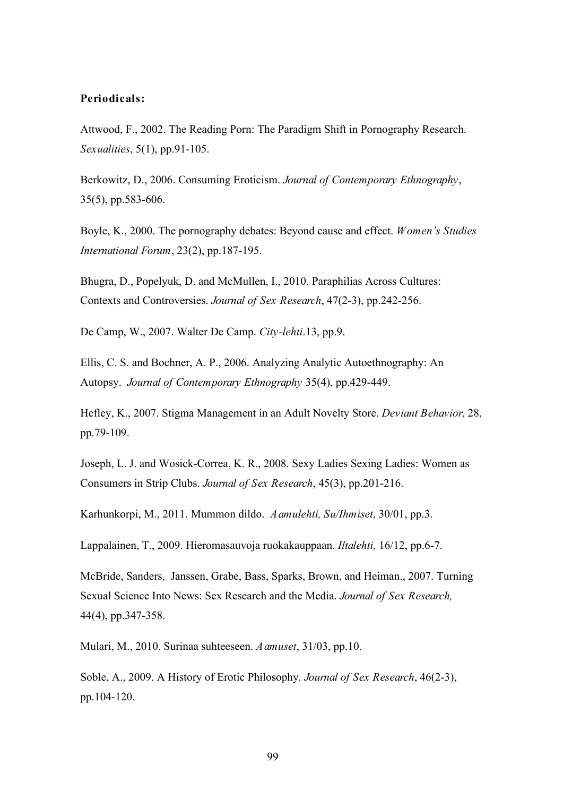#### **Periodicals:**

Attwood, F., 2002. The Reading Porn: The Paradigm Shift in Pornography Research. *Sexualities*, 5(1), pp.91-105.

Berkowitz, D., 2006. Consuming Eroticism. *Journal of Contemporary Ethnography*, 35(5), pp.583-606.

Boyle, K., 2000. The pornography debates: Beyond cause and effect. *Women's Studies International Forum*, 23(2), pp.187-195.

Bhugra, D., Popelyuk, D. and McMullen, I., 2010. Paraphilias Across Cultures: Contexts and Controversies. *Journal of Sex Research*, 47(2-3), pp.242-256.

De Camp, W., 2007. Walter De Camp. *City-lehti*.13, pp.9.

Ellis, C. S. and Bochner, A. P., 2006. Analyzing Analytic Autoethnography: An Autopsy. *Journal of Contemporary Ethnography* 35(4), pp.429-449.

Hefley, K., 2007. Stigma Management in an Adult Novelty Store. *Deviant Behavior*, 28, pp.79-109.

Joseph, L. J. and Wosick-Correa, K. R., 2008. Sexy Ladies Sexing Ladies: Women as Consumers in Strip Clubs. *Journal of Sex Research*, 45(3), pp.201-216.

Karhunkorpi, M., 2011. Mummon dildo. *Aamulehti, Su/Ihmiset*, 30/01, pp.3.

Lappalainen, T., 2009. Hieromasauvoja ruokakauppaan. *Iltalehti,* 16/12, pp.6-7.

McBride, Sanders, Janssen, Grabe, Bass, Sparks, Brown, and Heiman., 2007. Turning Sexual Science Into News: Sex Research and the Media. *Journal of Sex Research,* 44(4), pp.347-358.

Mulari, M., 2010. Surinaa suhteeseen. *Aamuset*, 31/03, pp.10.

Soble, A., 2009. A History of Erotic Philosophy*. Journal of Sex Research*, 46(2-3), pp.104-120.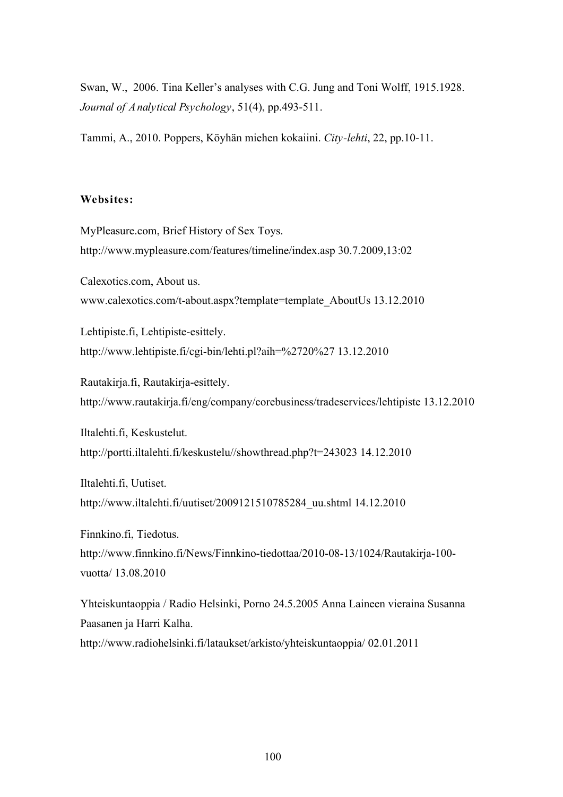Swan, W., 2006. Tina Keller's analyses with C.G. Jung and Toni Wolff, 1915.1928. *Journal of Analytical Psychology*, 51(4), pp.493-511.

Tammi, A., 2010. Poppers, Köyhän miehen kokaiini. *City-lehti*, 22, pp.10-11.

#### **Websites:**

MyPleasure.com, Brief History of Sex Toys. http://www.mypleasure.com/features/timeline/index.asp 30.7.2009,13:02 Calexotics.com, About us. www.calexotics.com/t-about.aspx?template=template\_AboutUs 13.12.2010 Lehtipiste.fi, Lehtipiste-esittely. http://www.lehtipiste.fi/cgi-bin/lehti.pl?aih=%2720%27 13.12.2010 Rautakirja.fi, Rautakirja-esittely. http://www.rautakirja.fi/eng/company/corebusiness/tradeservices/lehtipiste 13.12.2010 Iltalehti.fi, Keskustelut. http://portti.iltalehti.fi/keskustelu//showthread.php?t=243023 14.12.2010 Iltalehti.fi, Uutiset. http://www.iltalehti.fi/uutiset/2009121510785284\_uu.shtml 14.12.2010 Finnkino.fi, Tiedotus. http://www.finnkino.fi/News/Finnkino-tiedottaa/2010-08-13/1024/Rautakirja-100 vuotta/ 13.08.2010 Yhteiskuntaoppia / Radio Helsinki, Porno 24.5.2005 Anna Laineen vieraina Susanna Paasanen ja Harri Kalha. http://www.radiohelsinki.fi/lataukset/arkisto/yhteiskuntaoppia/ 02.01.2011